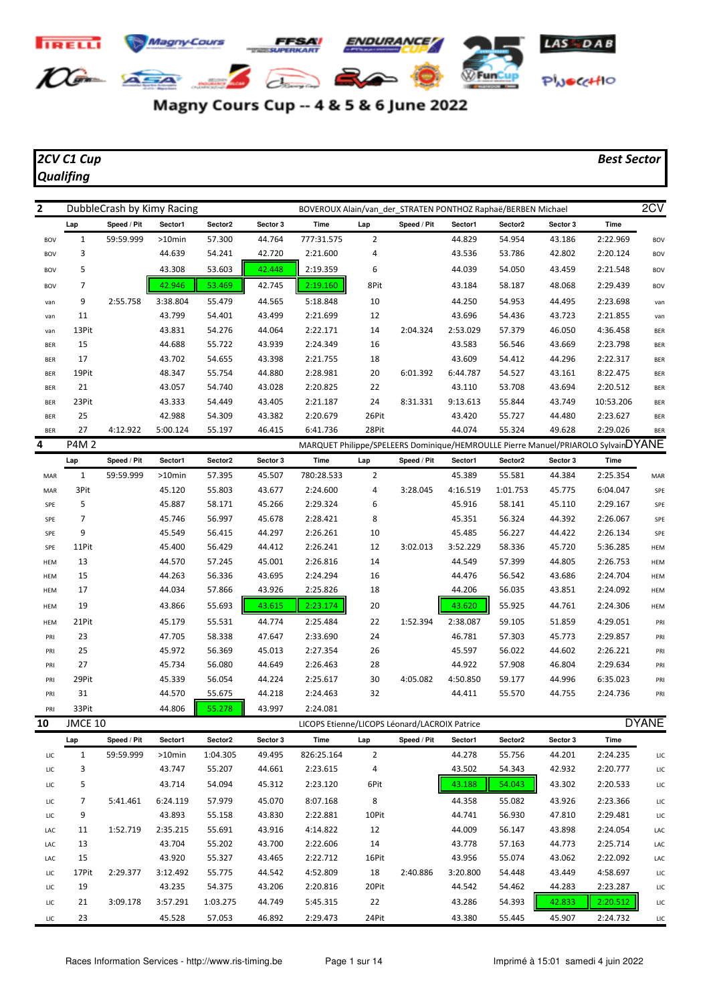

## Magny Cours Cup -- 4 & 5 & 6 June 2022

## *Qualifing*

## *2CV C1 Cup Best Sector*

| 2          |                | 2CV<br>DubbleCrash by Kimy Racing<br>BOVEROUX Alain/van der STRATEN PONTHOZ Raphaë/BERBEN Michael<br>Sector2<br><b>Time</b><br>Speed / Pit<br>Sector1<br>Sector 3<br>Time<br>Sector2<br>Sector 3<br>Lap<br>Speed / Pit<br>Sector1<br>777:31.575<br>$\overline{2}$<br>59:59.999<br>57.300<br>44.764<br>44.829<br>54.954<br>43.186<br>2:22.969<br>$>10$ min<br><b>BOV</b><br>44.639<br>4<br>42.802<br>2:20.124<br>54.241<br>42.720<br>2:21.600<br>43.536<br>53.786<br><b>BOV</b><br>53.603<br>42.448<br>6<br>43.308<br>2:19.359<br>44.039<br>54.050<br>43.459<br>2:21.548<br><b>BOV</b><br>42.946<br>53.469<br>2:19.160<br>8Pit<br>42.745<br>43.184<br>58.187<br>48.068<br>2:29.439<br><b>BOV</b><br>10<br>54.953<br>2:55.758<br>3:38.804<br>55.479<br>44.565<br>5:18.848<br>44.250<br>44.495<br>2:23.698<br>van<br>43.799<br>54.401<br>43.499<br>2:21.699<br>12<br>43.696<br>54.436<br>43.723<br>2:21.855<br>van<br>43.831<br>54.276<br>44.064<br>2:22.171<br>14<br>2:04.324<br>2:53.029<br>57.379<br>46.050<br>4:36.458<br><b>BER</b><br>44.688<br>55.722<br>43.939<br>2:24.349<br>16<br>43.583<br>56.546<br>43.669<br>2:23.798<br><b>BER</b><br>43.702<br>18<br>43.609<br>54.412<br>44.296<br>54.655<br>43.398<br>2:21.755<br>2:22.317<br><b>BER</b><br>48.347<br>55.754<br>44.880<br>2:28.981<br>20<br>54.527<br>6:01.392<br>6:44.787<br>43.161<br>8:22.475<br><b>BER</b><br>43.057<br>54.740<br>43.028<br>2:20.825<br>22<br>43.110<br>53.708<br>43.694<br>2:20.512<br><b>BER</b><br>24<br>43.333<br>54.449<br>43.405<br>2:21.187<br>8:31.331<br>9:13.613<br>55.844<br>43.749<br>10:53.206<br><b>BER</b><br>42.988<br>26Pit<br>54.309<br>43.382<br>2:20.679<br>43.420<br>55.727<br>44.480<br>2:23.627<br><b>BER</b><br>28Pit<br>4:12.922<br>5:00.124<br>55.197<br>46.415<br>6:41.736<br>44.074<br>55.324<br>49.628<br>2:29.026<br><b>BER</b><br>MARQUET Philippe/SPELEERS Dominique/HEMROULLE Pierre Manuel/PRIAROLO SylvainDYANE<br>Sector2<br>Sector 3<br>Speed / Pit<br>Sector1<br>Time<br>Speed / Pit<br>Sector1<br>Sector2<br>Sector 3<br><b>Time</b><br>Lap<br>57.395<br>780:28.533<br>$\overline{2}$<br>45.389<br>55.581<br>44.384<br>2:25.354<br>59:59.999<br>$>10$ min<br>45.507<br>MAR<br>55.803<br>43.677<br>2:24.600<br>4<br>3:28.045<br>4:16.519<br>1:01.753<br>45.775<br>6:04.047<br>45.120<br>SPE<br>45.887<br>58.171<br>45.266<br>2:29.324<br>6<br>45.916<br>58.141<br>45.110<br>2:29.167<br>SPE<br>45.746<br>56.997<br>45.678<br>2:28.421<br>8<br>45.351<br>56.324<br>44.392<br>2:26.067<br>SPE<br>45.549<br>56.415<br>44.297<br>2:26.261<br>10<br>45.485<br>56.227<br>44.422<br>2:26.134<br>SPE<br>45.400<br>56.429<br>44.412<br>2:26.241<br>12<br>3:02.013<br>58.336<br>45.720<br>3:52.229<br>5:36.285<br><b>HEM</b><br>44.570<br>57.245<br>45.001<br>2:26.816<br>14<br>44.549<br>57.399<br>44.805<br>2:26.753<br><b>HEM</b><br>44.263<br>56.336<br>43.695<br>2:24.294<br>16<br>44.476<br>56.542<br>43.686<br>2:24.704<br><b>HEM</b><br>44.034<br>43.926<br>18<br>57.866<br>2:25.826<br>44.206<br>56.035<br>43.851<br>2:24.092<br><b>HEM</b><br>55.693<br>55.925<br>43.866<br>43.615<br>2:23.174<br>20<br>43.620<br>44.761<br>2:24.306<br><b>HEM</b><br>55.531<br>2:25.484<br>22<br>1:52.394<br>2:38.087<br>59.105<br>45.179<br>44.774<br>51.859<br>4:29.051<br>PRI<br>47.705<br>24<br>57.303<br>2:29.857<br>58.338<br>47.647<br>2:33.690<br>46.781<br>45.773<br>PRI<br>45.972<br>56.369<br>45.013<br>2:27.354<br>26<br>45.597<br>56.022<br>44.602<br>2:26.221<br>PRI<br>45.734<br>56.080<br>44.649<br>2:26.463<br>28<br>44.922<br>57.908<br>46.804<br>2:29.634<br>PRI<br>45.339<br>56.054<br>30<br>4:05.082<br>4:50.850<br>44.224<br>2:25.617<br>59.177<br>44.996<br>6:35.023<br>PRI |         |           |          |                                               |                |             |         |         |          |          |              |
|------------|----------------|------------------------------------------------------------------------------------------------------------------------------------------------------------------------------------------------------------------------------------------------------------------------------------------------------------------------------------------------------------------------------------------------------------------------------------------------------------------------------------------------------------------------------------------------------------------------------------------------------------------------------------------------------------------------------------------------------------------------------------------------------------------------------------------------------------------------------------------------------------------------------------------------------------------------------------------------------------------------------------------------------------------------------------------------------------------------------------------------------------------------------------------------------------------------------------------------------------------------------------------------------------------------------------------------------------------------------------------------------------------------------------------------------------------------------------------------------------------------------------------------------------------------------------------------------------------------------------------------------------------------------------------------------------------------------------------------------------------------------------------------------------------------------------------------------------------------------------------------------------------------------------------------------------------------------------------------------------------------------------------------------------------------------------------------------------------------------------------------------------------------------------------------------------------------------------------------------------------------------------------------------------------------------------------------------------------------------------------------------------------------------------------------------------------------------------------------------------------------------------------------------------------------------------------------------------------------------------------------------------------------------------------------------------------------------------------------------------------------------------------------------------------------------------------------------------------------------------------------------------------------------------------------------------------------------------------------------------------------------------------------------------------------------------------------------------------------------------------------------------------------------------------------------------------------------------------------------------------------------------------------------------------------------------------------------------------------------------------------------------------------------------------------------------------------------------------------------------------------------------------------------------------------------------------------------------------------------------------------------------------------------------------------------------------------------------------------------------|---------|-----------|----------|-----------------------------------------------|----------------|-------------|---------|---------|----------|----------|--------------|
|            | Lap            |                                                                                                                                                                                                                                                                                                                                                                                                                                                                                                                                                                                                                                                                                                                                                                                                                                                                                                                                                                                                                                                                                                                                                                                                                                                                                                                                                                                                                                                                                                                                                                                                                                                                                                                                                                                                                                                                                                                                                                                                                                                                                                                                                                                                                                                                                                                                                                                                                                                                                                                                                                                                                                                                                                                                                                                                                                                                                                                                                                                                                                                                                                                                                                                                                                                                                                                                                                                                                                                                                                                                                                                                                                                                                                            |         |           |          |                                               |                |             |         |         |          |          |              |
| <b>BOV</b> | $\mathbf{1}$   |                                                                                                                                                                                                                                                                                                                                                                                                                                                                                                                                                                                                                                                                                                                                                                                                                                                                                                                                                                                                                                                                                                                                                                                                                                                                                                                                                                                                                                                                                                                                                                                                                                                                                                                                                                                                                                                                                                                                                                                                                                                                                                                                                                                                                                                                                                                                                                                                                                                                                                                                                                                                                                                                                                                                                                                                                                                                                                                                                                                                                                                                                                                                                                                                                                                                                                                                                                                                                                                                                                                                                                                                                                                                                                            |         |           |          |                                               |                |             |         |         |          |          |              |
| <b>BOV</b> | 3              |                                                                                                                                                                                                                                                                                                                                                                                                                                                                                                                                                                                                                                                                                                                                                                                                                                                                                                                                                                                                                                                                                                                                                                                                                                                                                                                                                                                                                                                                                                                                                                                                                                                                                                                                                                                                                                                                                                                                                                                                                                                                                                                                                                                                                                                                                                                                                                                                                                                                                                                                                                                                                                                                                                                                                                                                                                                                                                                                                                                                                                                                                                                                                                                                                                                                                                                                                                                                                                                                                                                                                                                                                                                                                                            |         |           |          |                                               |                |             |         |         |          |          |              |
| <b>BOV</b> | 5              |                                                                                                                                                                                                                                                                                                                                                                                                                                                                                                                                                                                                                                                                                                                                                                                                                                                                                                                                                                                                                                                                                                                                                                                                                                                                                                                                                                                                                                                                                                                                                                                                                                                                                                                                                                                                                                                                                                                                                                                                                                                                                                                                                                                                                                                                                                                                                                                                                                                                                                                                                                                                                                                                                                                                                                                                                                                                                                                                                                                                                                                                                                                                                                                                                                                                                                                                                                                                                                                                                                                                                                                                                                                                                                            |         |           |          |                                               |                |             |         |         |          |          |              |
| <b>BOV</b> | $\overline{7}$ |                                                                                                                                                                                                                                                                                                                                                                                                                                                                                                                                                                                                                                                                                                                                                                                                                                                                                                                                                                                                                                                                                                                                                                                                                                                                                                                                                                                                                                                                                                                                                                                                                                                                                                                                                                                                                                                                                                                                                                                                                                                                                                                                                                                                                                                                                                                                                                                                                                                                                                                                                                                                                                                                                                                                                                                                                                                                                                                                                                                                                                                                                                                                                                                                                                                                                                                                                                                                                                                                                                                                                                                                                                                                                                            |         |           |          |                                               |                |             |         |         |          |          |              |
| van        | 9              |                                                                                                                                                                                                                                                                                                                                                                                                                                                                                                                                                                                                                                                                                                                                                                                                                                                                                                                                                                                                                                                                                                                                                                                                                                                                                                                                                                                                                                                                                                                                                                                                                                                                                                                                                                                                                                                                                                                                                                                                                                                                                                                                                                                                                                                                                                                                                                                                                                                                                                                                                                                                                                                                                                                                                                                                                                                                                                                                                                                                                                                                                                                                                                                                                                                                                                                                                                                                                                                                                                                                                                                                                                                                                                            |         |           |          |                                               |                |             |         |         |          |          |              |
| van        | 11             |                                                                                                                                                                                                                                                                                                                                                                                                                                                                                                                                                                                                                                                                                                                                                                                                                                                                                                                                                                                                                                                                                                                                                                                                                                                                                                                                                                                                                                                                                                                                                                                                                                                                                                                                                                                                                                                                                                                                                                                                                                                                                                                                                                                                                                                                                                                                                                                                                                                                                                                                                                                                                                                                                                                                                                                                                                                                                                                                                                                                                                                                                                                                                                                                                                                                                                                                                                                                                                                                                                                                                                                                                                                                                                            |         |           |          |                                               |                |             |         |         |          |          |              |
| van        | 13Pit          |                                                                                                                                                                                                                                                                                                                                                                                                                                                                                                                                                                                                                                                                                                                                                                                                                                                                                                                                                                                                                                                                                                                                                                                                                                                                                                                                                                                                                                                                                                                                                                                                                                                                                                                                                                                                                                                                                                                                                                                                                                                                                                                                                                                                                                                                                                                                                                                                                                                                                                                                                                                                                                                                                                                                                                                                                                                                                                                                                                                                                                                                                                                                                                                                                                                                                                                                                                                                                                                                                                                                                                                                                                                                                                            |         |           |          |                                               |                |             |         |         |          |          |              |
| <b>BER</b> | 15             |                                                                                                                                                                                                                                                                                                                                                                                                                                                                                                                                                                                                                                                                                                                                                                                                                                                                                                                                                                                                                                                                                                                                                                                                                                                                                                                                                                                                                                                                                                                                                                                                                                                                                                                                                                                                                                                                                                                                                                                                                                                                                                                                                                                                                                                                                                                                                                                                                                                                                                                                                                                                                                                                                                                                                                                                                                                                                                                                                                                                                                                                                                                                                                                                                                                                                                                                                                                                                                                                                                                                                                                                                                                                                                            |         |           |          |                                               |                |             |         |         |          |          |              |
| <b>BER</b> | 17             |                                                                                                                                                                                                                                                                                                                                                                                                                                                                                                                                                                                                                                                                                                                                                                                                                                                                                                                                                                                                                                                                                                                                                                                                                                                                                                                                                                                                                                                                                                                                                                                                                                                                                                                                                                                                                                                                                                                                                                                                                                                                                                                                                                                                                                                                                                                                                                                                                                                                                                                                                                                                                                                                                                                                                                                                                                                                                                                                                                                                                                                                                                                                                                                                                                                                                                                                                                                                                                                                                                                                                                                                                                                                                                            |         |           |          |                                               |                |             |         |         |          |          |              |
| <b>BER</b> | 19Pit          |                                                                                                                                                                                                                                                                                                                                                                                                                                                                                                                                                                                                                                                                                                                                                                                                                                                                                                                                                                                                                                                                                                                                                                                                                                                                                                                                                                                                                                                                                                                                                                                                                                                                                                                                                                                                                                                                                                                                                                                                                                                                                                                                                                                                                                                                                                                                                                                                                                                                                                                                                                                                                                                                                                                                                                                                                                                                                                                                                                                                                                                                                                                                                                                                                                                                                                                                                                                                                                                                                                                                                                                                                                                                                                            |         |           |          |                                               |                |             |         |         |          |          |              |
| <b>BER</b> | 21             |                                                                                                                                                                                                                                                                                                                                                                                                                                                                                                                                                                                                                                                                                                                                                                                                                                                                                                                                                                                                                                                                                                                                                                                                                                                                                                                                                                                                                                                                                                                                                                                                                                                                                                                                                                                                                                                                                                                                                                                                                                                                                                                                                                                                                                                                                                                                                                                                                                                                                                                                                                                                                                                                                                                                                                                                                                                                                                                                                                                                                                                                                                                                                                                                                                                                                                                                                                                                                                                                                                                                                                                                                                                                                                            |         |           |          |                                               |                |             |         |         |          |          |              |
| <b>BER</b> | 23Pit          |                                                                                                                                                                                                                                                                                                                                                                                                                                                                                                                                                                                                                                                                                                                                                                                                                                                                                                                                                                                                                                                                                                                                                                                                                                                                                                                                                                                                                                                                                                                                                                                                                                                                                                                                                                                                                                                                                                                                                                                                                                                                                                                                                                                                                                                                                                                                                                                                                                                                                                                                                                                                                                                                                                                                                                                                                                                                                                                                                                                                                                                                                                                                                                                                                                                                                                                                                                                                                                                                                                                                                                                                                                                                                                            |         |           |          |                                               |                |             |         |         |          |          |              |
| <b>BER</b> | 25             |                                                                                                                                                                                                                                                                                                                                                                                                                                                                                                                                                                                                                                                                                                                                                                                                                                                                                                                                                                                                                                                                                                                                                                                                                                                                                                                                                                                                                                                                                                                                                                                                                                                                                                                                                                                                                                                                                                                                                                                                                                                                                                                                                                                                                                                                                                                                                                                                                                                                                                                                                                                                                                                                                                                                                                                                                                                                                                                                                                                                                                                                                                                                                                                                                                                                                                                                                                                                                                                                                                                                                                                                                                                                                                            |         |           |          |                                               |                |             |         |         |          |          |              |
| <b>BER</b> | 27             |                                                                                                                                                                                                                                                                                                                                                                                                                                                                                                                                                                                                                                                                                                                                                                                                                                                                                                                                                                                                                                                                                                                                                                                                                                                                                                                                                                                                                                                                                                                                                                                                                                                                                                                                                                                                                                                                                                                                                                                                                                                                                                                                                                                                                                                                                                                                                                                                                                                                                                                                                                                                                                                                                                                                                                                                                                                                                                                                                                                                                                                                                                                                                                                                                                                                                                                                                                                                                                                                                                                                                                                                                                                                                                            |         |           |          |                                               |                |             |         |         |          |          |              |
| 4          | <b>P4M2</b>    |                                                                                                                                                                                                                                                                                                                                                                                                                                                                                                                                                                                                                                                                                                                                                                                                                                                                                                                                                                                                                                                                                                                                                                                                                                                                                                                                                                                                                                                                                                                                                                                                                                                                                                                                                                                                                                                                                                                                                                                                                                                                                                                                                                                                                                                                                                                                                                                                                                                                                                                                                                                                                                                                                                                                                                                                                                                                                                                                                                                                                                                                                                                                                                                                                                                                                                                                                                                                                                                                                                                                                                                                                                                                                                            |         |           |          |                                               |                |             |         |         |          |          |              |
|            | Lap            |                                                                                                                                                                                                                                                                                                                                                                                                                                                                                                                                                                                                                                                                                                                                                                                                                                                                                                                                                                                                                                                                                                                                                                                                                                                                                                                                                                                                                                                                                                                                                                                                                                                                                                                                                                                                                                                                                                                                                                                                                                                                                                                                                                                                                                                                                                                                                                                                                                                                                                                                                                                                                                                                                                                                                                                                                                                                                                                                                                                                                                                                                                                                                                                                                                                                                                                                                                                                                                                                                                                                                                                                                                                                                                            |         |           |          |                                               |                |             |         |         |          |          |              |
| MAR        | $\mathbf{1}$   |                                                                                                                                                                                                                                                                                                                                                                                                                                                                                                                                                                                                                                                                                                                                                                                                                                                                                                                                                                                                                                                                                                                                                                                                                                                                                                                                                                                                                                                                                                                                                                                                                                                                                                                                                                                                                                                                                                                                                                                                                                                                                                                                                                                                                                                                                                                                                                                                                                                                                                                                                                                                                                                                                                                                                                                                                                                                                                                                                                                                                                                                                                                                                                                                                                                                                                                                                                                                                                                                                                                                                                                                                                                                                                            |         |           |          |                                               |                |             |         |         |          |          |              |
| MAR        | 3Pit           |                                                                                                                                                                                                                                                                                                                                                                                                                                                                                                                                                                                                                                                                                                                                                                                                                                                                                                                                                                                                                                                                                                                                                                                                                                                                                                                                                                                                                                                                                                                                                                                                                                                                                                                                                                                                                                                                                                                                                                                                                                                                                                                                                                                                                                                                                                                                                                                                                                                                                                                                                                                                                                                                                                                                                                                                                                                                                                                                                                                                                                                                                                                                                                                                                                                                                                                                                                                                                                                                                                                                                                                                                                                                                                            |         |           |          |                                               |                |             |         |         |          |          |              |
| SPE        | 5              |                                                                                                                                                                                                                                                                                                                                                                                                                                                                                                                                                                                                                                                                                                                                                                                                                                                                                                                                                                                                                                                                                                                                                                                                                                                                                                                                                                                                                                                                                                                                                                                                                                                                                                                                                                                                                                                                                                                                                                                                                                                                                                                                                                                                                                                                                                                                                                                                                                                                                                                                                                                                                                                                                                                                                                                                                                                                                                                                                                                                                                                                                                                                                                                                                                                                                                                                                                                                                                                                                                                                                                                                                                                                                                            |         |           |          |                                               |                |             |         |         |          |          |              |
| SPE        | $\overline{7}$ |                                                                                                                                                                                                                                                                                                                                                                                                                                                                                                                                                                                                                                                                                                                                                                                                                                                                                                                                                                                                                                                                                                                                                                                                                                                                                                                                                                                                                                                                                                                                                                                                                                                                                                                                                                                                                                                                                                                                                                                                                                                                                                                                                                                                                                                                                                                                                                                                                                                                                                                                                                                                                                                                                                                                                                                                                                                                                                                                                                                                                                                                                                                                                                                                                                                                                                                                                                                                                                                                                                                                                                                                                                                                                                            |         |           |          |                                               |                |             |         |         |          |          |              |
| SPE        | 9              |                                                                                                                                                                                                                                                                                                                                                                                                                                                                                                                                                                                                                                                                                                                                                                                                                                                                                                                                                                                                                                                                                                                                                                                                                                                                                                                                                                                                                                                                                                                                                                                                                                                                                                                                                                                                                                                                                                                                                                                                                                                                                                                                                                                                                                                                                                                                                                                                                                                                                                                                                                                                                                                                                                                                                                                                                                                                                                                                                                                                                                                                                                                                                                                                                                                                                                                                                                                                                                                                                                                                                                                                                                                                                                            |         |           |          |                                               |                |             |         |         |          |          |              |
| SPE        | 11Pit          |                                                                                                                                                                                                                                                                                                                                                                                                                                                                                                                                                                                                                                                                                                                                                                                                                                                                                                                                                                                                                                                                                                                                                                                                                                                                                                                                                                                                                                                                                                                                                                                                                                                                                                                                                                                                                                                                                                                                                                                                                                                                                                                                                                                                                                                                                                                                                                                                                                                                                                                                                                                                                                                                                                                                                                                                                                                                                                                                                                                                                                                                                                                                                                                                                                                                                                                                                                                                                                                                                                                                                                                                                                                                                                            |         |           |          |                                               |                |             |         |         |          |          |              |
| <b>HEM</b> | 13             |                                                                                                                                                                                                                                                                                                                                                                                                                                                                                                                                                                                                                                                                                                                                                                                                                                                                                                                                                                                                                                                                                                                                                                                                                                                                                                                                                                                                                                                                                                                                                                                                                                                                                                                                                                                                                                                                                                                                                                                                                                                                                                                                                                                                                                                                                                                                                                                                                                                                                                                                                                                                                                                                                                                                                                                                                                                                                                                                                                                                                                                                                                                                                                                                                                                                                                                                                                                                                                                                                                                                                                                                                                                                                                            |         |           |          |                                               |                |             |         |         |          |          |              |
| HEM        | 15             |                                                                                                                                                                                                                                                                                                                                                                                                                                                                                                                                                                                                                                                                                                                                                                                                                                                                                                                                                                                                                                                                                                                                                                                                                                                                                                                                                                                                                                                                                                                                                                                                                                                                                                                                                                                                                                                                                                                                                                                                                                                                                                                                                                                                                                                                                                                                                                                                                                                                                                                                                                                                                                                                                                                                                                                                                                                                                                                                                                                                                                                                                                                                                                                                                                                                                                                                                                                                                                                                                                                                                                                                                                                                                                            |         |           |          |                                               |                |             |         |         |          |          |              |
| HEM        | 17             |                                                                                                                                                                                                                                                                                                                                                                                                                                                                                                                                                                                                                                                                                                                                                                                                                                                                                                                                                                                                                                                                                                                                                                                                                                                                                                                                                                                                                                                                                                                                                                                                                                                                                                                                                                                                                                                                                                                                                                                                                                                                                                                                                                                                                                                                                                                                                                                                                                                                                                                                                                                                                                                                                                                                                                                                                                                                                                                                                                                                                                                                                                                                                                                                                                                                                                                                                                                                                                                                                                                                                                                                                                                                                                            |         |           |          |                                               |                |             |         |         |          |          |              |
| HEM        | 19             |                                                                                                                                                                                                                                                                                                                                                                                                                                                                                                                                                                                                                                                                                                                                                                                                                                                                                                                                                                                                                                                                                                                                                                                                                                                                                                                                                                                                                                                                                                                                                                                                                                                                                                                                                                                                                                                                                                                                                                                                                                                                                                                                                                                                                                                                                                                                                                                                                                                                                                                                                                                                                                                                                                                                                                                                                                                                                                                                                                                                                                                                                                                                                                                                                                                                                                                                                                                                                                                                                                                                                                                                                                                                                                            |         |           |          |                                               |                |             |         |         |          |          |              |
| <b>HEM</b> | 21Pit          |                                                                                                                                                                                                                                                                                                                                                                                                                                                                                                                                                                                                                                                                                                                                                                                                                                                                                                                                                                                                                                                                                                                                                                                                                                                                                                                                                                                                                                                                                                                                                                                                                                                                                                                                                                                                                                                                                                                                                                                                                                                                                                                                                                                                                                                                                                                                                                                                                                                                                                                                                                                                                                                                                                                                                                                                                                                                                                                                                                                                                                                                                                                                                                                                                                                                                                                                                                                                                                                                                                                                                                                                                                                                                                            |         |           |          |                                               |                |             |         |         |          |          |              |
| PRI        | 23             |                                                                                                                                                                                                                                                                                                                                                                                                                                                                                                                                                                                                                                                                                                                                                                                                                                                                                                                                                                                                                                                                                                                                                                                                                                                                                                                                                                                                                                                                                                                                                                                                                                                                                                                                                                                                                                                                                                                                                                                                                                                                                                                                                                                                                                                                                                                                                                                                                                                                                                                                                                                                                                                                                                                                                                                                                                                                                                                                                                                                                                                                                                                                                                                                                                                                                                                                                                                                                                                                                                                                                                                                                                                                                                            |         |           |          |                                               |                |             |         |         |          |          |              |
| PRI        | 25             |                                                                                                                                                                                                                                                                                                                                                                                                                                                                                                                                                                                                                                                                                                                                                                                                                                                                                                                                                                                                                                                                                                                                                                                                                                                                                                                                                                                                                                                                                                                                                                                                                                                                                                                                                                                                                                                                                                                                                                                                                                                                                                                                                                                                                                                                                                                                                                                                                                                                                                                                                                                                                                                                                                                                                                                                                                                                                                                                                                                                                                                                                                                                                                                                                                                                                                                                                                                                                                                                                                                                                                                                                                                                                                            |         |           |          |                                               |                |             |         |         |          |          |              |
| PRI        | 27             |                                                                                                                                                                                                                                                                                                                                                                                                                                                                                                                                                                                                                                                                                                                                                                                                                                                                                                                                                                                                                                                                                                                                                                                                                                                                                                                                                                                                                                                                                                                                                                                                                                                                                                                                                                                                                                                                                                                                                                                                                                                                                                                                                                                                                                                                                                                                                                                                                                                                                                                                                                                                                                                                                                                                                                                                                                                                                                                                                                                                                                                                                                                                                                                                                                                                                                                                                                                                                                                                                                                                                                                                                                                                                                            |         |           |          |                                               |                |             |         |         |          |          |              |
| PRI        | 29Pit          |                                                                                                                                                                                                                                                                                                                                                                                                                                                                                                                                                                                                                                                                                                                                                                                                                                                                                                                                                                                                                                                                                                                                                                                                                                                                                                                                                                                                                                                                                                                                                                                                                                                                                                                                                                                                                                                                                                                                                                                                                                                                                                                                                                                                                                                                                                                                                                                                                                                                                                                                                                                                                                                                                                                                                                                                                                                                                                                                                                                                                                                                                                                                                                                                                                                                                                                                                                                                                                                                                                                                                                                                                                                                                                            |         |           |          |                                               |                |             |         |         |          |          |              |
| PRI        | 31             |                                                                                                                                                                                                                                                                                                                                                                                                                                                                                                                                                                                                                                                                                                                                                                                                                                                                                                                                                                                                                                                                                                                                                                                                                                                                                                                                                                                                                                                                                                                                                                                                                                                                                                                                                                                                                                                                                                                                                                                                                                                                                                                                                                                                                                                                                                                                                                                                                                                                                                                                                                                                                                                                                                                                                                                                                                                                                                                                                                                                                                                                                                                                                                                                                                                                                                                                                                                                                                                                                                                                                                                                                                                                                                            | 44.570  | 55.675    | 44.218   | 2:24.463                                      | 32             |             | 44.411  | 55.570  | 44.755   | 2:24.736 | PRI          |
| PRI        | 33Pit          |                                                                                                                                                                                                                                                                                                                                                                                                                                                                                                                                                                                                                                                                                                                                                                                                                                                                                                                                                                                                                                                                                                                                                                                                                                                                                                                                                                                                                                                                                                                                                                                                                                                                                                                                                                                                                                                                                                                                                                                                                                                                                                                                                                                                                                                                                                                                                                                                                                                                                                                                                                                                                                                                                                                                                                                                                                                                                                                                                                                                                                                                                                                                                                                                                                                                                                                                                                                                                                                                                                                                                                                                                                                                                                            | 44.806  | 55.278    | 43.997   | 2:24.081                                      |                |             |         |         |          |          |              |
| 10         | JMCE 10        |                                                                                                                                                                                                                                                                                                                                                                                                                                                                                                                                                                                                                                                                                                                                                                                                                                                                                                                                                                                                                                                                                                                                                                                                                                                                                                                                                                                                                                                                                                                                                                                                                                                                                                                                                                                                                                                                                                                                                                                                                                                                                                                                                                                                                                                                                                                                                                                                                                                                                                                                                                                                                                                                                                                                                                                                                                                                                                                                                                                                                                                                                                                                                                                                                                                                                                                                                                                                                                                                                                                                                                                                                                                                                                            |         |           |          | LICOPS Etienne/LICOPS Léonard/LACROIX Patrice |                |             |         |         |          |          | <b>DYANE</b> |
|            | Lap            | Speed / Pit                                                                                                                                                                                                                                                                                                                                                                                                                                                                                                                                                                                                                                                                                                                                                                                                                                                                                                                                                                                                                                                                                                                                                                                                                                                                                                                                                                                                                                                                                                                                                                                                                                                                                                                                                                                                                                                                                                                                                                                                                                                                                                                                                                                                                                                                                                                                                                                                                                                                                                                                                                                                                                                                                                                                                                                                                                                                                                                                                                                                                                                                                                                                                                                                                                                                                                                                                                                                                                                                                                                                                                                                                                                                                                | Sector1 | Sector2   | Sector 3 | Time                                          | Lap            | Speed / Pit | Sector1 | Sector2 | Sector 3 | Time     |              |
| LIC        | 1              | 59:59.999                                                                                                                                                                                                                                                                                                                                                                                                                                                                                                                                                                                                                                                                                                                                                                                                                                                                                                                                                                                                                                                                                                                                                                                                                                                                                                                                                                                                                                                                                                                                                                                                                                                                                                                                                                                                                                                                                                                                                                                                                                                                                                                                                                                                                                                                                                                                                                                                                                                                                                                                                                                                                                                                                                                                                                                                                                                                                                                                                                                                                                                                                                                                                                                                                                                                                                                                                                                                                                                                                                                                                                                                                                                                                                  | >10min  | 1:04.305  | 49.495   | 826:25.164                                    | $\overline{2}$ |             | 44.278  | 55.756  | 44.201   | 2:24.235 | LIC          |
|            |                |                                                                                                                                                                                                                                                                                                                                                                                                                                                                                                                                                                                                                                                                                                                                                                                                                                                                                                                                                                                                                                                                                                                                                                                                                                                                                                                                                                                                                                                                                                                                                                                                                                                                                                                                                                                                                                                                                                                                                                                                                                                                                                                                                                                                                                                                                                                                                                                                                                                                                                                                                                                                                                                                                                                                                                                                                                                                                                                                                                                                                                                                                                                                                                                                                                                                                                                                                                                                                                                                                                                                                                                                                                                                                                            | 12.717  | $F = 207$ | 1100     | 2.22.01                                       |                |             | 12.52   | F A 242 | 12022    |          |              |

| LIC |       | 59:59.999 | $>10$ min | 1:04.305 | 49.495 | 826:25.164 | 2     |          | 44.278   | 55.756 | 44.201 | 2:24.235 | LIC |
|-----|-------|-----------|-----------|----------|--------|------------|-------|----------|----------|--------|--------|----------|-----|
| LIC | 3     |           | 43.747    | 55.207   | 44.661 | 2:23.615   | 4     |          | 43.502   | 54.343 | 42.932 | 2:20.777 | LIC |
| LIC | 5     |           | 43.714    | 54.094   | 45.312 | 2:23.120   | 6Pit  |          | 43.188   | 54.043 | 43.302 | 2:20.533 | LIC |
| LIC |       | 5:41.461  | 6:24.119  | 57.979   | 45.070 | 8:07.168   | 8     |          | 44.358   | 55.082 | 43.926 | 2:23.366 | LIC |
| LIC | 9     |           | 43.893    | 55.158   | 43.830 | 2:22.881   | 10Pit |          | 44.741   | 56.930 | 47.810 | 2:29.481 | LIC |
| LAC | 11    | 1:52.719  | 2:35.215  | 55.691   | 43.916 | 4:14.822   | 12    |          | 44.009   | 56.147 | 43.898 | 2:24.054 | LAC |
| LAC | 13    |           | 43.704    | 55.202   | 43.700 | 2:22.606   | 14    |          | 43.778   | 57.163 | 44.773 | 2:25.714 | LAC |
| LAC | 15    |           | 43.920    | 55.327   | 43.465 | 2:22.712   | 16Pit |          | 43.956   | 55.074 | 43.062 | 2:22.092 | LAC |
| LIC | 17Pit | 2:29.377  | 3:12.492  | 55.775   | 44.542 | 4:52.809   | 18    | 2:40.886 | 3:20.800 | 54.448 | 43.449 | 4:58.697 | LIC |
| LIC | 19    |           | 43.235    | 54.375   | 43.206 | 2:20.816   | 20Pit |          | 44.542   | 54.462 | 44.283 | 2:23.287 | LIC |
| LIC | 21    | 3:09.178  | 3:57.291  | 1:03.275 | 44.749 | 5:45.315   | 22    |          | 43.286   | 54.393 | 42.833 | 2:20.512 | LIC |
| LIC | 23    |           | 45.528    | 57.053   | 46.892 | 2:29.473   | 24Pit |          | 43.380   | 55.445 | 45.907 | 2:24.732 | LIC |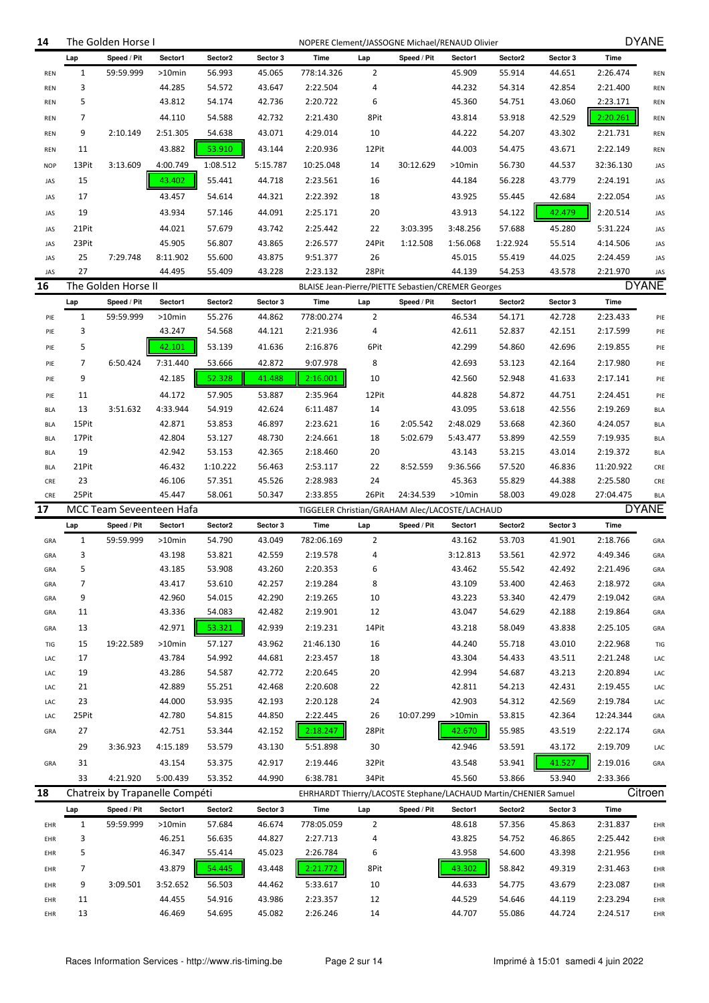| 14                       |              | The Golden Horse I             |                    |                  |                  | NOPERE Clement/JASSOGNE Michael/RENAUD Olivier                  |                |             |                    |                    |                  |                      | <b>DYANE</b>             |
|--------------------------|--------------|--------------------------------|--------------------|------------------|------------------|-----------------------------------------------------------------|----------------|-------------|--------------------|--------------------|------------------|----------------------|--------------------------|
|                          | Lap          | Speed / Pit                    | Sector1            | Sector2          | Sector 3         | <b>Time</b>                                                     | Lap            | Speed / Pit | Sector1            | Sector2            | Sector 3         | <b>Time</b>          |                          |
| REN                      | $\mathbf{1}$ | 59:59.999                      | $>10$ min          | 56.993           | 45.065           | 778:14.326                                                      | $\overline{2}$ |             | 45.909             | 55.914             | 44.651           | 2:26.474             | <b>REN</b>               |
| <b>REN</b>               | 3            |                                | 44.285             | 54.572           | 43.647           | 2:22.504                                                        | 4              |             | 44.232             | 54.314             | 42.854           | 2:21.400             | <b>REN</b>               |
| <b>REN</b>               | 5            |                                | 43.812             | 54.174           | 42.736           | 2:20.722                                                        | 6              |             | 45.360             | 54.751             | 43.060           | 2:23.171             | <b>REN</b>               |
| <b>REN</b>               | 7            |                                | 44.110             | 54.588           | 42.732           | 2:21.430                                                        | 8Pit           |             | 43.814             | 53.918             | 42.529           | 2:20.261             | <b>REN</b>               |
| <b>REN</b>               | 9            | 2:10.149                       | 2:51.305           | 54.638           | 43.071           | 4:29.014                                                        | 10             |             | 44.222             | 54.207             | 43.302           | 2:21.731             | <b>REN</b>               |
| <b>REN</b>               | 11           |                                | 43.882             | 53.910           | 43.144           | 2:20.936                                                        | 12Pit          |             | 44.003             | 54.475             | 43.671           | 2:22.149             | <b>REN</b>               |
| <b>NOP</b>               | 13Pit        | 3:13.609                       | 4:00.749           | 1:08.512         | 5:15.787         | 10:25.048                                                       | 14             | 30:12.629   | $>10$ min          | 56.730             | 44.537           | 32:36.130            | JAS                      |
|                          |              |                                |                    |                  |                  |                                                                 |                |             |                    |                    |                  |                      |                          |
| JAS                      | 15<br>17     |                                | 43.402             | 55.441           | 44.718           | 2:23.561                                                        | 16             |             | 44.184             | 56.228             | 43.779           | 2:24.191             | JAS                      |
| JAS                      |              |                                | 43.457             | 54.614           | 44.321           | 2:22.392                                                        | 18             |             | 43.925             | 55.445             | 42.684           | 2:22.054             | JAS                      |
| JAS                      | 19           |                                | 43.934             | 57.146           | 44.091           | 2:25.171                                                        | 20             |             | 43.913             | 54.122             | 42.479           | 2:20.514             | JAS                      |
| JAS                      | 21Pit        |                                | 44.021             | 57.679           | 43.742           | 2:25.442                                                        | 22             | 3:03.395    | 3:48.256           | 57.688             | 45.280           | 5:31.224             | JAS                      |
| JAS                      | 23Pit<br>25  | 7:29.748                       | 45.905<br>8:11.902 | 56.807<br>55.600 | 43.865<br>43.875 | 2:26.577<br>9:51.377                                            | 24Pit<br>26    | 1:12.508    | 1:56.068<br>45.015 | 1:22.924<br>55.419 | 55.514<br>44.025 | 4:14.506<br>2:24.459 | JAS                      |
| JAS<br>JAS               | 27           |                                | 44.495             | 55.409           | 43.228           | 2:23.132                                                        | 28Pit          |             | 44.139             | 54.253             | 43.578           | 2:21.970             | JAS<br>JAS               |
| 16                       |              | The Golden Horse II            |                    |                  |                  | BLAISE Jean-Pierre/PIETTE Sebastien/CREMER Georges              |                |             |                    |                    |                  |                      | <b>DYANE</b>             |
|                          | Lap          | Speed / Pit                    | Sector1            | Sector2          | Sector 3         | Time                                                            | Lap            | Speed / Pit | Sector1            | Sector2            | Sector 3         | <b>Time</b>          |                          |
|                          | $\mathbf{1}$ | 59:59.999                      | $>10$ min          | 55.276           | 44.862           | 778:00.274                                                      | $\overline{2}$ |             | 46.534             | 54.171             | 42.728           | 2:23.433             |                          |
| PIE<br>PIE               | 3            |                                | 43.247             | 54.568           | 44.121           | 2:21.936                                                        | 4              |             | 42.611             | 52.837             | 42.151           | 2:17.599             | PIE<br>PIE               |
|                          | 5            |                                | 42.101             | 53.139           | 41.636           | 2:16.876                                                        | 6Pit           |             | 42.299             | 54.860             | 42.696           | 2:19.855             |                          |
| PIE                      | 7            | 6:50.424                       | 7:31.440           | 53.666           |                  | 9:07.978                                                        | 8              |             | 42.693             |                    |                  |                      | PIE                      |
| PIE                      |              |                                |                    |                  | 42.872           |                                                                 |                |             |                    | 53.123             | 42.164           | 2:17.980             | PIE                      |
| PIE                      | 9            |                                | 42.185             | 52.328           | 41.488           | 2:16.001                                                        | 10             |             | 42.560             | 52.948             | 41.633           | 2:17.141             | PIE                      |
| PIE                      | 11           |                                | 44.172             | 57.905           | 53.887           | 2:35.964                                                        | 12Pit          |             | 44.828             | 54.872             | 44.751           | 2:24.451             | PIE                      |
| <b>BLA</b>               | 13<br>15Pit  | 3:51.632                       | 4:33.944<br>42.871 | 54.919<br>53.853 | 42.624<br>46.897 | 6:11.487<br>2:23.621                                            | 14             | 2:05.542    | 43.095<br>2:48.029 | 53.618             | 42.556           | 2:19.269<br>4:24.057 | <b>BLA</b>               |
| <b>BLA</b><br><b>BLA</b> | 17Pit        |                                | 42.804             | 53.127           | 48.730           | 2:24.661                                                        | 16<br>18       | 5:02.679    | 5:43.477           | 53.668<br>53.899   | 42.360<br>42.559 | 7:19.935             | <b>BLA</b><br><b>BLA</b> |
| <b>BLA</b>               | 19           |                                | 42.942             | 53.153           | 42.365           | 2:18.460                                                        | 20             |             | 43.143             | 53.215             | 43.014           | 2:19.372             | <b>BLA</b>               |
| <b>BLA</b>               | 21Pit        |                                | 46.432             | 1:10.222         | 56.463           | 2:53.117                                                        | 22             | 8:52.559    | 9:36.566           | 57.520             | 46.836           | 11:20.922            | CRE                      |
| CRE                      | 23           |                                | 46.106             | 57.351           | 45.526           | 2:28.983                                                        | 24             |             | 45.363             | 55.829             | 44.388           | 2:25.580             | CRE                      |
| CRE                      | 25Pit        |                                | 45.447             | 58.061           | 50.347           | 2:33.855                                                        | 26Pit          | 24:34.539   | >10min             | 58.003             | 49.028           | 27:04.475            | <b>BLA</b>               |
| 17                       |              | MCC Team Seveenteen Hafa       |                    |                  |                  | TIGGELER Christian/GRAHAM Alec/LACOSTE/LACHAUD                  |                |             |                    |                    |                  |                      | <b>DYANE</b>             |
|                          | Lap          | Speed / Pit                    | Sector1            | Sector2          | Sector 3         | <b>Time</b>                                                     | Lap            | Speed / Pit | Sector1            | Sector2            | Sector 3         | <b>Time</b>          |                          |
| GRA                      | 1            | 59:59.999                      | $>10$ min          | 54.790           | 43.049           | 782:06.169                                                      | 2              |             | 43.162             | 53.703             | 41.901           | 2:18.766             | GRA                      |
| GRA                      | 3            |                                | 43.198             | 53.821           | 42.559           | 2:19.578                                                        | 4              |             | 3:12.813           | 53.561             | 42.972           | 4:49.346             | GRA                      |
| GRA                      | 5            |                                | 43.185             | 53.908           | 43.260           | 2:20.353                                                        | ĥ              |             | 43.462             | 55.542             | 42.492           | 2:21.496             | GRA                      |
| GRA                      | 7            |                                | 43.417             | 53.610           | 42.257           | 2:19.284                                                        | 8              |             | 43.109             | 53.400             | 42.463           | 2:18.972             | GRA                      |
| GRA                      | 9            |                                | 42.960             | 54.015           | 42.290           | 2:19.265                                                        | 10             |             | 43.223             | 53.340             | 42.479           | 2:19.042             | GRA                      |
| GRA                      | 11           |                                | 43.336             | 54.083           | 42.482           | 2:19.901                                                        | 12             |             | 43.047             | 54.629             | 42.188           | 2:19.864             | GRA                      |
| GRA                      | 13           |                                | 42.971             | 53.321           | 42.939           | 2:19.231                                                        | 14Pit          |             | 43.218             | 58.049             | 43.838           | 2:25.105             | GRA                      |
| TIG                      | 15           | 19:22.589                      | >10min             | 57.127           | 43.962           | 21:46.130                                                       | 16             |             | 44.240             | 55.718             | 43.010           | 2:22.968             | TIG                      |
| LAC                      | 17           |                                | 43.784             | 54.992           | 44.681           | 2:23.457                                                        | 18             |             | 43.304             | 54.433             | 43.511           | 2:21.248             | LAC                      |
| LAC                      | 19           |                                | 43.286             | 54.587           | 42.772           | 2:20.645                                                        | 20             |             | 42.994             | 54.687             | 43.213           | 2:20.894             | LAC                      |
| LAC                      | 21           |                                | 42.889             | 55.251           | 42.468           | 2:20.608                                                        | 22             |             | 42.811             | 54.213             | 42.431           | 2:19.455             | LAC                      |
| LAC                      | 23           |                                | 44.000             | 53.935           | 42.193           | 2:20.128                                                        | 24             |             | 42.903             | 54.312             | 42.569           | 2:19.784             | LAC                      |
| LAC                      | 25Pit        |                                | 42.780             | 54.815           | 44.850           | 2:22.445                                                        | 26             | 10:07.299   | >10min             | 53.815             | 42.364           | 12:24.344            | GRA                      |
| GRA                      | 27           |                                | 42.751             | 53.344           | 42.152           | 2:18.247                                                        | 28Pit          |             | 42.670             | 55.985             | 43.519           | 2:22.174             | GRA                      |
|                          | 29           | 3:36.923                       | 4:15.189           | 53.579           | 43.130           | 5:51.898                                                        | 30             |             | 42.946             | 53.591             | 43.172           | 2:19.709             | LAC                      |
| GRA                      | 31           |                                | 43.154             | 53.375           | 42.917           | 2:19.446                                                        | 32Pit          |             | 43.548             | 53.941             | 41.527           | 2:19.016             | GRA                      |
|                          | 33           | 4:21.920                       | 5:00.439           | 53.352           | 44.990           | 6:38.781                                                        | 34Pit          |             | 45.560             | 53.866             | 53.940           | 2:33.366             |                          |
| 18                       |              | Chatreix by Trapanelle Compéti |                    |                  |                  | EHRHARDT Thierry/LACOSTE Stephane/LACHAUD Martin/CHENIER Samuel |                |             |                    |                    |                  |                      | Citroen                  |
|                          | Lap          | Speed / Pit                    | Sector1            | Sector2          | Sector 3         | Time                                                            | Lap            | Speed / Pit | Sector1            | Sector2            | Sector 3         | <b>Time</b>          |                          |
| EHR                      | $\mathbf{1}$ | 59:59.999                      | $>10$ min          | 57.684           | 46.674           | 778:05.059                                                      | $\overline{2}$ |             | 48.618             | 57.356             | 45.863           | 2:31.837             | EHR                      |
| EHR                      | 3            |                                | 46.251             | 56.635           | 44.827           | 2:27.713                                                        | 4              |             | 43.825             | 54.752             | 46.865           | 2:25.442             | EHR                      |
| EHR                      | 5            |                                | 46.347             | 55.414           | 45.023           | 2:26.784                                                        | 6              |             | 43.958             | 54.600             | 43.398           | 2:21.956             | EHR                      |
| EHR                      | 7            |                                | 43.879             | 54.445           | 43.448           | 2:21.772                                                        | 8Pit           |             | 43.302             | 58.842             | 49.319           | 2:31.463             | EHR                      |
| EHR                      | 9            | 3:09.501                       | 3:52.652           | 56.503           | 44.462           | 5:33.617                                                        | 10             |             | 44.633             | 54.775             | 43.679           | 2:23.087             | EHR                      |
| EHR                      | 11           |                                | 44.455             | 54.916           | 43.986           | 2:23.357                                                        | 12             |             | 44.529             | 54.646             | 44.119           | 2:23.294             | EHR                      |
| EHR                      | 13           |                                | 46.469             | 54.695           | 45.082           | 2:26.246                                                        | 14             |             | 44.707             | 55.086             | 44.724           | 2:24.517             | EHR                      |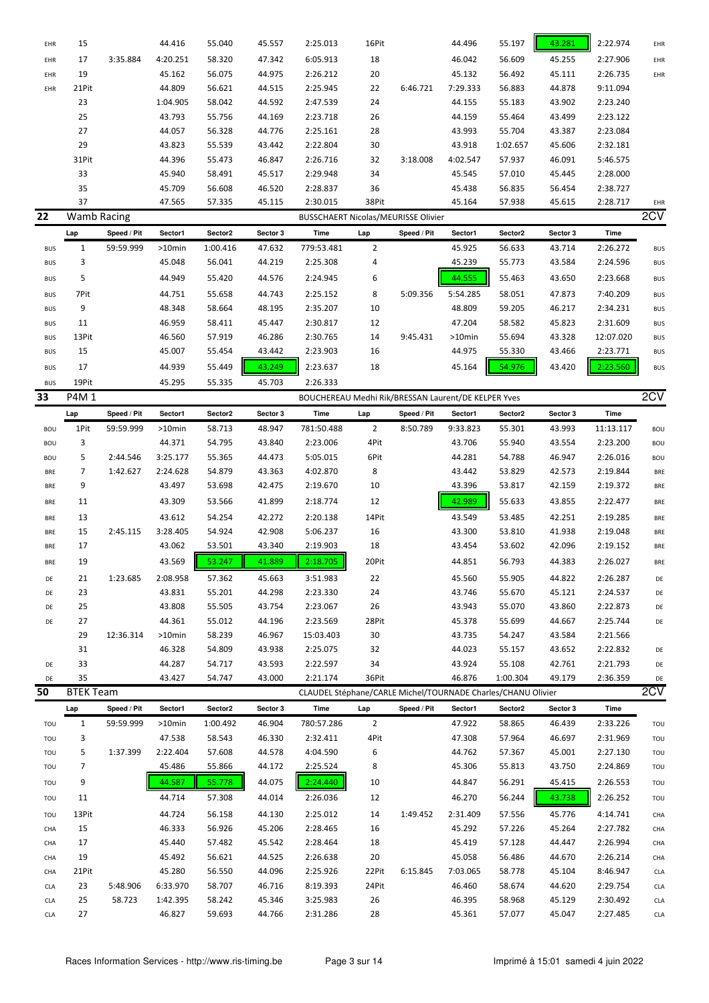| EHR        | 15                 |             | 44.416    | 55.040   | 45.557   | 2:25.013                                                     | 16Pit          |             | 44.496   | 55.197   | 43.281   | 2:22.974    | EHR        |
|------------|--------------------|-------------|-----------|----------|----------|--------------------------------------------------------------|----------------|-------------|----------|----------|----------|-------------|------------|
| EHR        | 17                 | 3:35.884    | 4:20.251  | 58.320   | 47.342   | 6:05.913                                                     | 18             |             | 46.042   | 56.609   | 45.255   | 2:27.906    | EHR        |
| EHR        | 19                 |             | 45.162    | 56.075   | 44.975   | 2:26.212                                                     | 20             |             | 45.132   | 56.492   | 45.111   | 2:26.735    | EHR        |
| EHR        | 21Pit              |             | 44.809    | 56.621   | 44.515   | 2:25.945                                                     | 22             | 6:46.721    | 7:29.333 | 56.883   | 44.878   | 9:11.094    |            |
|            | 23                 |             | 1:04.905  | 58.042   | 44.592   | 2:47.539                                                     | 24             |             | 44.155   | 55.183   | 43.902   | 2:23.240    |            |
|            | 25                 |             | 43.793    | 55.756   | 44.169   | 2:23.718                                                     | 26             |             | 44.159   | 55.464   | 43.499   | 2:23.122    |            |
|            | 27                 |             | 44.057    | 56.328   | 44.776   | 2:25.161                                                     | 28             |             | 43.993   | 55.704   | 43.387   | 2:23.084    |            |
|            | 29                 |             | 43.823    | 55.539   | 43.442   | 2:22.804                                                     | 30             |             | 43.918   | 1:02.657 | 45.606   | 2:32.181    |            |
|            | 31Pit              |             | 44.396    | 55.473   | 46.847   | 2:26.716                                                     | 32             | 3:18.008    | 4:02.547 | 57.937   | 46.091   | 5:46.575    |            |
|            | 33                 |             | 45.940    | 58.491   | 45.517   | 2:29.948                                                     | 34             |             | 45.545   | 57.010   | 45.445   | 2:28.000    |            |
|            | 35                 |             | 45.709    | 56.608   | 46.520   | 2:28.837                                                     | 36             |             | 45.438   | 56.835   | 56.454   | 2:38.727    |            |
|            | 37                 |             | 47.565    | 57.335   | 45.115   | 2:30.015                                                     | 38Pit          |             | 45.164   | 57.938   | 45.615   | 2:28.717    | EHR        |
| 22         | <b>Wamb Racing</b> |             |           |          |          | BUSSCHAERT Nicolas/MEURISSE Olivier                          |                |             |          |          |          |             | 2CV        |
|            | Lap                | Speed / Pit | Sector1   | Sector2  | Sector 3 | Time                                                         | Lap            | Speed / Pit | Sector1  | Sector2  | Sector 3 | Time        |            |
| <b>BUS</b> | $\mathbf{1}$       | 59:59.999   | >10min    | 1:00.416 | 47.632   | 779:53.481                                                   | $\overline{2}$ |             | 45.925   | 56.633   | 43.714   | 2:26.272    | <b>BUS</b> |
| <b>BUS</b> | 3                  |             | 45.048    | 56.041   | 44.219   | 2:25.308                                                     | 4              |             | 45.239   | 55.773   | 43.584   | 2:24.596    | <b>BUS</b> |
|            |                    |             |           |          |          |                                                              |                |             |          |          |          |             |            |
| <b>BUS</b> | 5                  |             | 44.949    | 55.420   | 44.576   | 2:24.945                                                     | 6              |             | 44.555   | 55.463   | 43.650   | 2:23.668    | <b>BUS</b> |
| <b>BUS</b> | 7Pit               |             | 44.751    | 55.658   | 44.743   | 2:25.152                                                     | 8              | 5:09.356    | 5:54.285 | 58.051   | 47.873   | 7:40.209    | <b>BUS</b> |
| <b>BUS</b> | 9                  |             | 48.348    | 58.664   | 48.195   | 2:35.207                                                     | 10             |             | 48.809   | 59.205   | 46.217   | 2:34.231    | <b>BUS</b> |
| <b>BUS</b> | 11                 |             | 46.959    | 58.411   | 45.447   | 2:30.817                                                     | 12             |             | 47.204   | 58.582   | 45.823   | 2:31.609    | <b>BUS</b> |
| <b>BUS</b> | 13Pit              |             | 46.560    | 57.919   | 46.286   | 2:30.765                                                     | 14             | 9:45.431    | >10min   | 55.694   | 43.328   | 12:07.020   | <b>BUS</b> |
| <b>BUS</b> | 15                 |             | 45.007    | 55.454   | 43.442   | 2:23.903                                                     | 16             |             | 44.975   | 55.330   | 43.466   | 2:23.771    | <b>BUS</b> |
| <b>BUS</b> | 17                 |             | 44.939    | 55.449   | 43.249   | 2:23.637                                                     | 18             |             | 45.164   | 54.976   | 43.420   | 2:23.560    | <b>BUS</b> |
| <b>BUS</b> | 19Pit              |             | 45.295    | 55.335   | 45.703   | 2:26.333                                                     |                |             |          |          |          |             |            |
| 33         | P4M 1              |             |           |          |          | BOUCHEREAU Medhi Rik/BRESSAN Laurent/DE KELPER Yves          |                |             |          |          |          |             | 2CV        |
|            | Lap                | Speed / Pit | Sector1   | Sector2  | Sector 3 | Time                                                         | Lap            | Speed / Pit | Sector1  | Sector2  | Sector 3 | <b>Time</b> |            |
| <b>BOU</b> | 1Pit               | 59:59.999   | >10min    | 58.713   | 48.947   | 781:50.488                                                   | $\overline{2}$ | 8:50.789    | 9:33.823 | 55.301   | 43.993   | 11:13.117   | <b>BOU</b> |
| <b>BOU</b> | 3                  |             | 44.371    | 54.795   | 43.840   | 2:23.006                                                     | 4Pit           |             | 43.706   | 55.940   | 43.554   | 2:23.200    | <b>BOU</b> |
| <b>BOU</b> | 5                  | 2:44.546    | 3:25.177  | 55.365   | 44.473   | 5:05.015                                                     | 6Pit           |             | 44.281   | 54.788   | 46.947   | 2:26.016    | <b>BOU</b> |
|            | 7                  | 1:42.627    | 2:24.628  | 54.879   | 43.363   | 4:02.870                                                     | 8              |             | 43.442   | 53.829   | 42.573   | 2:19.844    |            |
| BRE        |                    |             |           |          |          |                                                              |                |             |          |          |          |             | <b>BRE</b> |
| BRE        | 9                  |             | 43.497    | 53.698   | 42.475   | 2:19.670                                                     | 10             |             | 43.396   | 53.817   | 42.159   | 2:19.372    | <b>BRE</b> |
| BRE        | 11                 |             | 43.309    | 53.566   | 41.899   | 2:18.774                                                     | 12             |             | 42.989   | 55.633   | 43.855   | 2:22.477    | <b>BRE</b> |
| BRE        | 13                 |             | 43.612    | 54.254   | 42.272   | 2:20.138                                                     | 14Pit          |             | 43.549   | 53.485   | 42.251   | 2:19.285    | <b>BRE</b> |
| BRE        | 15                 | 2:45.115    | 3:28.405  | 54.924   | 42.908   | 5:06.237                                                     | 16             |             | 43.300   | 53.810   | 41.938   | 2:19.048    | <b>BRE</b> |
| BRE        | 17                 |             | 43.062    | 53.501   | 43.340   | 2:19.903                                                     | 18             |             | 43.454   | 53.602   | 42.096   | 2:19.152    | <b>BRE</b> |
| BRE        | 19                 |             | 43.569    | 53.247   | 41.889   | 2:18.705                                                     | 20Pit          |             | 44.851   | 56.793   | 44.383   | 2:26.027    | <b>BRE</b> |
| DE         | 21                 | 1:23.685    | 2:08.958  | 57.362   | 45.663   | 3:51.983                                                     | 22             |             | 45.560   | 55.905   | 44.822   | 2:26.287    | DE         |
| DE         | 23                 |             | 43.831    | 55.201   | 44.298   | 2:23.330                                                     | 24             |             | 43.746   | 55.670   | 45.121   | 2:24.537    | DE         |
| DE         | 25                 |             | 43.808    | 55.505   | 43.754   | 2:23.067                                                     | 26             |             | 43.943   | 55.070   | 43.860   | 2:22.873    | DE         |
| DE         | 27                 |             | 44.361    | 55.012   | 44.196   | 2:23.569                                                     | 28Pit          |             | 45.378   | 55.699   | 44.667   | 2:25.744    | DE         |
|            | 29                 | 12:36.314   | $>10$ min | 58.239   | 46.967   | 15:03.403                                                    | 30             |             | 43.735   | 54.247   | 43.584   | 2:21.566    |            |
|            | 31                 |             | 46.328    | 54.809   | 43.938   | 2:25.075                                                     | 32             |             | 44.023   | 55.157   | 43.652   | 2:22.832    | DE         |
| DE         | 33                 |             | 44.287    | 54.717   | 43.593   | 2:22.597                                                     | 34             |             | 43.924   | 55.108   | 42.761   | 2:21.793    | DE         |
| DE         | 35                 |             | 43.427    | 54.747   | 43.000   | 2:21.174                                                     | 36Pit          |             | 46.876   | 1:00.304 | 49.179   | 2:36.359    | DE         |
| 50         | <b>BTEK Team</b>   |             |           |          |          | CLAUDEL Stéphane/CARLE Michel/TOURNADE Charles/CHANU Olivier |                |             |          |          |          |             | 2CV        |
|            |                    |             |           |          |          |                                                              |                |             |          |          |          |             |            |
|            | Lap                | Speed / Pit | Sector1   | Sector2  | Sector 3 | Time                                                         | Lap            | Speed / Pit | Sector1  | Sector2  | Sector 3 | Time        |            |
| TOU        | $\mathbf{1}$       | 59:59.999   | >10min    | 1:00.492 | 46.904   | 780:57.286                                                   | $\overline{2}$ |             | 47.922   | 58.865   | 46.439   | 2:33.226    | TOU        |
| TOU        | 3                  |             | 47.538    | 58.543   | 46.330   | 2:32.411                                                     | 4Pit           |             | 47.308   | 57.964   | 46.697   | 2:31.969    | TOU        |
| TOU        | 5                  | 1:37.399    | 2:22.404  | 57.608   | 44.578   | 4:04.590                                                     | 6              |             | 44.762   | 57.367   | 45.001   | 2:27.130    | TOU        |
| TOU        | 7                  |             | 45.486    | 55.866   | 44.172   | 2:25.524                                                     | 8              |             | 45.306   | 55.813   | 43.750   | 2:24.869    | TOU        |
| TOU        | 9                  |             | 44.587    | 55.778   | 44.075   | 2:24.440                                                     | 10             |             | 44.847   | 56.291   | 45.415   | 2:26.553    | TOU        |
| TOU        | 11                 |             | 44.714    | 57.308   | 44.014   | 2:26.036                                                     | 12             |             | 46.270   | 56.244   | 43.738   | 2:26.252    | TOU        |
| TOU        | 13Pit              |             | 44.724    | 56.158   | 44.130   | 2:25.012                                                     | 14             | 1:49.452    | 2:31.409 | 57.556   | 45.776   | 4:14.741    | CHA        |
| CHA        | 15                 |             | 46.333    | 56.926   | 45.206   | 2:28.465                                                     | 16             |             | 45.292   | 57.226   | 45.264   | 2:27.782    | CHA        |
| CHA        | 17                 |             | 45.440    | 57.482   | 45.542   | 2:28.464                                                     | 18             |             | 45.419   | 57.128   | 44.447   | 2:26.994    | CHA        |
| CHA        | 19                 |             | 45.492    | 56.621   | 44.525   | 2:26.638                                                     | 20             |             | 45.058   | 56.486   | 44.670   | 2:26.214    | CHA        |
| CHA        | 21Pit              |             | 45.280    | 56.550   | 44.096   | 2:25.926                                                     | 22Pit          | 6:15.845    | 7:03.065 | 58.778   | 45.104   | 8:46.947    | <b>CLA</b> |
| CLA        | 23                 | 5:48.906    | 6:33.970  | 58.707   | 46.716   | 8:19.393                                                     | 24Pit          |             | 46.460   | 58.674   | 44.620   | 2:29.754    | <b>CLA</b> |
| CLA        | 25                 | 58.723      | 1:42.395  | 58.242   | 45.346   | 3:25.983                                                     | 26             |             | 46.395   | 58.968   | 45.129   | 2:30.492    | <b>CLA</b> |
| CLA        | 27                 |             | 46.827    | 59.693   | 44.766   | 2:31.286                                                     | 28             |             | 45.361   | 57.077   | 45.047   | 2:27.485    | <b>CLA</b> |
|            |                    |             |           |          |          |                                                              |                |             |          |          |          |             |            |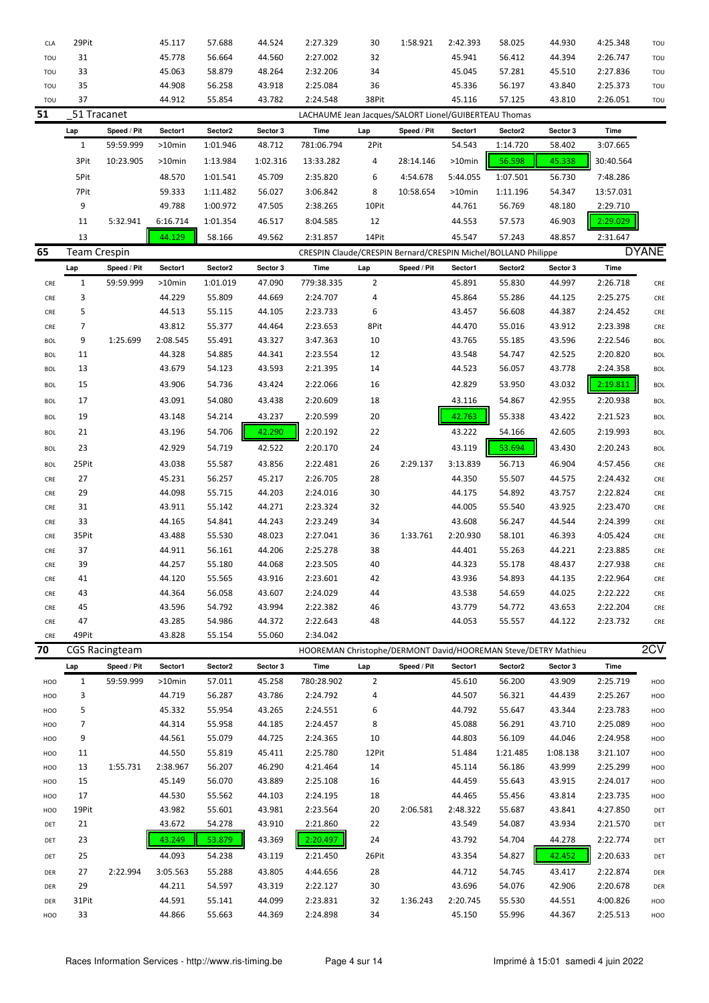| CLA         | 29Pit               |                       | 45.117    | 57.688   | 44.524   | 2:27.329                                              | 30             | 1:58.921    | 2:42.393  | 58.025                                                         | 44.930   | 4:25.348    | TOU          |
|-------------|---------------------|-----------------------|-----------|----------|----------|-------------------------------------------------------|----------------|-------------|-----------|----------------------------------------------------------------|----------|-------------|--------------|
| TOU         | 31                  |                       | 45.778    | 56.664   | 44.560   | 2:27.002                                              | 32             |             | 45.941    | 56.412                                                         | 44.394   | 2:26.747    | TOU          |
| TOU         | 33                  |                       | 45.063    | 58.879   | 48.264   | 2:32.206                                              | 34             |             | 45.045    | 57.281                                                         | 45.510   | 2:27.836    | TOU          |
| TOU         | 35                  |                       | 44.908    | 56.258   | 43.918   | 2:25.084                                              | 36             |             | 45.336    | 56.197                                                         | 43.840   | 2:25.373    | TOU          |
| TOU         | 37                  |                       | 44.912    | 55.854   | 43.782   | 2:24.548                                              | 38Pit          |             | 45.116    | 57.125                                                         | 43.810   | 2:26.051    | TOU          |
| 51          | 51 Tracanet         |                       |           |          |          | LACHAUME Jean Jacques/SALORT Lionel/GUIBERTEAU Thomas |                |             |           |                                                                |          |             |              |
|             | Lap                 | Speed / Pit           | Sector1   | Sector2  | Sector 3 | Time                                                  | Lap            | Speed / Pit | Sector1   | Sector2                                                        | Sector 3 | <b>Time</b> |              |
|             | $\mathbf{1}$        | 59:59.999             | >10min    | 1:01.946 | 48.712   | 781:06.794                                            | 2Pit           |             | 54.543    | 1:14.720                                                       | 58.402   | 3:07.665    |              |
|             | 3Pit                | 10:23.905             | $>10$ min | 1:13.984 | 1:02.316 | 13:33.282                                             | 4              | 28:14.146   | $>10$ min | 56.598                                                         | 45.338   | 30:40.564   |              |
|             | 5Pit                |                       | 48.570    | 1:01.541 | 45.709   | 2:35.820                                              | 6              | 4:54.678    | 5:44.055  | 1:07.501                                                       | 56.730   | 7:48.286    |              |
|             | 7Pit                |                       | 59.333    | 1:11.482 | 56.027   | 3:06.842                                              | 8              | 10:58.654   | >10min    | 1:11.196                                                       | 54.347   | 13:57.031   |              |
|             | 9                   |                       | 49.788    | 1:00.972 | 47.505   | 2:38.265                                              | 10Pit          |             | 44.761    | 56.769                                                         | 48.180   | 2:29.710    |              |
|             | 11                  | 5:32.941              | 6:16.714  | 1:01.354 | 46.517   | 8:04.585                                              | 12             |             | 44.553    | 57.573                                                         | 46.903   | 2:29.029    |              |
|             | 13                  |                       | 44.129    | 58.166   | 49.562   | 2:31.857                                              | 14Pit          |             | 45.547    | 57.243                                                         | 48.857   | 2:31.647    |              |
| 65          | <b>Team Crespin</b> |                       |           |          |          |                                                       |                |             |           |                                                                |          |             | <b>DYANE</b> |
|             |                     |                       |           |          |          |                                                       |                |             |           | CRESPIN Claude/CRESPIN Bernard/CRESPIN Michel/BOLLAND Philippe |          |             |              |
|             | Lap                 | Speed / Pit           | Sector1   | Sector2  | Sector 3 | Time                                                  | Lap            | Speed / Pit | Sector1   | Sector2                                                        | Sector 3 | <b>Time</b> |              |
| ${\sf CRE}$ | $\mathbf{1}$        | 59:59.999             | $>10$ min | 1:01.019 | 47.090   | 779:38.335                                            | $\overline{2}$ |             | 45.891    | 55.830                                                         | 44.997   | 2:26.718    | CRE          |
| CRE         | 3                   |                       | 44.229    | 55.809   | 44.669   | 2:24.707                                              | 4              |             | 45.864    | 55.286                                                         | 44.125   | 2:25.275    | CRE          |
| CRE         | 5                   |                       | 44.513    | 55.115   | 44.105   | 2:23.733                                              | 6              |             | 43.457    | 56.608                                                         | 44.387   | 2:24.452    | CRE          |
| CRE         | 7                   |                       | 43.812    | 55.377   | 44.464   | 2:23.653                                              | 8Pit           |             | 44.470    | 55.016                                                         | 43.912   | 2:23.398    | CRE          |
| <b>BOL</b>  | 9                   | 1:25.699              | 2:08.545  | 55.491   | 43.327   | 3:47.363                                              | 10             |             | 43.765    | 55.185                                                         | 43.596   | 2:22.546    | <b>BOL</b>   |
| <b>BOL</b>  | 11                  |                       | 44.328    | 54.885   | 44.341   | 2:23.554                                              | 12             |             | 43.548    | 54.747                                                         | 42.525   | 2:20.820    | <b>BOL</b>   |
| <b>BOL</b>  | 13                  |                       | 43.679    | 54.123   | 43.593   | 2:21.395                                              | 14             |             | 44.523    | 56.057                                                         | 43.778   | 2:24.358    | <b>BOL</b>   |
| <b>BOL</b>  | 15                  |                       | 43.906    | 54.736   | 43.424   | 2:22.066                                              | 16             |             | 42.829    | 53.950                                                         | 43.032   | 2:19.811    | <b>BOL</b>   |
| <b>BOL</b>  | 17                  |                       | 43.091    | 54.080   | 43.438   | 2:20.609                                              | 18             |             | 43.116    | 54.867                                                         | 42.955   | 2:20.938    | <b>BOL</b>   |
| <b>BOL</b>  | 19                  |                       | 43.148    | 54.214   | 43.237   | 2:20.599                                              | 20             |             | 42.763    | 55.338                                                         | 43.422   | 2:21.523    | <b>BOL</b>   |
| <b>BOL</b>  | 21                  |                       | 43.196    | 54.706   | 42.290   | 2:20.192                                              | 22             |             | 43.222    | 54.166                                                         | 42.605   | 2:19.993    | <b>BOL</b>   |
| <b>BOL</b>  | 23                  |                       | 42.929    | 54.719   | 42.522   | 2:20.170                                              | 24             |             | 43.119    | 53.694                                                         | 43.430   | 2:20.243    | <b>BOL</b>   |
| <b>BOL</b>  | 25Pit               |                       | 43.038    | 55.587   | 43.856   | 2:22.481                                              | 26             | 2:29.137    | 3:13.839  | 56.713                                                         | 46.904   | 4:57.456    | CRE          |
| CRE         | 27                  |                       | 45.231    | 56.257   | 45.217   | 2:26.705                                              | 28             |             | 44.350    | 55.507                                                         | 44.575   | 2:24.432    | CRE          |
| CRE         | 29                  |                       | 44.098    | 55.715   | 44.203   | 2:24.016                                              | 30             |             | 44.175    | 54.892                                                         | 43.757   | 2:22.824    | CRE          |
| CRE         | 31                  |                       | 43.911    | 55.142   | 44.271   | 2:23.324                                              | 32             |             | 44.005    | 55.540                                                         | 43.925   | 2:23.470    | CRE          |
| CRE         | 33                  |                       | 44.165    | 54.841   | 44.243   | 2:23.249                                              | 34             |             | 43.608    | 56.247                                                         | 44.544   | 2:24.399    | CRE          |
| CRE         | 35Pit               |                       | 43.488    | 55.530   | 48.023   | 2:27.041                                              | 36             | 1:33.761    | 2:20.930  | 58.101                                                         | 46.393   | 4:05.424    | CRE          |
| CRE         | 37                  |                       | 44.911    | 56.161   | 44.206   | 2:25.278                                              | 38             |             | 44.401    | 55.263                                                         | 44.221   | 2:23.885    | CRE          |
| CRE         | 39                  |                       | 44.257    | 55.180   | 44.068   | 2:23.505                                              | 40             |             | 44.323    | 55.178                                                         | 48.437   | 2:27.938    | CRE          |
| CRE         | 41                  |                       | 44.120    | 55.565   | 43.916   | 2:23.601                                              | 42             |             | 43.936    | 54.893                                                         | 44.135   | 2:22.964    | CRE          |
| CRE         | 43                  |                       | 44.364    | 56.058   | 43.607   | 2:24.029                                              | 44             |             | 43.538    | 54.659                                                         | 44.025   | 2:22.222    | CRE          |
| CRE         | 45                  |                       | 43.596    | 54.792   | 43.994   | 2:22.382                                              | 46             |             | 43.779    | 54.772                                                         | 43.653   | 2:22.204    | CRE          |
| CRE         | 47                  |                       | 43.285    | 54.986   | 44.372   | 2:22.643                                              | 48             |             | 44.053    | 55.557                                                         | 44.122   | 2:23.732    | CRE          |
| CRE         | 49Pit               |                       | 43.828    | 55.154   | 55.060   | 2:34.042                                              |                |             |           |                                                                |          |             |              |
| 70          |                     | <b>CGS Racingteam</b> |           |          |          |                                                       |                |             |           | HOOREMAN Christophe/DERMONT David/HOOREMAN Steve/DETRY Mathieu |          |             | 2CV          |
|             | Lap                 | Speed / Pit           | Sector1   | Sector2  | Sector 3 | <b>Time</b>                                           | Lap            | Speed / Pit | Sector1   | Sector2                                                        | Sector 3 | Time        |              |
| HOO         | $\mathbf{1}$        | 59:59.999             | $>10$ min | 57.011   | 45.258   | 780:28.902                                            | $\overline{2}$ |             | 45.610    | 56.200                                                         | 43.909   | 2:25.719    | HOO          |
| HOO         | 3                   |                       | 44.719    | 56.287   | 43.786   | 2:24.792                                              | 4              |             | 44.507    | 56.321                                                         | 44.439   | 2:25.267    | HOO          |
| HOO         | 5                   |                       | 45.332    | 55.954   | 43.265   | 2:24.551                                              | 6              |             | 44.792    | 55.647                                                         | 43.344   | 2:23.783    | HOO          |
| HOO         | 7                   |                       | 44.314    | 55.958   | 44.185   | 2:24.457                                              | 8              |             | 45.088    | 56.291                                                         | 43.710   | 2:25.089    | HOO          |
| HOO         | 9                   |                       | 44.561    | 55.079   | 44.725   | 2:24.365                                              | 10             |             | 44.803    | 56.109                                                         | 44.046   | 2:24.958    | HOO          |
| HOO         | 11                  |                       | 44.550    | 55.819   | 45.411   | 2:25.780                                              | 12Pit          |             | 51.484    | 1:21.485                                                       | 1:08.138 | 3:21.107    | HOO          |
| HOO         | 13                  | 1:55.731              | 2:38.967  | 56.207   | 46.290   | 4:21.464                                              | 14             |             | 45.114    | 56.186                                                         | 43.999   | 2:25.299    | HOO          |
| HOO         | 15                  |                       | 45.149    | 56.070   | 43.889   | 2:25.108                                              | 16             |             | 44.459    | 55.643                                                         | 43.915   | 2:24.017    | HOO          |
| HOO         | 17                  |                       | 44.530    | 55.562   | 44.103   | 2:24.195                                              | 18             |             | 44.465    | 55.456                                                         | 43.814   | 2:23.735    | HOO          |
| HOO         | 19Pit               |                       | 43.982    | 55.601   | 43.981   | 2:23.564                                              | 20             | 2:06.581    | 2:48.322  | 55.687                                                         | 43.841   | 4:27.850    | DET          |
| DET         | 21                  |                       | 43.672    | 54.278   | 43.910   | 2:21.860                                              | 22             |             | 43.549    | 54.087                                                         | 43.934   | 2:21.570    | DET          |
| DET         | 23                  |                       | 43.249    | 53.879   | 43.369   | 2:20.497                                              | 24             |             | 43.792    | 54.704                                                         | 44.278   | 2:22.774    | DET          |
| DET         | 25                  |                       | 44.093    | 54.238   | 43.119   | 2:21.450                                              | 26Pit          |             | 43.354    | 54.827                                                         | 42.452   | 2:20.633    | DET          |
| DER         | 27                  | 2:22.994              | 3:05.563  | 55.288   | 43.805   | 4:44.656                                              | 28             |             | 44.712    | 54.745                                                         | 43.417   | 2:22.874    | DER          |
| DER         | 29                  |                       | 44.211    | 54.597   | 43.319   | 2:22.127                                              | 30             |             | 43.696    | 54.076                                                         | 42.906   | 2:20.678    | DER          |
| DER         | 31Pit               |                       | 44.591    | 55.141   | 44.099   | 2:23.831                                              | 32             | 1:36.243    | 2:20.745  | 55.530                                                         | 44.551   | 4:00.826    | HOO          |
| HOO         | 33                  |                       | 44.866    | 55.663   | 44.369   | 2:24.898                                              | 34             |             | 45.150    | 55.996                                                         | 44.367   | 2:25.513    | HOO          |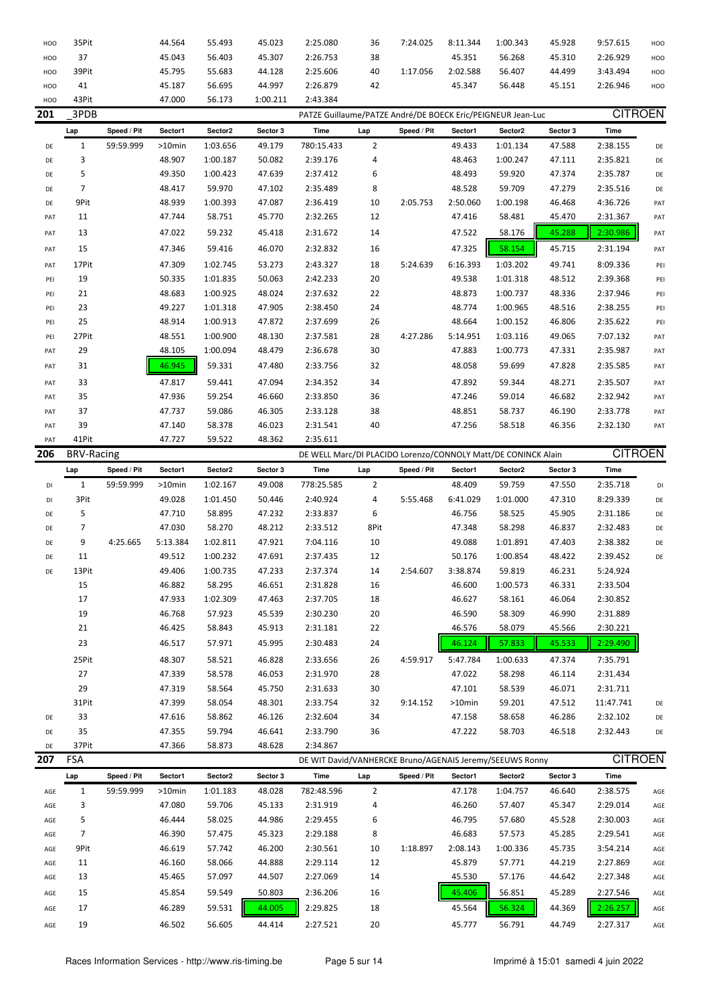| HOO | 35Pit             |             | 44.564           | 55.493   | 45.023   | 2:25.080             | 36             | 7:24.025                                                      | 8:11.344           | 1:00.343             | 45.928           | 9:57.615       | HOO |
|-----|-------------------|-------------|------------------|----------|----------|----------------------|----------------|---------------------------------------------------------------|--------------------|----------------------|------------------|----------------|-----|
| HOO | 37                |             | 45.043           | 56.403   | 45.307   | 2:26.753             | 38             |                                                               | 45.351             | 56.268               | 45.310           | 2:26.929       | HOO |
| HOO | 39Pit             |             | 45.795           | 55.683   | 44.128   | 2:25.606             | 40             | 1:17.056                                                      | 2:02.588           | 56.407               | 44.499           | 3:43.494       | HOO |
| HOO | 41                |             | 45.187           | 56.695   | 44.997   | 2:26.879             | 42             |                                                               | 45.347             | 56.448               | 45.151           | 2:26.946       | HOO |
| HOO | 43Pit             |             | 47.000           | 56.173   | 1:00.211 | 2:43.384             |                |                                                               |                    |                      |                  |                |     |
| 201 | 3PDB              |             |                  |          |          |                      |                | PATZE Guillaume/PATZE André/DE BOECK Eric/PEIGNEUR Jean-Luc   |                    |                      |                  | <b>CITROEN</b> |     |
|     | Lap               | Speed / Pit | Sector1          | Sector2  | Sector 3 | Time                 | Lap            | Speed / Pit                                                   | Sector1            | Sector2              | Sector 3         | Time           |     |
| DE  | $\mathbf{1}$      | 59:59.999   | >10min           | 1:03.656 | 49.179   | 780:15.433           | $\overline{2}$ |                                                               | 49.433             | 1:01.134             | 47.588           | 2:38.155       | DE  |
| DE  | 3                 |             | 48.907           | 1:00.187 | 50.082   | 2:39.176             | 4              |                                                               | 48.463             | 1:00.247             | 47.111           | 2:35.821       | DE  |
| DE  | 5                 |             | 49.350           | 1:00.423 | 47.639   | 2:37.412             | 6              |                                                               | 48.493             | 59.920               | 47.374           | 2:35.787       | DE  |
| DE  | 7                 |             | 48.417           | 59.970   | 47.102   | 2:35.489             | 8              |                                                               | 48.528             | 59.709               | 47.279           | 2:35.516       | DE  |
| DE  | 9Pit              |             | 48.939           | 1:00.393 | 47.087   | 2:36.419             | 10             | 2:05.753                                                      | 2:50.060           | 1:00.198             | 46.468           | 4:36.726       | PAT |
| PAT | 11                |             | 47.744           | 58.751   | 45.770   | 2:32.265             | 12             |                                                               | 47.416             | 58.481               | 45.470           | 2:31.367       | PAT |
| PAT | 13                |             | 47.022           | 59.232   | 45.418   | 2:31.672             | 14             |                                                               | 47.522             | 58.176               | 45.288           | 2:30.986       | PAT |
| PAT | 15                |             | 47.346           | 59.416   | 46.070   | 2:32.832             | 16             |                                                               | 47.325             | 58.154               | 45.715           | 2:31.194       | PAT |
| PAT | 17Pit             |             | 47.309           | 1:02.745 | 53.273   | 2:43.327             | 18             | 5:24.639                                                      | 6:16.393           | 1:03.202             | 49.741           | 8:09.336       | PEI |
| PEI | 19                |             | 50.335           | 1:01.835 | 50.063   | 2:42.233             | 20             |                                                               | 49.538             | 1:01.318             | 48.512           | 2:39.368       | PEI |
| PEI | 21                |             | 48.683           | 1:00.925 | 48.024   | 2:37.632             | 22             |                                                               | 48.873             | 1:00.737             | 48.336           | 2:37.946       | PEI |
| PEI | 23                |             | 49.227           | 1:01.318 | 47.905   | 2:38.450             | 24             |                                                               | 48.774             | 1:00.965             | 48.516           | 2:38.255       |     |
|     | 25                |             | 48.914           | 1:00.913 | 47.872   | 2:37.699             | 26             |                                                               | 48.664             | 1:00.152             | 46.806           | 2:35.622       | PEI |
| PEI | 27Pit             |             |                  | 1:00.900 |          |                      |                | 4:27.286                                                      |                    |                      |                  |                | PEI |
| PEI | 29                |             | 48.551<br>48.105 | 1:00.094 | 48.130   | 2:37.581<br>2:36.678 | 28<br>30       |                                                               | 5:14.951<br>47.883 | 1:03.116<br>1:00.773 | 49.065<br>47.331 | 7:07.132       | PAT |
| PAT |                   |             |                  |          | 48.479   |                      |                |                                                               |                    |                      |                  | 2:35.987       | PAT |
| PAT | 31                |             | 46.945           | 59.331   | 47.480   | 2:33.756             | 32             |                                                               | 48.058             | 59.699               | 47.828           | 2:35.585       | PAT |
| PAT | 33                |             | 47.817           | 59.441   | 47.094   | 2:34.352             | 34             |                                                               | 47.892             | 59.344               | 48.271           | 2:35.507       | PAT |
| PAT | 35                |             | 47.936           | 59.254   | 46.660   | 2:33.850             | 36             |                                                               | 47.246             | 59.014               | 46.682           | 2:32.942       | PAT |
| PAT | 37                |             | 47.737           | 59.086   | 46.305   | 2:33.128             | 38             |                                                               | 48.851             | 58.737               | 46.190           | 2:33.778       | PAT |
| PAT | 39                |             | 47.140           | 58.378   | 46.023   | 2:31.541             | 40             |                                                               | 47.256             | 58.518               | 46.356           | 2:32.130       | PAT |
| PAT | 41Pit             |             | 47.727           | 59.522   | 48.362   | 2:35.611             |                |                                                               |                    |                      |                  |                |     |
| 206 | <b>BRV-Racing</b> |             |                  |          |          |                      |                | DE WELL Marc/DI PLACIDO Lorenzo/CONNOLY Matt/DE CONINCK Alain |                    |                      |                  | <b>CITROEN</b> |     |
|     | Lap               | Speed / Pit | Sector1          | Sector2  | Sector 3 | Time                 | Lap            | Speed / Pit                                                   | Sector1            | Sector2              | Sector 3         | Time           |     |
| DI  | $\mathbf{1}$      | 59:59.999   | >10min           | 1:02.167 | 49.008   | 778:25.585           | $\overline{2}$ |                                                               | 48.409             | 59.759               | 47.550           | 2:35.718       | DI  |
| DI  | 3Pit              |             | 49.028           | 1:01.450 | 50.446   | 2:40.924             | 4              | 5:55.468                                                      | 6:41.029           | 1:01.000             | 47.310           | 8:29.339       | DE  |
| DE  | 5                 |             | 47.710           | 58.895   | 47.232   | 2:33.837             | 6              |                                                               | 46.756             | 58.525               | 45.905           | 2:31.186       | DE  |
| DE  | 7                 |             | 47.030           | 58.270   | 48.212   | 2:33.512             | 8Pit           |                                                               | 47.348             | 58.298               | 46.837           | 2:32.483       | DE  |
| DE  | 9                 | 4:25.665    | 5:13.384         | 1:02.811 | 47.921   | 7:04.116             | 10             |                                                               | 49.088             | 1:01.891             | 47.403           | 2:38.382       | DE  |
| DE  | 11                |             | 49.512           | 1:00.232 | 47.691   | 2:37.435             | 12             |                                                               | 50.176             | 1:00.854             | 48.422           | 2:39.452       | DE  |
| DE  | 13Pit             |             | 49.406           | 1:00.735 | 47.233   | 2:37.374             | 14             | 2:54.607                                                      | 3:38.874           | 59.819               | 46.231           | 5:24.924       |     |
|     | 15                |             | 46.882           | 58.295   | 46.651   | 2:31.828             | 16             |                                                               | 46.600             | 1:00.573             | 46.331           | 2:33.504       |     |
|     | 17                |             | 47.933           | 1:02.309 | 47.463   | 2:37.705             | 18             |                                                               | 46.627             | 58.161               | 46.064           | 2:30.852       |     |
|     | 19                |             | 46.768           | 57.923   | 45.539   | 2:30.230             | 20             |                                                               | 46.590             | 58.309               | 46.990           | 2:31.889       |     |
|     | 21                |             | 46.425           | 58.843   | 45.913   | 2:31.181             | 22             |                                                               | 46.576             | 58.079               | 45.566           | 2:30.221       |     |
|     | 23                |             | 46.517           | 57.971   | 45.995   | 2:30.483             | 24             |                                                               | 46.124             | 57.833               | 45.533           | 2:29.490       |     |
|     | 25Pit             |             | 48.307           | 58.521   | 46.828   | 2:33.656             | 26             | 4:59.917                                                      | 5:47.784           | 1:00.633             | 47.374           | 7:35.791       |     |
|     | 27                |             | 47.339           | 58.578   | 46.053   | 2:31.970             | 28             |                                                               | 47.022             | 58.298               | 46.114           | 2:31.434       |     |
|     | 29                |             | 47.319           | 58.564   | 45.750   | 2:31.633             | 30             |                                                               | 47.101             | 58.539               | 46.071           | 2:31.711       |     |
|     | 31Pit             |             | 47.399           | 58.054   | 48.301   | 2:33.754             | 32             | 9:14.152                                                      | >10min             | 59.201               | 47.512           | 11:47.741      | DE  |
| DE  | 33                |             | 47.616           | 58.862   | 46.126   | 2:32.604             | 34             |                                                               | 47.158             | 58.658               | 46.286           | 2:32.102       | DE  |
| DE  | 35                |             | 47.355           | 59.794   | 46.641   | 2:33.790             | 36             |                                                               | 47.222             | 58.703               | 46.518           | 2:32.443       | DE  |
| DE  | 37Pit             |             | 47.366           | 58.873   | 48.628   | 2:34.867             |                |                                                               |                    |                      |                  |                |     |
| 207 | FSA               |             |                  |          |          |                      |                | DE WIT David/VANHERCKE Bruno/AGENAIS Jeremy/SEEUWS Ronny      |                    |                      |                  | <b>CITROEN</b> |     |
|     |                   |             |                  |          |          |                      |                |                                                               |                    |                      |                  |                |     |
|     | Lap               | Speed / Pit | Sector1          | Sector2  | Sector 3 | Time                 | Lap            | Speed / Pit                                                   | Sector1            | Sector2              | Sector 3         | Time           |     |
| AGE |                   | 59:59.999   | >10min           |          |          |                      |                |                                                               | 47.178             | 1:04.757             | 46.640           | 2:38.575       | AGE |
| AGE | $\mathbf{1}$      |             |                  | 1:01.183 | 48.028   | 782:48.596           | $\overline{2}$ |                                                               |                    |                      |                  |                |     |
| AGE | 3                 |             | 47.080           | 59.706   | 45.133   | 2:31.919             | 4              |                                                               | 46.260             | 57.407               | 45.347           | 2:29.014       | AGE |
| AGE | 5                 |             | 46.444           | 58.025   | 44.986   | 2:29.455             | 6              |                                                               | 46.795             | 57.680               | 45.528           | 2:30.003       | AGE |
|     | 7                 |             | 46.390           | 57.475   | 45.323   | 2:29.188             | 8              |                                                               | 46.683             | 57.573               | 45.285           | 2:29.541       | AGE |
| AGE | 9Pit              |             | 46.619           | 57.742   | 46.200   | 2:30.561             | 10             | 1:18.897                                                      | 2:08.143           | 1:00.336             | 45.735           | 3:54.214       | AGE |
| AGE | 11                |             | 46.160           | 58.066   | 44.888   | 2:29.114             | 12             |                                                               | 45.879             | 57.771               | 44.219           | 2:27.869       | AGE |
| AGE | 13                |             | 45.465           | 57.097   | 44.507   | 2:27.069             | 14             |                                                               | 45.530             | 57.176               | 44.642           | 2:27.348       | AGE |
| AGE | 15                |             | 45.854           | 59.549   | 50.803   | 2:36.206             | 16             |                                                               | 45.406             | 56.851               | 45.289           | 2:27.546       | AGE |
| AGE | 17                |             | 46.289           | 59.531   | 44.005   | 2:29.825             | 18             |                                                               | 45.564             | 56.324               | 44.369           | 2:26.257       | AGE |
| AGE | 19                |             | 46.502           | 56.605   | 44.414   | 2:27.521             | 20             |                                                               | 45.777             | 56.791               | 44.749           | 2:27.317       | AGE |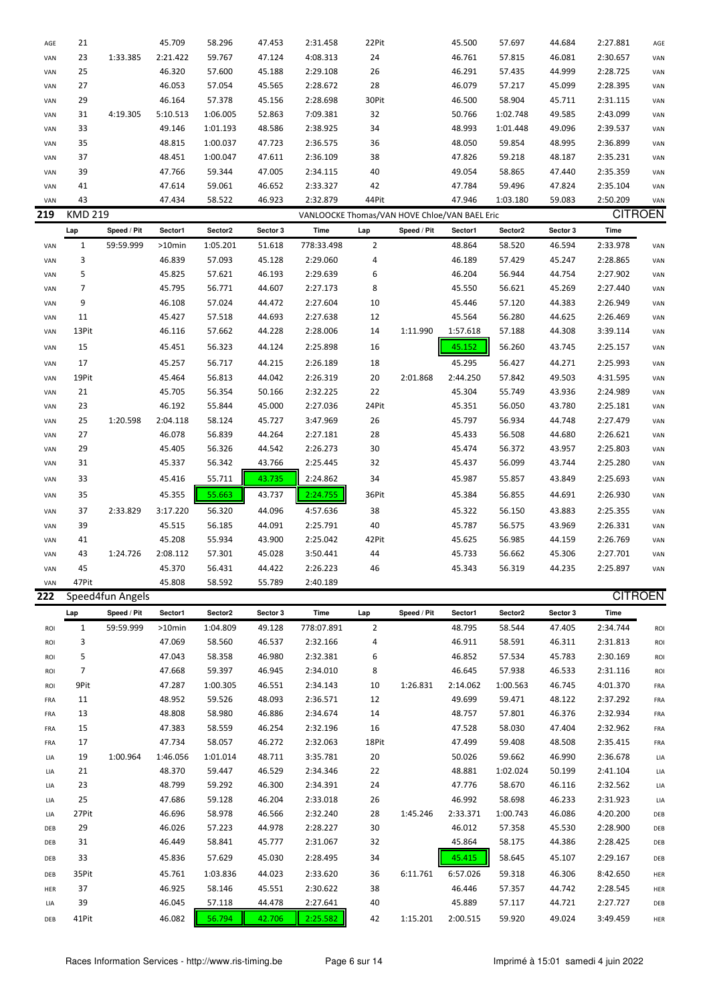| AGE        | 21             |                  | 45.709           | 58.296           | 47.453           | 2:31.458                                      | 22Pit          |             | 45.500             | 57.697           | 44.684           | 2:27.881             | AGE        |
|------------|----------------|------------------|------------------|------------------|------------------|-----------------------------------------------|----------------|-------------|--------------------|------------------|------------------|----------------------|------------|
| VAN        | 23             | 1:33.385         | 2:21.422         | 59.767           | 47.124           | 4:08.313                                      | 24             |             | 46.761             | 57.815           | 46.081           | 2:30.657             | VAN        |
| VAN        | 25             |                  | 46.320           | 57.600           | 45.188           | 2:29.108                                      | 26             |             | 46.291             | 57.435           | 44.999           | 2:28.725             | VAN        |
| VAN        | 27             |                  | 46.053           | 57.054           | 45.565           | 2:28.672                                      | 28             |             | 46.079             | 57.217           | 45.099           | 2:28.395             | VAN        |
| VAN        | 29             |                  | 46.164           | 57.378           | 45.156           | 2:28.698                                      | 30Pit          |             | 46.500             | 58.904           | 45.711           | 2:31.115             | VAN        |
| VAN        | 31             | 4:19.305         | 5:10.513         | 1:06.005         | 52.863           | 7:09.381                                      | 32             |             | 50.766             | 1:02.748         | 49.585           | 2:43.099             | VAN        |
| VAN        | 33             |                  | 49.146           | 1:01.193         | 48.586           | 2:38.925                                      | 34             |             | 48.993             | 1:01.448         | 49.096           | 2:39.537             | VAN        |
| VAN        | 35             |                  | 48.815           | 1:00.037         | 47.723           | 2:36.575                                      | 36             |             | 48.050             | 59.854           | 48.995           | 2:36.899             | VAN        |
| VAN        | 37             |                  | 48.451           | 1:00.047         | 47.611           | 2:36.109                                      | 38             |             | 47.826             | 59.218           | 48.187           | 2:35.231             | VAN        |
| VAN        | 39             |                  | 47.766           | 59.344           | 47.005           | 2:34.115                                      | 40             |             | 49.054             | 58.865           | 47.440           | 2:35.359             | VAN        |
| VAN        | 41             |                  | 47.614           | 59.061           | 46.652           | 2:33.327                                      | 42             |             | 47.784             | 59.496           | 47.824           | 2:35.104             | VAN        |
| VAN        | 43             |                  | 47.434           | 58.522           | 46.923           | 2:32.879                                      | 44Pit          |             | 47.946             | 1:03.180         | 59.083           | 2:50.209             | VAN        |
| 219        | <b>KMD 219</b> |                  |                  |                  |                  | VANLOOCKE Thomas/VAN HOVE Chloe/VAN BAEL Eric |                |             |                    |                  |                  | <b>CITROEN</b>       |            |
|            |                |                  |                  |                  |                  |                                               |                |             |                    |                  |                  |                      |            |
|            | Lap            | Speed / Pit      | Sector1          | Sector2          | Sector 3         | Time                                          | Lap            | Speed / Pit | Sector1            | Sector2          | Sector 3         | Time                 |            |
| VAN        | $\mathbf{1}$   | 59:59.999        | >10min           | 1:05.201         | 51.618           | 778:33.498                                    | $\overline{2}$ |             | 48.864             | 58.520           | 46.594           | 2:33.978             | VAN        |
| VAN        | 3              |                  | 46.839           | 57.093           | 45.128           | 2:29.060                                      | 4              |             | 46.189             | 57.429           | 45.247           | 2:28.865             | VAN        |
| VAN        | 5              |                  | 45.825           | 57.621           | 46.193           | 2:29.639                                      | 6              |             | 46.204             | 56.944           | 44.754           | 2:27.902             | VAN        |
| VAN        | 7              |                  | 45.795           | 56.771           | 44.607           | 2:27.173                                      | 8              |             | 45.550             | 56.621           | 45.269           | 2:27.440             | VAN        |
| VAN        | 9              |                  | 46.108           | 57.024           | 44.472           | 2:27.604                                      | 10             |             | 45.446             | 57.120           | 44.383           | 2:26.949             | VAN        |
| VAN        | 11             |                  | 45.427           | 57.518           | 44.693           | 2:27.638                                      | 12             |             | 45.564             | 56.280           | 44.625           | 2:26.469             | VAN        |
| VAN        | 13Pit          |                  | 46.116           | 57.662           | 44.228           | 2:28.006                                      | 14             | 1:11.990    | 1:57.618           | 57.188           | 44.308           | 3:39.114             | VAN        |
| VAN        | 15             |                  | 45.451           | 56.323           | 44.124           | 2:25.898                                      | 16             |             | 45.152             | 56.260           | 43.745           | 2:25.157             | VAN        |
| VAN        | 17             |                  | 45.257           | 56.717           | 44.215           | 2:26.189                                      | 18             |             | 45.295             | 56.427           | 44.271           | 2:25.993             | VAN        |
| VAN        | 19Pit          |                  | 45.464           | 56.813           | 44.042           | 2:26.319                                      | 20             | 2:01.868    | 2:44.250           | 57.842           | 49.503           | 4:31.595             | VAN        |
| VAN        | 21             |                  | 45.705           | 56.354           | 50.166           | 2:32.225                                      | 22             |             | 45.304             | 55.749           | 43.936           | 2:24.989             | VAN        |
| VAN        | 23             |                  | 46.192           | 55.844           | 45.000           | 2:27.036                                      | 24Pit          |             | 45.351             | 56.050           | 43.780           | 2:25.181             | VAN        |
| VAN        | 25             | 1:20.598         | 2:04.118         | 58.124           | 45.727           | 3:47.969                                      | 26             |             | 45.797             | 56.934           | 44.748           | 2:27.479             | VAN        |
| VAN        | 27             |                  | 46.078           | 56.839           | 44.264           | 2:27.181                                      | 28             |             | 45.433             | 56.508           | 44.680           | 2:26.621             | VAN        |
| VAN        | 29             |                  | 45.405           | 56.326           | 44.542           | 2:26.273                                      | 30             |             | 45.474             | 56.372           | 43.957           | 2:25.803             | VAN        |
| VAN        | 31             |                  | 45.337           | 56.342           | 43.766           | 2:25.445                                      | 32             |             | 45.437             | 56.099           | 43.744           | 2:25.280             | VAN        |
| VAN        | 33             |                  | 45.416           | 55.711           | 43.735           | 2:24.862                                      | 34             |             | 45.987             | 55.857           | 43.849           | 2:25.693             | VAN        |
|            | 35             |                  | 45.355           | 55.663           | 43.737           | 2:24.755                                      | 36Pit          |             | 45.384             | 56.855           | 44.691           | 2:26.930             | VAN        |
| VAN        |                |                  |                  |                  |                  |                                               |                |             |                    |                  |                  |                      |            |
| VAN        | 37             | 2:33.829         | 3:17.220         | 56.320           | 44.096           | 4:57.636                                      | 38             |             | 45.322             | 56.150           | 43.883           | 2:25.355             | VAN        |
| VAN        | 39             |                  | 45.515           | 56.185           | 44.091           | 2:25.791                                      | 40             |             | 45.787             | 56.575           | 43.969           | 2:26.331             | VAN        |
| VAN        | 41             |                  | 45.208           | 55.934           | 43.900           | 2:25.042                                      | 42Pit          |             | 45.625             | 56.985           | 44.159           | 2:26.769             | VAN        |
| VAN        | 43             | 1:24.726         | 2:08.112         | 57.301           | 45.028           | 3:50.441                                      | 44             |             | 45.733             | 56.662           | 45.306           | 2:27.701             | VAN        |
| VAN        | 45             |                  | 45.370           | 56.431           | 44.422           | 2:26.223                                      | 46             |             | 45.343             | 56.319           | 44.235           | 2:25.897             | VAN        |
| VAN        | 47Pit          |                  | 45.808           | 58.592           | 55.789           | 2:40.189                                      |                |             |                    |                  |                  |                      |            |
| 222        |                | Speed4fun Angels |                  |                  |                  |                                               |                |             |                    |                  |                  | <b>CITROEN</b>       |            |
|            | Lap            | Speed / Pit      | Sector1          | Sector2          | Sector 3         | Time                                          | Lap            | Speed / Pit | Sector1            | Sector2          | Sector 3         | Time                 |            |
| ROI        | $\mathbf{1}$   | 59:59.999        | >10min           | 1:04.809         | 49.128           | 778:07.891                                    | $\overline{2}$ |             | 48.795             | 58.544           | 47.405           | 2:34.744             | ROI        |
| ROI        | 3              |                  | 47.069           | 58.560           | 46.537           | 2:32.166                                      | 4              |             | 46.911             | 58.591           | 46.311           | 2:31.813             | ROI        |
| ROI        | 5              |                  | 47.043           | 58.358           | 46.980           | 2:32.381                                      | 6              |             | 46.852             | 57.534           | 45.783           | 2:30.169             | <b>ROI</b> |
| ROI        | 7              |                  | 47.668           | 59.397           | 46.945           | 2:34.010                                      | 8              |             | 46.645             | 57.938           | 46.533           | 2:31.116             | ROI        |
| ROI        | 9Pit           |                  | 47.287           | 1:00.305         | 46.551           | 2:34.143                                      | 10             | 1:26.831    | 2:14.062           | 1:00.563         | 46.745           | 4:01.370             | FRA        |
| FRA        | 11             |                  | 48.952           | 59.526           | 48.093           | 2:36.571                                      | 12             |             | 49.699             | 59.471           | 48.122           | 2:37.292             | FRA        |
| FRA        | 13             |                  | 48.808           | 58.980           | 46.886           | 2:34.674                                      | 14             |             | 48.757             | 57.801           | 46.376           | 2:32.934             | FRA        |
| FRA        | 15             |                  | 47.383           | 58.559           | 46.254           | 2:32.196                                      | 16             |             | 47.528             | 58.030           | 47.404           | 2:32.962             | FRA        |
| FRA        | 17             |                  | 47.734           | 58.057           | 46.272           | 2:32.063                                      | 18Pit          |             | 47.499             | 59.408           | 48.508           | 2:35.415             | FRA        |
| LIA        | 19             | 1:00.964         | 1:46.056         | 1:01.014         | 48.711           | 3:35.781                                      | 20             |             | 50.026             | 59.662           | 46.990           | 2:36.678             | LIA        |
| LIA        | 21             |                  | 48.370           | 59.447           | 46.529           | 2:34.346                                      | 22             |             | 48.881             | 1:02.024         | 50.199           | 2:41.104             | LIA        |
| LIA        | 23             |                  | 48.799           | 59.292           | 46.300           | 2:34.391                                      | 24             |             | 47.776             | 58.670           | 46.116           | 2:32.562             | LIA        |
| LIA        | 25             |                  | 47.686           | 59.128           | 46.204           | 2:33.018                                      | 26             |             | 46.992             | 58.698           | 46.233           | 2:31.923             | LIA        |
| LIA        | 27Pit          |                  | 46.696           | 58.978           | 46.566           | 2:32.240                                      | 28             | 1:45.246    | 2:33.371           | 1:00.743         | 46.086           | 4:20.200             | DEB        |
| DEB        | 29             |                  | 46.026           | 57.223           | 44.978           | 2:28.227                                      | 30             |             | 46.012             | 57.358           | 45.530           | 2:28.900             | DEB        |
| DEB        | 31             |                  | 46.449           | 58.841           | 45.777           | 2:31.067                                      | 32             |             | 45.864             | 58.175           | 44.386           | 2:28.425             | DEB        |
| DEB        | 33             |                  | 45.836           | 57.629           | 45.030           | 2:28.495                                      | 34             |             | 45.415             | 58.645           | 45.107           | 2:29.167             | DEB        |
|            |                |                  |                  |                  |                  |                                               |                |             |                    |                  |                  |                      |            |
| DEB        |                |                  | 45.761           | 1:03.836         | 44.023           | 2:33.620                                      | 36             | 6:11.761    | 6:57.026           | 59.318           | 46.306           | 8:42.650             | HER        |
|            | 35Pit          |                  |                  |                  |                  |                                               |                |             |                    |                  |                  |                      |            |
| HER        | 37             |                  | 46.925           | 58.146           | 45.551           | 2:30.622                                      | 38             |             | 46.446             | 57.357           | 44.742           | 2:28.545             | HER        |
| LIA<br>DEB | 39<br>41Pit    |                  | 46.045<br>46.082 | 57.118<br>56.794 | 44.478<br>42.706 | 2:27.641<br>2:25.582                          | 40<br>42       | 1:15.201    | 45.889<br>2:00.515 | 57.117<br>59.920 | 44.721<br>49.024 | 2:27.727<br>3:49.459 | DEB        |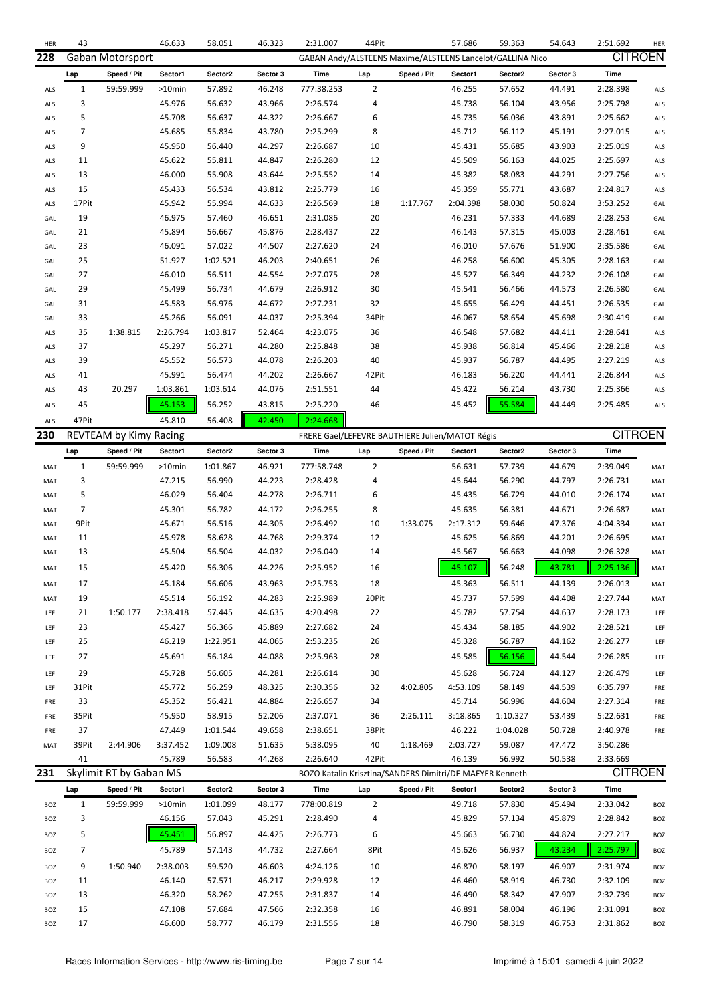| HER | 43             |                         | 46.633    | 58.051   | 46.323   | 2:31.007                                                 | 44Pit          |             | 57.686   | 59.363                                                    | 54.643   | 2:51.692       | HER |
|-----|----------------|-------------------------|-----------|----------|----------|----------------------------------------------------------|----------------|-------------|----------|-----------------------------------------------------------|----------|----------------|-----|
| 228 |                | Gaban Motorsport        |           |          |          |                                                          |                |             |          | GABAN Andy/ALSTEENS Maxime/ALSTEENS Lancelot/GALLINA Nico |          | <b>CITROEN</b> |     |
|     | Lap            | Speed / Pit             | Sector1   | Sector2  | Sector 3 | <b>Time</b>                                              | Lap            | Speed / Pit | Sector1  | Sector2                                                   | Sector 3 | Time           |     |
| ALS | $\mathbf{1}$   | 59:59.999               | $>10$ min | 57.892   | 46.248   | 777:38.253                                               | 2              |             | 46.255   | 57.652                                                    | 44.491   | 2:28.398       | ALS |
| ALS | 3              |                         | 45.976    | 56.632   | 43.966   | 2:26.574                                                 | 4              |             | 45.738   | 56.104                                                    | 43.956   | 2:25.798       | ALS |
| ALS | 5              |                         | 45.708    | 56.637   | 44.322   | 2:26.667                                                 | 6              |             | 45.735   | 56.036                                                    | 43.891   | 2:25.662       | ALS |
| ALS | 7              |                         | 45.685    | 55.834   | 43.780   | 2:25.299                                                 | 8              |             | 45.712   | 56.112                                                    | 45.191   | 2:27.015       | ALS |
| ALS | 9              |                         | 45.950    | 56.440   | 44.297   | 2:26.687                                                 | 10             |             | 45.431   | 55.685                                                    | 43.903   | 2:25.019       | ALS |
| ALS | 11             |                         | 45.622    | 55.811   | 44.847   | 2:26.280                                                 | 12             |             | 45.509   | 56.163                                                    | 44.025   | 2:25.697       | ALS |
| ALS | 13             |                         | 46.000    | 55.908   | 43.644   | 2:25.552                                                 | 14             |             | 45.382   | 58.083                                                    | 44.291   | 2:27.756       | ALS |
| ALS | 15             |                         | 45.433    | 56.534   | 43.812   | 2:25.779                                                 | 16             |             | 45.359   | 55.771                                                    | 43.687   | 2:24.817       | ALS |
| ALS | 17Pit          |                         | 45.942    | 55.994   | 44.633   | 2:26.569                                                 | 18             | 1:17.767    | 2:04.398 | 58.030                                                    | 50.824   | 3:53.252       | GAL |
| GAL | 19             |                         | 46.975    | 57.460   | 46.651   | 2:31.086                                                 | 20             |             | 46.231   | 57.333                                                    | 44.689   | 2:28.253       | GAL |
| GAL | 21             |                         | 45.894    | 56.667   | 45.876   | 2:28.437                                                 | 22             |             | 46.143   | 57.315                                                    | 45.003   | 2:28.461       | GAL |
| GAL | 23             |                         | 46.091    | 57.022   | 44.507   | 2:27.620                                                 | 24             |             | 46.010   | 57.676                                                    | 51.900   | 2:35.586       | GAL |
| GAL | 25             |                         | 51.927    | 1:02.521 | 46.203   | 2:40.651                                                 | 26             |             | 46.258   | 56.600                                                    | 45.305   | 2:28.163       | GAL |
| GAL | 27             |                         | 46.010    | 56.511   | 44.554   | 2:27.075                                                 | 28             |             | 45.527   | 56.349                                                    | 44.232   | 2:26.108       | GAL |
| GAL | 29             |                         | 45.499    | 56.734   | 44.679   | 2:26.912                                                 | 30             |             | 45.541   | 56.466                                                    | 44.573   | 2:26.580       | GAL |
| GAL | 31             |                         | 45.583    | 56.976   | 44.672   | 2:27.231                                                 | 32             |             | 45.655   | 56.429                                                    | 44.451   | 2:26.535       | GAL |
| GAL | 33             |                         | 45.266    | 56.091   | 44.037   | 2:25.394                                                 | 34Pit          |             | 46.067   | 58.654                                                    | 45.698   | 2:30.419       | GAL |
| ALS | 35             | 1:38.815                | 2:26.794  | 1:03.817 | 52.464   | 4:23.075                                                 | 36             |             | 46.548   | 57.682                                                    | 44.411   | 2:28.641       | ALS |
| ALS | 37             |                         | 45.297    | 56.271   | 44.280   | 2:25.848                                                 | 38             |             | 45.938   | 56.814                                                    | 45.466   | 2:28.218       | ALS |
| ALS | 39             |                         | 45.552    | 56.573   | 44.078   | 2:26.203                                                 | 40             |             | 45.937   | 56.787                                                    | 44.495   | 2:27.219       | ALS |
|     | 41             |                         | 45.991    | 56.474   | 44.202   | 2:26.667                                                 | 42Pit          |             | 46.183   | 56.220                                                    | 44.441   | 2:26.844       |     |
| ALS | 43             | 20.297                  | 1:03.861  | 1:03.614 | 44.076   | 2:51.551                                                 | 44             |             | 45.422   | 56.214                                                    | 43.730   | 2:25.366       | ALS |
| ALS |                |                         |           |          |          |                                                          |                |             |          |                                                           |          |                | ALS |
| ALS | 45             |                         | 45.153    | 56.252   | 43.815   | 2:25.220                                                 | 46             |             | 45.452   | 55.584                                                    | 44.449   | 2:25.485       | ALS |
| ALS | 47Pit          |                         | 45.810    | 56.408   | 42.450   | 2:24.668                                                 |                |             |          |                                                           |          |                |     |
| 230 |                | REVTEAM by Kimy Racing  |           |          |          | FRERE Gael/LEFEVRE BAUTHIERE Julien/MATOT Régis          |                |             |          |                                                           |          | <b>CITROEN</b> |     |
|     | Lap            | Speed / Pit             | Sector1   | Sector2  | Sector 3 | Time                                                     | Lap            | Speed / Pit | Sector1  | Sector2                                                   | Sector 3 | Time           |     |
| MAT | $\mathbf{1}$   | 59:59.999               | >10min    | 1:01.867 | 46.921   | 777:58.748                                               | $\overline{2}$ |             | 56.631   | 57.739                                                    | 44.679   | 2:39.049       | MAT |
| MAT | 3              |                         | 47.215    | 56.990   | 44.223   | 2:28.428                                                 | 4              |             | 45.644   | 56.290                                                    | 44.797   | 2:26.731       | MAT |
| MAT | 5              |                         | 46.029    | 56.404   | 44.278   | 2:26.711                                                 | 6              |             | 45.435   | 56.729                                                    | 44.010   | 2:26.174       | MAT |
| MAT | $\overline{7}$ |                         | 45.301    | 56.782   | 44.172   | 2:26.255                                                 | 8              |             | 45.635   | 56.381                                                    | 44.671   | 2:26.687       | MAT |
| MAT | 9Pit           |                         | 45.671    | 56.516   | 44.305   | 2:26.492                                                 | 10             | 1:33.075    | 2:17.312 | 59.646                                                    | 47.376   | 4:04.334       | MAT |
| MAT | 11             |                         | 45.978    | 58.628   | 44.768   | 2:29.374                                                 | 12             |             | 45.625   | 56.869                                                    | 44.201   | 2:26.695       | MAT |
| MAT | 13             |                         | 45.504    | 56.504   | 44.032   | 2:26.040                                                 | 14             |             | 45.567   | 56.663                                                    | 44.098   | 2:26.328       | MAT |
| MAT | 15             |                         | 45.420    | 56.306   | 44.226   | 2:25.952                                                 | 16             |             | 45.107   | 56.248                                                    | 43.781   | 2:25.136       | MAT |
| MAT | 17             |                         | 45.184    | 56.606   | 43.963   | 2:25.753                                                 | 18             |             | 45.363   | 56.511                                                    | 44.139   | 2:26.013       | MAT |
| MAT | 19             |                         | 45.514    | 56.192   | 44.283   | 2:25.989                                                 | 20Pit          |             | 45.737   | 57.599                                                    | 44.408   | 2:27.744       | MAT |
| LEF | 21             | 1:50.177                | 2:38.418  | 57.445   | 44.635   | 4:20.498                                                 | 22             |             | 45.782   | 57.754                                                    | 44.637   | 2:28.173       | LEF |
| LEF | 23             |                         | 45.427    | 56.366   | 45.889   | 2:27.682                                                 | 24             |             | 45.434   | 58.185                                                    | 44.902   | 2:28.521       | LEF |
| LEF | 25             |                         | 46.219    | 1:22.951 | 44.065   | 2:53.235                                                 | 26             |             | 45.328   | 56.787                                                    | 44.162   | 2:26.277       | LEF |
| LEF | 27             |                         | 45.691    | 56.184   | 44.088   | 2:25.963                                                 | 28             |             | 45.585   | 56.156                                                    | 44.544   | 2:26.285       | LEF |
|     |                |                         |           |          |          |                                                          |                |             |          |                                                           |          |                |     |
| LEF | 29             |                         | 45.728    | 56.605   | 44.281   | 2:26.614                                                 | 30             |             | 45.628   | 56.724                                                    | 44.127   | 2:26.479       | LEF |
| LEF | 31Pit          |                         | 45.772    | 56.259   | 48.325   | 2:30.356                                                 | 32             | 4:02.805    | 4:53.109 | 58.149                                                    | 44.539   | 6:35.797       | FRE |
| FRE | 33             |                         | 45.352    | 56.421   | 44.884   | 2:26.657                                                 | 34             |             | 45.714   | 56.996                                                    | 44.604   | 2:27.314       | FRE |
| FRE | 35Pit          |                         | 45.950    | 58.915   | 52.206   | 2:37.071                                                 | 36             | 2:26.111    | 3:18.865 | 1:10.327                                                  | 53.439   | 5:22.631       | FRE |
| FRE | 37             |                         | 47.449    | 1:01.544 | 49.658   | 2:38.651                                                 | 38Pit          |             | 46.222   | 1:04.028                                                  | 50.728   | 2:40.978       | FRE |
| MAT | 39Pit          | 2:44.906                | 3:37.452  | 1:09.008 | 51.635   | 5:38.095                                                 | 40             | 1:18.469    | 2:03.727 | 59.087                                                    | 47.472   | 3:50.286       |     |
|     | 41             |                         | 45.789    | 56.583   | 44.268   | 2:26.640                                                 | 42Pit          |             | 46.139   | 56.992                                                    | 50.538   | 2:33.669       |     |
| 231 |                | Skylimit RT by Gaban MS |           |          |          | BOZO Katalin Krisztina/SANDERS Dimitri/DE MAEYER Kenneth |                |             |          |                                                           |          | <b>CITROEN</b> |     |
|     | Lap            | Speed / Pit             | Sector1   | Sector2  | Sector 3 | Time                                                     | Lap            | Speed / Pit | Sector1  | Sector2                                                   | Sector 3 | Time           |     |
| BOZ | $\mathbf{1}$   | 59:59.999               | >10min    | 1:01.099 | 48.177   | 778:00.819                                               | $\overline{2}$ |             | 49.718   | 57.830                                                    | 45.494   | 2:33.042       | BOZ |
| BOZ | 3              |                         | 46.156    | 57.043   | 45.291   | 2:28.490                                                 | 4              |             | 45.829   | 57.134                                                    | 45.879   | 2:28.842       | BOZ |
| BOZ | 5              |                         | 45.451    | 56.897   | 44.425   | 2:26.773                                                 | 6              |             | 45.663   | 56.730                                                    | 44.824   | 2:27.217       | BOZ |
| BOZ | 7              |                         | 45.789    | 57.143   | 44.732   | 2:27.664                                                 | 8Pit           |             | 45.626   | 56.937                                                    | 43.234   | 2:25.797       | BOZ |
| BOZ | 9              | 1:50.940                | 2:38.003  | 59.520   | 46.603   | 4:24.126                                                 | 10             |             | 46.870   | 58.197                                                    | 46.907   | 2:31.974       | BOZ |
| BOZ | 11             |                         | 46.140    | 57.571   | 46.217   | 2:29.928                                                 | 12             |             | 46.460   | 58.919                                                    | 46.730   | 2:32.109       | BOZ |
| BOZ | 13             |                         | 46.320    | 58.262   | 47.255   | 2:31.837                                                 | 14             |             | 46.490   | 58.342                                                    | 47.907   | 2:32.739       | BOZ |
| BOZ | 15             |                         | 47.108    | 57.684   | 47.566   | 2:32.358                                                 | 16             |             | 46.891   | 58.004                                                    | 46.196   | 2:31.091       | BOZ |
| BOZ | 17             |                         | 46.600    | 58.777   | 46.179   | 2:31.556                                                 | 18             |             | 46.790   | 58.319                                                    | 46.753   | 2:31.862       | BOZ |
|     |                |                         |           |          |          |                                                          |                |             |          |                                                           |          |                |     |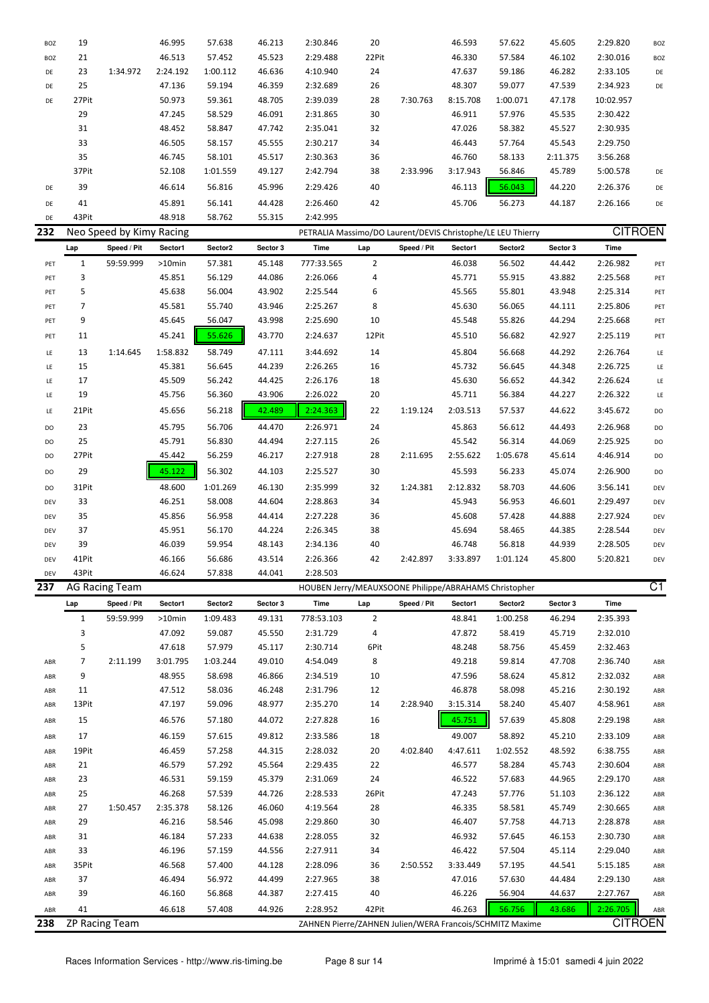| <b>BOZ</b> | 19    |          | 46.995   | 57.638   | 46.213 | 2:30.846 | 20    |          | 46.593   | 57.622   | 45.605   | 2:29.820  | BOZ |
|------------|-------|----------|----------|----------|--------|----------|-------|----------|----------|----------|----------|-----------|-----|
| BOZ        | 21    |          | 46.513   | 57.452   | 45.523 | 2:29.488 | 22Pit |          | 46.330   | 57.584   | 46.102   | 2:30.016  | BOZ |
| DE         | 23    | 1:34.972 | 2:24.192 | 1:00.112 | 46.636 | 4:10.940 | 24    |          | 47.637   | 59.186   | 46.282   | 2:33.105  | DE  |
| DE         | 25    |          | 47.136   | 59.194   | 46.359 | 2:32.689 | 26    |          | 48.307   | 59.077   | 47.539   | 2:34.923  | DE  |
| DE         | 27Pit |          | 50.973   | 59.361   | 48.705 | 2:39.039 | 28    | 7:30.763 | 8:15.708 | 1:00.071 | 47.178   | 10:02.957 |     |
|            | 29    |          | 47.245   | 58.529   | 46.091 | 2:31.865 | 30    |          | 46.911   | 57.976   | 45.535   | 2:30.422  |     |
|            | 31    |          | 48.452   | 58.847   | 47.742 | 2:35.041 | 32    |          | 47.026   | 58.382   | 45.527   | 2:30.935  |     |
|            | 33    |          | 46.505   | 58.157   | 45.555 | 2:30.217 | 34    |          | 46.443   | 57.764   | 45.543   | 2:29.750  |     |
|            | 35    |          | 46.745   | 58.101   | 45.517 | 2:30.363 | 36    |          | 46.760   | 58.133   | 2:11.375 | 3:56.268  |     |
|            | 37Pit |          | 52.108   | 1:01.559 | 49.127 | 2:42.794 | 38    | 2:33.996 | 3:17.943 | 56.846   | 45.789   | 5:00.578  | DE  |
| DE         | 39    |          | 46.614   | 56.816   | 45.996 | 2:29.426 | 40    |          | 46.113   | 56.043   | 44.220   | 2:26.376  | DE  |
| DE         | 41    |          | 45.891   | 56.141   | 44.428 | 2:26.460 | 42    |          | 45.706   | 56.273   | 44.187   | 2:26.166  | DE  |
| DE         | 43Pit |          | 48.918   | 58.762   | 55.315 | 2:42.995 |       |          |          |          |          |           |     |

|       |             |                                        |                          |          |            |                |             |          |          |                       | <b>CITROEN</b>                                              |                |
|-------|-------------|----------------------------------------|--------------------------|----------|------------|----------------|-------------|----------|----------|-----------------------|-------------------------------------------------------------|----------------|
| Lap   | Speed / Pit | Sector1                                | Sector2                  | Sector 3 | Time       | Lap            | Speed / Pit | Sector1  | Sector2  | Sector 3              | Time                                                        |                |
| 1     | 59:59.999   | $>10$ min                              | 57.381                   | 45.148   | 777:33.565 | $\overline{2}$ |             | 46.038   | 56.502   | 44.442                | 2:26.982                                                    | PET            |
| 3     |             | 45.851                                 | 56.129                   | 44.086   | 2:26.066   | 4              |             | 45.771   | 55.915   | 43.882                | 2:25.568                                                    | PET            |
| 5     |             | 45.638                                 | 56.004                   | 43.902   | 2:25.544   | 6              |             | 45.565   | 55.801   | 43.948                | 2:25.314                                                    | PET            |
| 7     |             | 45.581                                 | 55.740                   | 43.946   | 2:25.267   | 8              |             | 45.630   | 56.065   | 44.111                | 2:25.806                                                    | PET            |
| 9     |             | 45.645                                 | 56.047                   | 43.998   | 2:25.690   | 10             |             | 45.548   | 55.826   | 44.294                | 2:25.668                                                    | PET            |
| 11    |             | 45.241                                 | 55.626                   | 43.770   | 2:24.637   | 12Pit          |             | 45.510   | 56.682   | 42.927                | 2:25.119                                                    | PET            |
| 13    | 1:14.645    | 1:58.832                               | 58.749                   | 47.111   | 3:44.692   | 14             |             | 45.804   | 56.668   | 44.292                | 2:26.764                                                    | LE             |
| 15    |             | 45.381                                 | 56.645                   | 44.239   | 2:26.265   | 16             |             | 45.732   | 56.645   | 44.348                | 2:26.725                                                    | LE             |
| 17    |             | 45.509                                 | 56.242                   | 44.425   | 2:26.176   | 18             |             | 45.630   | 56.652   | 44.342                | 2:26.624                                                    | LE             |
| 19    |             | 45.756                                 | 56.360                   | 43.906   | 2:26.022   | 20             |             | 45.711   | 56.384   | 44.227                | 2:26.322                                                    | LE             |
| 21Pit |             | 45.656                                 | 56.218                   | 42.489   | 2:24.363   | 22             | 1:19.124    | 2:03.513 | 57.537   | 44.622                | 3:45.672                                                    | DO             |
| 23    |             | 45.795                                 | 56.706                   | 44.470   | 2:26.971   | 24             |             | 45.863   | 56.612   | 44.493                | 2:26.968                                                    | DO             |
| 25    |             | 45.791                                 | 56.830                   | 44.494   | 2:27.115   | 26             |             | 45.542   | 56.314   | 44.069                | 2:25.925                                                    | DO             |
| 27Pit |             | 45.442                                 | 56.259                   | 46.217   | 2:27.918   | 28             | 2:11.695    | 2:55.622 | 1:05.678 | 45.614                | 4:46.914                                                    | DO             |
| 29    |             | 45.122                                 | 56.302                   | 44.103   | 2:25.527   | 30             |             | 45.593   | 56.233   | 45.074                | 2:26.900                                                    | DO             |
| 31Pit |             | 48.600                                 | 1:01.269                 | 46.130   | 2:35.999   | 32             | 1:24.381    | 2:12.832 | 58.703   | 44.606                | 3:56.141                                                    | DEV            |
| 33    |             | 46.251                                 | 58.008                   | 44.604   | 2:28.863   | 34             |             | 45.943   | 56.953   | 46.601                | 2:29.497                                                    | DEV            |
| 35    |             | 45.856                                 | 56.958                   | 44.414   | 2:27.228   | 36             |             | 45.608   | 57.428   | 44.888                | 2:27.924                                                    | DEV            |
| 37    |             | 45.951                                 | 56.170                   | 44.224   | 2:26.345   | 38             |             | 45.694   | 58.465   | 44.385                | 2:28.544                                                    | DEV            |
| 39    |             | 46.039                                 | 59.954                   | 48.143   | 2:34.136   | 40             |             | 46.748   | 56.818   | 44.939                | 2:28.505                                                    | DEV            |
| 41Pit |             | 46.166                                 | 56.686                   | 43.514   | 2:26.366   | 42             | 2:42.897    | 3:33.897 | 1:01.124 | 45.800                | 5:20.821                                                    | DEV            |
| 43Pit |             | 46.624                                 | 57.838                   | 44.041   | 2:28.503   |                |             |          |          |                       |                                                             | $\overline{ }$ |
|       |             | $\mathbf{A} \cap \mathbf{B}$<br>$\sim$ | Neo Speed by Kimy Racing |          |            |                |             |          |          | $1.1 - 1.1.1 - 1.1.1$ | PETRALIA Massimo/DO Laurent/DEVIS Christophe/LE LEU Thierry |                |

| 237 |       | <b>AG Racing Team</b> |           |          |          | HOUBEN Jerry/MEAUXSOONE Philippe/ABRAHAMS Christopher    |                |             |          |          |          |                | $\overline{C1}$ |
|-----|-------|-----------------------|-----------|----------|----------|----------------------------------------------------------|----------------|-------------|----------|----------|----------|----------------|-----------------|
|     | Lap   | Speed / Pit           | Sector1   | Sector2  | Sector 3 | Time                                                     | Lap            | Speed / Pit | Sector1  | Sector2  | Sector 3 | Time           |                 |
|     | 1     | 59:59.999             | $>10$ min | 1:09.483 | 49.131   | 778:53.103                                               | $\overline{2}$ |             | 48.841   | 1:00.258 | 46.294   | 2:35.393       |                 |
|     | 3     |                       | 47.092    | 59.087   | 45.550   | 2:31.729                                                 | 4              |             | 47.872   | 58.419   | 45.719   | 2:32.010       |                 |
|     | 5     |                       | 47.618    | 57.979   | 45.117   | 2:30.714                                                 | 6Pit           |             | 48.248   | 58.756   | 45.459   | 2:32.463       |                 |
| ABR | 7     | 2:11.199              | 3:01.795  | 1:03.244 | 49.010   | 4:54.049                                                 | 8              |             | 49.218   | 59.814   | 47.708   | 2:36.740       | ABR             |
| ABR | 9     |                       | 48.955    | 58.698   | 46.866   | 2:34.519                                                 | 10             |             | 47.596   | 58.624   | 45.812   | 2:32.032       | ABR             |
| ABR | 11    |                       | 47.512    | 58.036   | 46.248   | 2:31.796                                                 | 12             |             | 46.878   | 58.098   | 45.216   | 2:30.192       | ABR             |
| ABR | 13Pit |                       | 47.197    | 59.096   | 48.977   | 2:35.270                                                 | 14             | 2:28.940    | 3:15.314 | 58.240   | 45.407   | 4:58.961       | ABR             |
| ABR | 15    |                       | 46.576    | 57.180   | 44.072   | 2:27.828                                                 | 16             |             | 45.751   | 57.639   | 45.808   | 2:29.198       | ABR             |
| ABR | 17    |                       | 46.159    | 57.615   | 49.812   | 2:33.586                                                 | 18             |             | 49.007   | 58.892   | 45.210   | 2:33.109       | ABR             |
| ABR | 19Pit |                       | 46.459    | 57.258   | 44.315   | 2:28.032                                                 | 20             | 4:02.840    | 4:47.611 | 1:02.552 | 48.592   | 6:38.755       | ABR             |
| ABR | 21    |                       | 46.579    | 57.292   | 45.564   | 2:29.435                                                 | 22             |             | 46.577   | 58.284   | 45.743   | 2:30.604       | ABR             |
| ABR | 23    |                       | 46.531    | 59.159   | 45.379   | 2:31.069                                                 | 24             |             | 46.522   | 57.683   | 44.965   | 2:29.170       | ABR             |
| ABR | 25    |                       | 46.268    | 57.539   | 44.726   | 2:28.533                                                 | 26Pit          |             | 47.243   | 57.776   | 51.103   | 2:36.122       | ABR             |
| ABR | 27    | 1:50.457              | 2:35.378  | 58.126   | 46.060   | 4:19.564                                                 | 28             |             | 46.335   | 58.581   | 45.749   | 2:30.665       | ABR             |
| ABR | 29    |                       | 46.216    | 58.546   | 45.098   | 2:29.860                                                 | 30             |             | 46.407   | 57.758   | 44.713   | 2:28.878       | ABR             |
| ABR | 31    |                       | 46.184    | 57.233   | 44.638   | 2:28.055                                                 | 32             |             | 46.932   | 57.645   | 46.153   | 2:30.730       | ABR             |
| ABR | 33    |                       | 46.196    | 57.159   | 44.556   | 2:27.911                                                 | 34             |             | 46.422   | 57.504   | 45.114   | 2:29.040       | ABR             |
| ABR | 35Pit |                       | 46.568    | 57.400   | 44.128   | 2:28.096                                                 | 36             | 2:50.552    | 3:33.449 | 57.195   | 44.541   | 5:15.185       | ABR             |
| ABR | 37    |                       | 46.494    | 56.972   | 44.499   | 2:27.965                                                 | 38             |             | 47.016   | 57.630   | 44.484   | 2:29.130       | ABR             |
| ABR | 39    |                       | 46.160    | 56.868   | 44.387   | 2:27.415                                                 | 40             |             | 46.226   | 56.904   | 44.637   | 2:27.767       | ABR             |
| ABR | 41    |                       | 46.618    | 57.408   | 44.926   | 2:28.952                                                 | 42Pit          |             | 46.263   | 56.756   | 43.686   | 2:26.705       | ABR             |
| 238 |       | ZP Racing Team        |           |          |          | ZAHNEN Pierre/ZAHNEN Julien/WERA Francois/SCHMITZ Maxime |                |             |          |          |          | <b>CITROEN</b> |                 |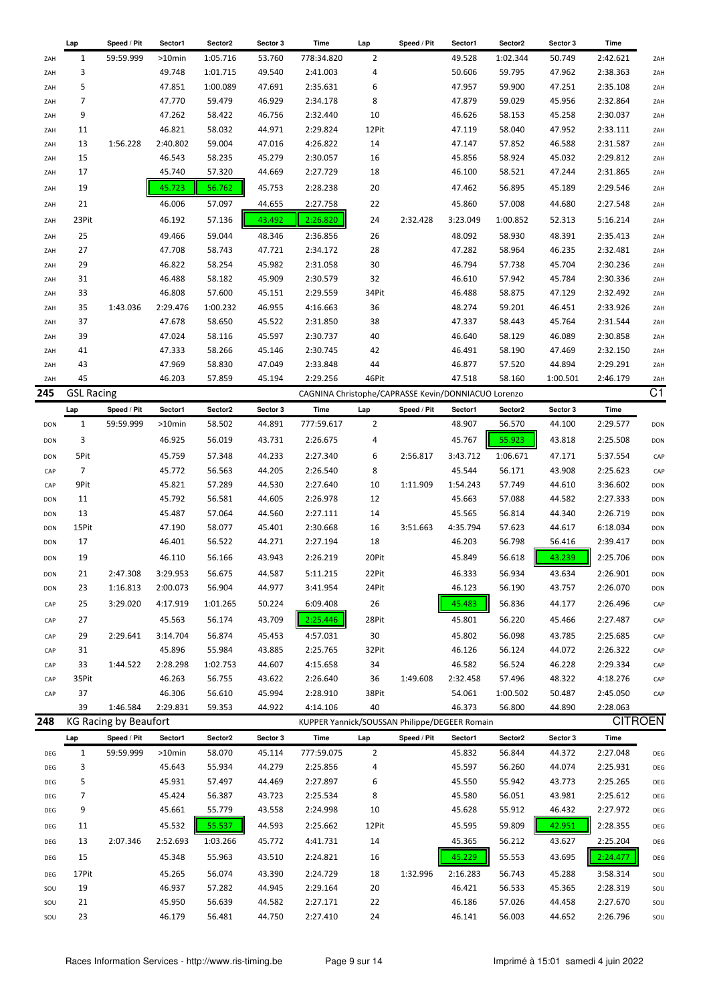|            | Lap               | Speed / Pit           | Sector1  | Sector2  | Sector 3 | Time                                                | Lap                   | Speed / Pit | Sector1  | Sector2  | Sector 3 | Time           |                 |
|------------|-------------------|-----------------------|----------|----------|----------|-----------------------------------------------------|-----------------------|-------------|----------|----------|----------|----------------|-----------------|
| ZAH        | 1                 | 59:59.999             | >10min   | 1:05.716 | 53.760   | 778:34.820                                          | 2                     |             | 49.528   | 1:02.344 | 50.749   | 2:42.621       | ZAH             |
| ZAH        | 3                 |                       | 49.748   | 1:01.715 | 49.540   | 2:41.003                                            | 4                     |             | 50.606   | 59.795   | 47.962   | 2:38.363       | ZAH             |
| ZAH        | 5                 |                       | 47.851   | 1:00.089 | 47.691   | 2:35.631                                            | 6                     |             | 47.957   | 59.900   | 47.251   | 2:35.108       | ZAH             |
| ZAH        | $\overline{7}$    |                       | 47.770   | 59.479   | 46.929   | 2:34.178                                            | 8                     |             | 47.879   | 59.029   | 45.956   | 2:32.864       | ZAH             |
| ZAH        | 9                 |                       | 47.262   | 58.422   | 46.756   | 2:32.440                                            | 10                    |             | 46.626   | 58.153   | 45.258   | 2:30.037       | ZAH             |
| ZAH        | 11                |                       | 46.821   | 58.032   | 44.971   | 2:29.824                                            | 12Pit                 |             | 47.119   | 58.040   | 47.952   | 2:33.111       | ZAH             |
| ZAH        | 13                | 1:56.228              | 2:40.802 | 59.004   | 47.016   | 4:26.822                                            | 14                    |             | 47.147   | 57.852   | 46.588   | 2:31.587       | ZAH             |
| ZAH        | 15                |                       | 46.543   | 58.235   | 45.279   | 2:30.057                                            | 16                    |             | 45.856   | 58.924   | 45.032   | 2:29.812       | ZAH             |
| ZAH        | 17                |                       | 45.740   | 57.320   | 44.669   | 2:27.729                                            | 18                    |             | 46.100   | 58.521   | 47.244   | 2:31.865       | ZAH             |
|            |                   |                       |          |          |          |                                                     |                       |             |          |          |          |                |                 |
| ZAH        | 19                |                       | 45.723   | 56.762   | 45.753   | 2:28.238                                            | 20                    |             | 47.462   | 56.895   | 45.189   | 2:29.546       | ZAH             |
| ZAH        | 21                |                       | 46.006   | 57.097   | 44.655   | 2:27.758                                            | 22                    |             | 45.860   | 57.008   | 44.680   | 2:27.548       | ZAH             |
| ZAH        | 23Pit             |                       | 46.192   | 57.136   | 43.492   | 2:26.820                                            | 24                    | 2:32.428    | 3:23.049 | 1:00.852 | 52.313   | 5:16.214       | ZAH             |
| ZAH        | 25                |                       | 49.466   | 59.044   | 48.346   | 2:36.856                                            | 26                    |             | 48.092   | 58.930   | 48.391   | 2:35.413       | ZAH             |
| ZAH        | 27                |                       | 47.708   | 58.743   | 47.721   | 2:34.172                                            | 28                    |             | 47.282   | 58.964   | 46.235   | 2:32.481       | ZAH             |
| ZAH        | 29                |                       | 46.822   | 58.254   | 45.982   | 2:31.058                                            | 30                    |             | 46.794   | 57.738   | 45.704   | 2:30.236       | ZAH             |
| ZAH        | 31                |                       | 46.488   | 58.182   | 45.909   | 2:30.579                                            | 32                    |             | 46.610   | 57.942   | 45.784   | 2:30.336       | ZAH             |
| ZAH        | 33                |                       | 46.808   | 57.600   | 45.151   | 2:29.559                                            | 34Pit                 |             | 46.488   | 58.875   | 47.129   | 2:32.492       | ZAH             |
| ZAH        | 35                | 1:43.036              | 2:29.476 | 1:00.232 | 46.955   | 4:16.663                                            | 36                    |             | 48.274   | 59.201   | 46.451   | 2:33.926       | ZAH             |
| ZAH        | 37                |                       | 47.678   | 58.650   | 45.522   | 2:31.850                                            | 38                    |             | 47.337   | 58.443   | 45.764   | 2:31.544       | ZAH             |
| ZAH        | 39                |                       | 47.024   | 58.116   | 45.597   | 2:30.737                                            | 40                    |             | 46.640   | 58.129   | 46.089   | 2:30.858       | ZAH             |
| ZAH        | 41                |                       | 47.333   | 58.266   | 45.146   | 2:30.745                                            | 42                    |             | 46.491   | 58.190   | 47.469   | 2:32.150       | ZAH             |
| ZAH        | 43                |                       | 47.969   | 58.830   | 47.049   | 2:33.848                                            | 44                    |             | 46.877   | 57.520   | 44.894   | 2:29.291       | ZAH             |
| ZAH        | 45                |                       | 46.203   | 57.859   | 45.194   | 2:29.256                                            | 46Pit                 |             | 47.518   | 58.160   | 1:00.501 | 2:46.179       | ZAH             |
| 245        | <b>GSL Racing</b> |                       |          |          |          | CAGNINA Christophe/CAPRASSE Kevin/DONNIACUO Lorenzo |                       |             |          |          |          |                | $\overline{C1}$ |
|            |                   |                       |          |          |          |                                                     |                       |             |          |          |          | Time           |                 |
|            | Lap               | Speed / Pit           | Sector1  | Sector2  | Sector 3 | Time                                                | Lap<br>$\overline{2}$ | Speed / Pit | Sector1  | Sector2  | Sector 3 |                |                 |
| <b>DON</b> | 1                 | 59:59.999             | >10min   | 58.502   | 44.891   | 777:59.617                                          |                       |             | 48.907   | 56.570   | 44.100   | 2:29.577       | <b>DON</b>      |
| <b>DON</b> | 3                 |                       | 46.925   | 56.019   | 43.731   | 2:26.675                                            | 4                     |             | 45.767   | 55.923   | 43.818   | 2:25.508       | <b>DON</b>      |
| DON        | 5Pit              |                       | 45.759   | 57.348   | 44.233   | 2:27.340                                            | 6                     | 2:56.817    | 3:43.712 | 1:06.671 | 47.171   | 5:37.554       | CAP             |
| CAP        | $\overline{7}$    |                       | 45.772   | 56.563   | 44.205   | 2:26.540                                            | 8                     |             | 45.544   | 56.171   | 43.908   | 2:25.623       | CAP             |
| CAP        | 9Pit              |                       | 45.821   | 57.289   | 44.530   | 2:27.640                                            | 10                    | 1:11.909    | 1:54.243 | 57.749   | 44.610   | 3:36.602       | DON             |
| DON        | 11                |                       | 45.792   | 56.581   | 44.605   | 2:26.978                                            | 12                    |             | 45.663   | 57.088   | 44.582   | 2:27.333       | DON             |
| DON        | 13                |                       | 45.487   | 57.064   | 44.560   | 2:27.111                                            | 14                    |             | 45.565   | 56.814   | 44.340   | 2:26.719       | <b>DON</b>      |
| <b>DON</b> | 15Pit             |                       | 47.190   | 58.077   | 45.401   | 2:30.668                                            | 16                    | 3:51.663    | 4:35.794 | 57.623   | 44.617   | 6:18.034       | <b>DON</b>      |
| DON        | 17                |                       | 46.401   | 56.522   | 44.271   | 2:27.194                                            | 18                    |             | 46.203   | 56.798   | 56.416   | 2:39.417       | DON             |
| <b>DON</b> | 19                |                       | 46.110   | 56.166   | 43.943   | 2:26.219                                            | 20Pit                 |             | 45.849   | 56.618   | 43.239   | 2:25.706       | <b>DON</b>      |
| DON        | 21                | 2:47.308              | 3:29.953 | 56.675   | 44.587   | 5:11.215                                            | 22Pit                 |             | 46.333   | 56.934   | 43.634   | 2:26.901       | <b>DON</b>      |
| <b>DON</b> | 23                | 1:16.813              | 2:00.073 | 56.904   | 44.977   | 3:41.954                                            | 24Pit                 |             | 46.123   | 56.190   | 43.757   | 2:26.070       | DON             |
| CAP        | 25                | 3:29.020              | 4:17.919 | 1:01.265 | 50.224   | 6:09.408                                            | 26                    |             | 45.483   | 56.836   | 44.177   | 2:26.496       | CAP             |
|            |                   |                       |          |          |          |                                                     |                       |             |          |          |          |                |                 |
| CAP        | 27                |                       | 45.563   | 56.174   | 43.709   | 2:25.446                                            | 28Pit                 |             | 45.801   | 56.220   | 45.466   | 2:27.487       | CAP             |
| CAP        | 29                | 2:29.641              | 3:14.704 | 56.874   | 45.453   | 4:57.031                                            | 30                    |             | 45.802   | 56.098   | 43.785   | 2:25.685       | CAP             |
| CAP        | 31                |                       | 45.896   | 55.984   | 43.885   | 2:25.765                                            | 32Pit                 |             | 46.126   | 56.124   | 44.072   | 2:26.322       | CAP             |
| CAP        | 33                | 1:44.522              | 2:28.298 | 1:02.753 | 44.607   | 4:15.658                                            | 34                    |             | 46.582   | 56.524   | 46.228   | 2:29.334       | CAP             |
| CAP        | 35Pit             |                       | 46.263   | 56.755   | 43.622   | 2:26.640                                            | 36                    | 1:49.608    | 2:32.458 | 57.496   | 48.322   | 4:18.276       | CAP             |
| CAP        | 37                |                       | 46.306   | 56.610   | 45.994   | 2:28.910                                            | 38Pit                 |             | 54.061   | 1:00.502 | 50.487   | 2:45.050       | CAP             |
|            | 39                | 1:46.584              | 2:29.831 | 59.353   | 44.922   | 4:14.106                                            | 40                    |             | 46.373   | 56.800   | 44.890   | 2:28.063       |                 |
| 248        |                   | KG Racing by Beaufort |          |          |          | KUPPER Yannick/SOUSSAN Philippe/DEGEER Romain       |                       |             |          |          |          | <b>CITROEN</b> |                 |
|            | Lap               | Speed / Pit           | Sector1  | Sector2  | Sector 3 | Time                                                | Lap                   | Speed / Pit | Sector1  | Sector2  | Sector 3 | Time           |                 |
| DEG        | $\mathbf{1}$      | 59:59.999             | >10min   | 58.070   | 45.114   | 777:59.075                                          | $\overline{2}$        |             | 45.832   | 56.844   | 44.372   | 2:27.048       | DEG             |
| DEG        | 3                 |                       | 45.643   | 55.934   | 44.279   | 2:25.856                                            | 4                     |             | 45.597   | 56.260   | 44.074   | 2:25.931       | DEG             |
| DEG        | 5                 |                       | 45.931   | 57.497   | 44.469   | 2:27.897                                            | 6                     |             | 45.550   | 55.942   | 43.773   | 2:25.265       | DEG             |
| DEG        | 7                 |                       | 45.424   | 56.387   | 43.723   | 2:25.534                                            | 8                     |             | 45.580   | 56.051   | 43.981   | 2:25.612       | DEG             |
| DEG        | 9                 |                       | 45.661   | 55.779   | 43.558   | 2:24.998                                            | 10                    |             | 45.628   | 55.912   | 46.432   | 2:27.972       | DEG             |
|            | 11                |                       | 45.532   | 55.537   | 44.593   | 2:25.662                                            | 12Pit                 |             | 45.595   | 59.809   | 42.951   | 2:28.355       |                 |
| DEG        |                   |                       |          |          |          |                                                     |                       |             |          |          |          |                | DEG             |
| DEG        | 13                | 2:07.346              | 2:52.693 | 1:03.266 | 45.772   | 4:41.731                                            | 14                    |             | 45.365   | 56.212   | 43.627   | 2:25.204       | DEG             |
| DEG        | 15                |                       | 45.348   | 55.963   | 43.510   | 2:24.821                                            | 16                    |             | 45.229   | 55.553   | 43.695   | 2:24.477       | DEG             |
| DEG        | 17Pit             |                       | 45.265   | 56.074   | 43.390   | 2:24.729                                            | 18                    | 1:32.996    | 2:16.283 | 56.743   | 45.288   | 3:58.314       | SOU             |
| SOU        | 19                |                       | 46.937   | 57.282   | 44.945   | 2:29.164                                            | 20                    |             | 46.421   | 56.533   | 45.365   | 2:28.319       | SOU             |
| SOU        | 21                |                       | 45.950   | 56.639   | 44.582   | 2:27.171                                            | 22                    |             | 46.186   | 57.026   | 44.458   | 2:27.670       | SOU             |
| SOU        | 23                |                       | 46.179   | 56.481   | 44.750   | 2:27.410                                            | 24                    |             | 46.141   | 56.003   | 44.652   | 2:26.796       | SOU             |
|            |                   |                       |          |          |          |                                                     |                       |             |          |          |          |                |                 |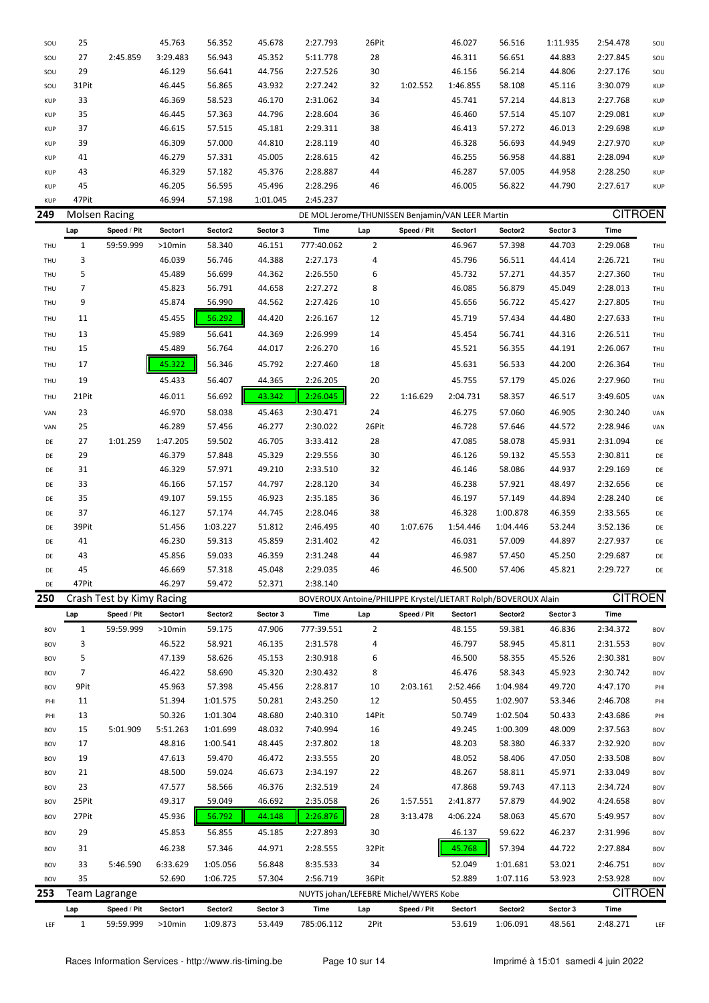| SOU        | 25           |                           | 45.763   | 56.352   | 45.678   | 2:27.793                                                       | 26Pit          |             | 46.027   | 56.516   | 1:11.935 | 2:54.478       | SOU        |
|------------|--------------|---------------------------|----------|----------|----------|----------------------------------------------------------------|----------------|-------------|----------|----------|----------|----------------|------------|
| SOU        | 27           | 2:45.859                  | 3:29.483 | 56.943   | 45.352   | 5:11.778                                                       | 28             |             | 46.311   | 56.651   | 44.883   | 2:27.845       | SOU        |
| SOU        | 29           |                           | 46.129   | 56.641   | 44.756   | 2:27.526                                                       | 30             |             | 46.156   | 56.214   | 44.806   | 2:27.176       | SOU        |
| SOU        | 31Pit        |                           | 46.445   | 56.865   | 43.932   | 2:27.242                                                       | 32             | 1:02.552    | 1:46.855 | 58.108   | 45.116   | 3:30.079       | <b>KUP</b> |
| <b>KUP</b> | 33           |                           | 46.369   | 58.523   | 46.170   | 2:31.062                                                       | 34             |             | 45.741   | 57.214   | 44.813   | 2:27.768       | <b>KUP</b> |
| <b>KUP</b> | 35           |                           | 46.445   | 57.363   | 44.796   | 2:28.604                                                       | 36             |             | 46.460   | 57.514   | 45.107   | 2:29.081       | <b>KUP</b> |
| <b>KUP</b> | 37           |                           | 46.615   | 57.515   | 45.181   | 2:29.311                                                       | 38             |             | 46.413   | 57.272   | 46.013   | 2:29.698       | <b>KUP</b> |
| <b>KUP</b> | 39           |                           | 46.309   | 57.000   | 44.810   | 2:28.119                                                       | 40             |             | 46.328   | 56.693   | 44.949   | 2:27.970       | <b>KUP</b> |
| <b>KUP</b> | 41           |                           | 46.279   | 57.331   | 45.005   | 2:28.615                                                       | 42             |             | 46.255   | 56.958   | 44.881   | 2:28.094       | <b>KUP</b> |
| <b>KUP</b> | 43           |                           | 46.329   | 57.182   | 45.376   | 2:28.887                                                       | 44             |             | 46.287   | 57.005   | 44.958   | 2:28.250       | <b>KUP</b> |
| <b>KUP</b> | 45           |                           | 46.205   | 56.595   | 45.496   | 2:28.296                                                       | 46             |             | 46.005   | 56.822   | 44.790   | 2:27.617       | <b>KUP</b> |
| <b>KUP</b> | 47Pit        |                           | 46.994   | 57.198   | 1:01.045 | 2:45.237                                                       |                |             |          |          |          |                |            |
| 249        |              | Molsen Racing             |          |          |          | DE MOL Jerome/THUNISSEN Benjamin/VAN LEER Martin               |                |             |          |          |          | <b>CITROEN</b> |            |
|            | Lap          | Speed / Pit               | Sector1  | Sector2  | Sector 3 | Time                                                           | Lap            | Speed / Pit | Sector1  | Sector2  | Sector 3 | Time           |            |
| THU        | $\mathbf{1}$ | 59:59.999                 | >10min   | 58.340   | 46.151   | 777:40.062                                                     | $\overline{2}$ |             | 46.967   | 57.398   | 44.703   | 2:29.068       | THU        |
| THU        | 3            |                           | 46.039   | 56.746   | 44.388   | 2:27.173                                                       | 4              |             | 45.796   | 56.511   | 44.414   | 2:26.721       | THU        |
| THU        | 5            |                           | 45.489   | 56.699   | 44.362   | 2:26.550                                                       | 6              |             | 45.732   | 57.271   | 44.357   | 2:27.360       | THU        |
| THU        | 7            |                           | 45.823   | 56.791   | 44.658   | 2:27.272                                                       | 8              |             | 46.085   | 56.879   | 45.049   | 2:28.013       | THU        |
| THU        | 9            |                           | 45.874   | 56.990   | 44.562   | 2:27.426                                                       | 10             |             | 45.656   | 56.722   | 45.427   | 2:27.805       | THU        |
| THU        | 11           |                           | 45.455   | 56.292   | 44.420   | 2:26.167                                                       | 12             |             | 45.719   | 57.434   | 44.480   | 2:27.633       | THU        |
|            |              |                           |          |          |          |                                                                |                |             |          |          |          |                |            |
| THU        | 13           |                           | 45.989   | 56.641   | 44.369   | 2:26.999                                                       | 14             |             | 45.454   | 56.741   | 44.316   | 2:26.511       | THU        |
| THU        | 15           |                           | 45.489   | 56.764   | 44.017   | 2:26.270                                                       | 16             |             | 45.521   | 56.355   | 44.191   | 2:26.067       | THU        |
| THU        | 17           |                           | 45.322   | 56.346   | 45.792   | 2:27.460                                                       | 18             |             | 45.631   | 56.533   | 44.200   | 2:26.364       | THU        |
| THU        | 19           |                           | 45.433   | 56.407   | 44.365   | 2:26.205                                                       | 20             |             | 45.755   | 57.179   | 45.026   | 2:27.960       | THU        |
| THU        | 21Pit        |                           | 46.011   | 56.692   | 43.342   | 2:26.045                                                       | 22             | 1:16.629    | 2:04.731 | 58.357   | 46.517   | 3:49.605       | VAN        |
| VAN        | 23           |                           | 46.970   | 58.038   | 45.463   | 2:30.471                                                       | 24             |             | 46.275   | 57.060   | 46.905   | 2:30.240       | VAN        |
| VAN        | 25           |                           | 46.289   | 57.456   | 46.277   | 2:30.022                                                       | 26Pit          |             | 46.728   | 57.646   | 44.572   | 2:28.946       | VAN        |
| DE         | 27           | 1:01.259                  | 1:47.205 | 59.502   | 46.705   | 3:33.412                                                       | 28             |             | 47.085   | 58.078   | 45.931   | 2:31.094       | DE         |
| DE         | 29           |                           | 46.379   | 57.848   | 45.329   | 2:29.556                                                       | $30\,$         |             | 46.126   | 59.132   | 45.553   | 2:30.811       | DE         |
| DE         | 31           |                           | 46.329   | 57.971   | 49.210   | 2:33.510                                                       | 32             |             | 46.146   | 58.086   | 44.937   | 2:29.169       | DE         |
| DE         | 33           |                           | 46.166   | 57.157   | 44.797   | 2:28.120                                                       | 34             |             | 46.238   | 57.921   | 48.497   | 2:32.656       | DE         |
| DE         | 35           |                           | 49.107   | 59.155   | 46.923   | 2:35.185                                                       | 36             |             | 46.197   | 57.149   | 44.894   | 2:28.240       | DE         |
| DE         | 37           |                           | 46.127   | 57.174   | 44.745   | 2:28.046                                                       | 38             |             | 46.328   | 1:00.878 | 46.359   | 2:33.565       | DE         |
| DE         | 39Pit        |                           | 51.456   | 1:03.227 | 51.812   | 2:46.495                                                       | 40             | 1:07.676    | 1:54.446 | 1:04.446 | 53.244   | 3:52.136       | DE         |
| DE         | 41           |                           | 46.230   | 59.313   | 45.859   | 2:31.402                                                       | 42             |             | 46.031   | 57.009   | 44.897   | 2:27.937       | DE         |
| DE         | 43           |                           | 45.856   | 59.033   | 46.359   | 2:31.248                                                       | 44             |             | 46.987   | 57.450   | 45.250   | 2:29.687       | DE         |
| DE         | 45           |                           | 46.669   | 57.318   | 45.048   | 2:29.035                                                       | 46             |             | 46.500   | 57.406   | 45.821   | 2:29.727       | DE         |
| DE         | 47Pit        |                           | 46.297   | 59.472   | 52.371   | 2:38.140                                                       |                |             |          |          |          |                |            |
| 250        |              | Crash Test by Kimy Racing |          |          |          | BOVEROUX Antoine/PHILIPPE Krystel/LIETART Rolph/BOVEROUX Alain |                |             |          |          |          | <b>CITROEN</b> |            |
|            |              | Speed / Pit               | Sector1  | Sector2  | Sector 3 |                                                                | Lap            | Speed / Pit | Sector1  | Sector2  | Sector 3 | Time           |            |
|            | Lap          |                           |          |          |          | Time                                                           |                |             |          |          |          | 2:34.372       |            |
| <b>BOV</b> | $\mathbf{1}$ | 59:59.999                 | >10min   | 59.175   | 47.906   | 777:39.551                                                     | $\overline{2}$ |             | 48.155   | 59.381   | 46.836   |                | <b>BOV</b> |
| <b>BOV</b> | 3            |                           | 46.522   | 58.921   | 46.135   | 2:31.578                                                       | 4              |             | 46.797   | 58.945   | 45.811   | 2:31.553       | <b>BOV</b> |
| <b>BOV</b> | 5            |                           | 47.139   | 58.626   | 45.153   | 2:30.918                                                       | 6              |             | 46.500   | 58.355   | 45.526   | 2:30.381       | <b>BOV</b> |
| <b>BOV</b> | 7            |                           | 46.422   | 58.690   | 45.320   | 2:30.432                                                       | 8              |             | 46.476   | 58.343   | 45.923   | 2:30.742       | <b>BOV</b> |
| <b>BOV</b> | 9Pit         |                           | 45.963   | 57.398   | 45.456   | 2:28.817                                                       | 10             | 2:03.161    | 2:52.466 | 1:04.984 | 49.720   | 4:47.170       | PHI        |
| PHI        | 11           |                           | 51.394   | 1:01.575 | 50.281   | 2:43.250                                                       | 12             |             | 50.455   | 1:02.907 | 53.346   | 2:46.708       | PHI        |
| PHI        | 13           |                           | 50.326   | 1:01.304 | 48.680   | 2:40.310                                                       | 14Pit          |             | 50.749   | 1:02.504 | 50.433   | 2:43.686       | PHI        |
| <b>BOV</b> | 15           | 5:01.909                  | 5:51.263 | 1:01.699 | 48.032   | 7:40.994                                                       | 16             |             | 49.245   | 1:00.309 | 48.009   | 2:37.563       | <b>BOV</b> |
| <b>BOV</b> | 17           |                           | 48.816   | 1:00.541 | 48.445   | 2:37.802                                                       | 18             |             | 48.203   | 58.380   | 46.337   | 2:32.920       | <b>BOV</b> |
| <b>BOV</b> | 19           |                           | 47.613   | 59.470   | 46.472   | 2:33.555                                                       | 20             |             | 48.052   | 58.406   | 47.050   | 2:33.508       | <b>BOV</b> |
| <b>BOV</b> | 21           |                           | 48.500   | 59.024   | 46.673   | 2:34.197                                                       | 22             |             | 48.267   | 58.811   | 45.971   | 2:33.049       | <b>BOV</b> |
| <b>BOV</b> | 23           |                           | 47.577   | 58.566   | 46.376   | 2:32.519                                                       | 24             |             | 47.868   | 59.743   | 47.113   | 2:34.724       | <b>BOV</b> |
| <b>BOV</b> | 25Pit        |                           | 49.317   | 59.049   | 46.692   | 2:35.058                                                       | 26             | 1:57.551    | 2:41.877 | 57.879   | 44.902   | 4:24.658       | <b>BOV</b> |
| <b>BOV</b> | 27Pit        |                           | 45.936   | 56.792   | 44.148   | 2:26.876                                                       | 28             | 3:13.478    | 4:06.224 | 58.063   | 45.670   | 5:49.957       | <b>BOV</b> |
| BOV        | 29           |                           | 45.853   | 56.855   | 45.185   | 2:27.893                                                       | 30             |             | 46.137   | 59.622   | 46.237   | 2:31.996       | <b>BOV</b> |
| BOV        | 31           |                           | 46.238   | 57.346   | 44.971   | 2:28.555                                                       | 32Pit          |             | 45.768   | 57.394   | 44.722   | 2:27.884       | <b>BOV</b> |
| BOV        | 33           | 5:46.590                  | 6:33.629 | 1:05.056 | 56.848   | 8:35.533                                                       | 34             |             | 52.049   | 1:01.681 | 53.021   | 2:46.751       | <b>BOV</b> |
| <b>BOV</b> | 35           |                           | 52.690   | 1:06.725 | 57.304   | 2:56.719                                                       | 36Pit          |             | 52.889   | 1:07.116 | 53.923   | 2:53.928       | <b>BOV</b> |
| 253        |              | Team Lagrange             |          |          |          | NUYTS johan/LEFEBRE Michel/WYERS Kobe                          |                |             |          |          |          | <b>CITROEN</b> |            |
|            | Lap          | Speed / Pit               | Sector1  | Sector2  | Sector 3 | Time                                                           | Lap            | Speed / Pit | Sector1  | Sector2  | Sector 3 | Time           |            |
|            | $\mathbf{1}$ | 59:59.999                 | >10min   | 1:09.873 | 53.449   | 785:06.112                                                     | 2Pit           |             | 53.619   | 1:06.091 | 48.561   | 2:48.271       |            |
| LEF        |              |                           |          |          |          |                                                                |                |             |          |          |          |                | LEF        |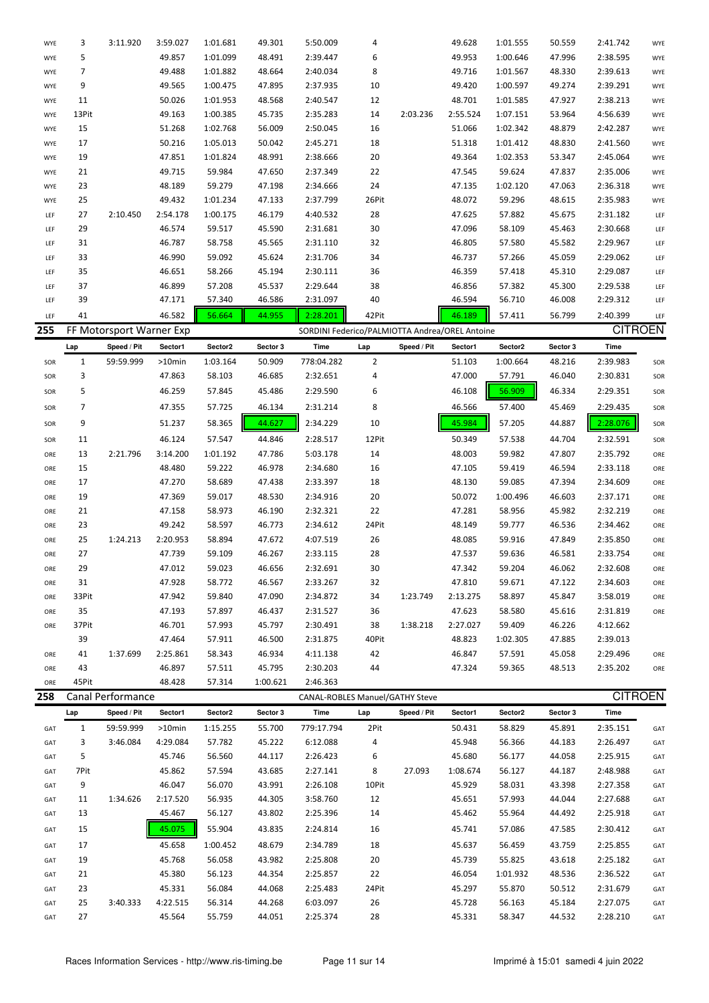| WYE | 3            | 3:11.920                 | 3:59.027 | 1:01.681 | 49.301   | 5:50.009                                       | 4     |             | 49.628   | 1:01.555 | 50.559   | 2:41.742       | WYE |
|-----|--------------|--------------------------|----------|----------|----------|------------------------------------------------|-------|-------------|----------|----------|----------|----------------|-----|
| WYE | 5            |                          | 49.857   | 1:01.099 | 48.491   | 2:39.447                                       | 6     |             | 49.953   | 1:00.646 | 47.996   | 2:38.595       | WYE |
| WYE | 7            |                          | 49.488   | 1:01.882 | 48.664   | 2:40.034                                       | 8     |             | 49.716   | 1:01.567 | 48.330   | 2:39.613       | WYE |
| WYE | 9            |                          | 49.565   | 1:00.475 | 47.895   | 2:37.935                                       | 10    |             | 49.420   | 1:00.597 | 49.274   | 2:39.291       | WYE |
| WYE | 11           |                          | 50.026   | 1:01.953 | 48.568   | 2:40.547                                       | 12    |             | 48.701   | 1:01.585 | 47.927   | 2:38.213       | WYE |
| WYE | 13Pit        |                          | 49.163   | 1:00.385 | 45.735   | 2:35.283                                       | 14    | 2:03.236    | 2:55.524 | 1:07.151 | 53.964   | 4:56.639       | WYE |
| WYE | 15           |                          | 51.268   | 1:02.768 | 56.009   | 2:50.045                                       | 16    |             | 51.066   | 1:02.342 | 48.879   | 2:42.287       | WYE |
| WYE | 17           |                          | 50.216   | 1:05.013 | 50.042   | 2:45.271                                       | 18    |             | 51.318   | 1:01.412 | 48.830   | 2:41.560       | WYE |
| WYE | 19           |                          | 47.851   | 1:01.824 | 48.991   | 2:38.666                                       | 20    |             | 49.364   | 1:02.353 | 53.347   | 2:45.064       | WYE |
| WYE | 21           |                          | 49.715   | 59.984   | 47.650   | 2:37.349                                       | 22    |             | 47.545   | 59.624   | 47.837   | 2:35.006       | WYE |
| WYE | 23           |                          | 48.189   | 59.279   | 47.198   | 2:34.666                                       | 24    |             | 47.135   | 1:02.120 | 47.063   | 2:36.318       | WYE |
| WYE | 25           |                          | 49.432   | 1:01.234 | 47.133   | 2:37.799                                       | 26Pit |             | 48.072   | 59.296   | 48.615   | 2:35.983       | WYE |
| LEF | 27           | 2:10.450                 | 2:54.178 | 1:00.175 | 46.179   | 4:40.532                                       | 28    |             | 47.625   | 57.882   | 45.675   | 2:31.182       | LEF |
| LEF | 29           |                          | 46.574   | 59.517   | 45.590   | 2:31.681                                       | 30    |             | 47.096   | 58.109   | 45.463   | 2:30.668       | LEF |
| LEF | 31           |                          | 46.787   | 58.758   | 45.565   | 2:31.110                                       | 32    |             | 46.805   | 57.580   | 45.582   | 2:29.967       | LEF |
| LEF | 33           |                          | 46.990   | 59.092   | 45.624   | 2:31.706                                       | 34    |             | 46.737   | 57.266   | 45.059   | 2:29.062       | LEF |
| LEF | 35           |                          | 46.651   | 58.266   | 45.194   | 2:30.111                                       | 36    |             | 46.359   | 57.418   | 45.310   | 2:29.087       | LEF |
| LEF | 37           |                          | 46.899   | 57.208   | 45.537   | 2:29.644                                       | 38    |             | 46.856   | 57.382   | 45.300   | 2:29.538       | LEF |
| LEF | 39           |                          | 47.171   | 57.340   | 46.586   | 2:31.097                                       | 40    |             | 46.594   | 56.710   | 46.008   | 2:29.312       | LEF |
| LEF | 41           |                          | 46.582   | 56.664   | 44.955   | 2:28.201                                       | 42Pit |             | 46.189   | 57.411   | 56.799   | 2:40.399       | LEF |
| 255 |              | FF Motorsport Warner Exp |          |          |          |                                                |       |             |          |          |          | <b>CITROEN</b> |     |
|     |              |                          |          |          |          | SORDINI Federico/PALMIOTTA Andrea/OREL Antoine |       |             |          |          |          |                |     |
|     | Lap          | Speed / Pit              | Sector1  | Sector2  | Sector 3 | Time                                           | Lap   | Speed / Pit | Sector1  | Sector2  | Sector 3 | Time           |     |
| SOR | $\mathbf{1}$ | 59:59.999                | >10min   | 1:03.164 | 50.909   | 778:04.282                                     | 2     |             | 51.103   | 1:00.664 | 48.216   | 2:39.983       | SOR |
| SOR | 3            |                          | 47.863   | 58.103   | 46.685   | 2:32.651                                       | 4     |             | 47.000   | 57.791   | 46.040   | 2:30.831       | SOR |
| SOR | 5            |                          | 46.259   | 57.845   | 45.486   | 2:29.590                                       | 6     |             | 46.108   | 56.909   | 46.334   | 2:29.351       | SOR |
| SOR | 7            |                          | 47.355   | 57.725   | 46.134   | 2:31.214                                       | 8     |             | 46.566   | 57.400   | 45.469   | 2:29.435       | SOR |
| SOR | 9            |                          | 51.237   | 58.365   | 44.627   | 2:34.229                                       | 10    |             | 45.984   | 57.205   | 44.887   | 2:28.076       | SOR |
| SOR | 11           |                          | 46.124   | 57.547   | 44.846   | 2:28.517                                       | 12Pit |             | 50.349   | 57.538   | 44.704   | 2:32.591       | SOR |
| ORE | 13           | 2:21.796                 | 3:14.200 | 1:01.192 | 47.786   | 5:03.178                                       | 14    |             | 48.003   | 59.982   | 47.807   | 2:35.792       | ORE |
| ORE | 15           |                          | 48.480   | 59.222   | 46.978   | 2:34.680                                       | 16    |             | 47.105   | 59.419   | 46.594   | 2:33.118       | ORE |
| ORE | 17           |                          | 47.270   | 58.689   | 47.438   | 2:33.397                                       | 18    |             | 48.130   | 59.085   | 47.394   | 2:34.609       | ORE |
| ORE | 19           |                          | 47.369   | 59.017   | 48.530   | 2:34.916                                       | 20    |             | 50.072   | 1:00.496 | 46.603   | 2:37.171       | ORE |
| ORE | 21           |                          | 47.158   | 58.973   | 46.190   | 2:32.321                                       | 22    |             | 47.281   | 58.956   | 45.982   | 2:32.219       | ORE |
| ORE | 23           |                          | 49.242   | 58.597   | 46.773   | 2:34.612                                       | 24Pit |             | 48.149   | 59.777   | 46.536   | 2:34.462       | ORE |
| ORE | 25           | 1:24.213                 | 2:20.953 | 58.894   | 47.672   | 4:07.519                                       | 26    |             | 48.085   | 59.916   | 47.849   | 2:35.850       | ORE |
| ORE | 27           |                          | 47.739   | 59.109   | 46.267   | 2:33.115                                       | 28    |             | 47.537   | 59.636   | 46.581   | 2:33.754       | ORE |
| ORE | 29           |                          | 47.012   | 59.023   | 46.656   | 2:32.691                                       | 30    |             | 47.342   | 59.204   | 46.062   | 2:32.608       | ORE |
|     | 31           |                          | 47.928   | 58.772   | 46.567   | 2:33.267                                       | 32    |             | 47.810   | 59.671   | 47.122   | 2:34.603       |     |
| ORE |              |                          |          |          |          |                                                |       |             |          |          |          |                | ORE |
| ORE | 33Pit        |                          | 47.942   | 59.840   | 47.090   | 2:34.872                                       | 34    | 1:23.749    | 2:13.275 | 58.897   | 45.847   | 3:58.019       | ORE |
| ORE | 35           |                          | 47.193   | 57.897   | 46.437   | 2:31.527                                       | 36    |             | 47.623   | 58.580   | 45.616   | 2:31.819       | ORE |
| ORE | 37Pit        |                          | 46.701   | 57.993   | 45.797   | 2:30.491                                       | 38    | 1:38.218    | 2:27.027 | 59.409   | 46.226   | 4:12.662       |     |
|     | 39           |                          | 47.464   | 57.911   | 46.500   | 2:31.875                                       | 40Pit |             | 48.823   | 1:02.305 | 47.885   | 2:39.013       |     |
| ORE | 41           | 1:37.699                 | 2:25.861 | 58.343   | 46.934   | 4:11.138                                       | 42    |             | 46.847   | 57.591   | 45.058   | 2:29.496       | ORE |
| ORE | 43           |                          | 46.897   | 57.511   | 45.795   | 2:30.203                                       | 44    |             | 47.324   | 59.365   | 48.513   | 2:35.202       | ORE |
| ORE | 45Pit        |                          | 48.428   | 57.314   | 1:00.621 | 2:46.363                                       |       |             |          |          |          | <b>CITROEN</b> |     |
| 258 |              | Canal Performance        |          |          |          | CANAL-ROBLES Manuel/GATHY Steve                |       |             |          |          |          |                |     |
|     | Lap          | Speed / Pit              | Sector1  | Sector2  | Sector 3 | Time                                           | Lap   | Speed / Pit | Sector1  | Sector2  | Sector 3 | Time           |     |
| GAT | $\mathbf{1}$ | 59:59.999                | >10min   | 1:15.255 | 55.700   | 779:17.794                                     | 2Pit  |             | 50.431   | 58.829   | 45.891   | 2:35.151       | GAT |
| GAT | 3            | 3:46.084                 | 4:29.084 | 57.782   | 45.222   | 6:12.088                                       | 4     |             | 45.948   | 56.366   | 44.183   | 2:26.497       | GAT |
| GAT | 5            |                          | 45.746   | 56.560   | 44.117   | 2:26.423                                       | 6     |             | 45.680   | 56.177   | 44.058   | 2:25.915       | GAT |
| GAT | 7Pit         |                          | 45.862   | 57.594   | 43.685   | 2:27.141                                       | 8     | 27.093      | 1:08.674 | 56.127   | 44.187   | 2:48.988       | GAT |
| GAT | 9            |                          | 46.047   | 56.070   | 43.991   | 2:26.108                                       | 10Pit |             | 45.929   | 58.031   | 43.398   | 2:27.358       | GAT |
| GAT | 11           | 1:34.626                 | 2:17.520 | 56.935   | 44.305   | 3:58.760                                       | 12    |             | 45.651   | 57.993   | 44.044   | 2:27.688       | GAT |
| GAT | 13           |                          | 45.467   | 56.127   | 43.802   | 2:25.396                                       | 14    |             | 45.462   | 55.964   | 44.492   | 2:25.918       | GAT |
| GAT | 15           |                          | 45.075   | 55.904   | 43.835   | 2:24.814                                       | 16    |             | 45.741   | 57.086   | 47.585   | 2:30.412       | GAT |
| GAT | 17           |                          | 45.658   | 1:00.452 | 48.679   | 2:34.789                                       | 18    |             | 45.637   | 56.459   | 43.759   | 2:25.855       | GAT |
| GAT | 19           |                          | 45.768   | 56.058   | 43.982   | 2:25.808                                       | 20    |             | 45.739   | 55.825   | 43.618   | 2:25.182       | GAT |
| GAT | 21           |                          | 45.380   | 56.123   | 44.354   | 2:25.857                                       | 22    |             | 46.054   | 1:01.932 | 48.536   | 2:36.522       | GAT |
| GAT | 23           |                          | 45.331   | 56.084   | 44.068   | 2:25.483                                       | 24Pit |             | 45.297   | 55.870   | 50.512   | 2:31.679       | GAT |
| GAT | 25           | 3:40.333                 | 4:22.515 | 56.314   | 44.268   | 6:03.097                                       | 26    |             | 45.728   | 56.163   | 45.184   | 2:27.075       | GAT |
| GAT | 27           |                          | 45.564   | 55.759   | 44.051   | 2:25.374                                       | 28    |             | 45.331   | 58.347   | 44.532   | 2:28.210       | GAT |
|     |              |                          |          |          |          |                                                |       |             |          |          |          |                |     |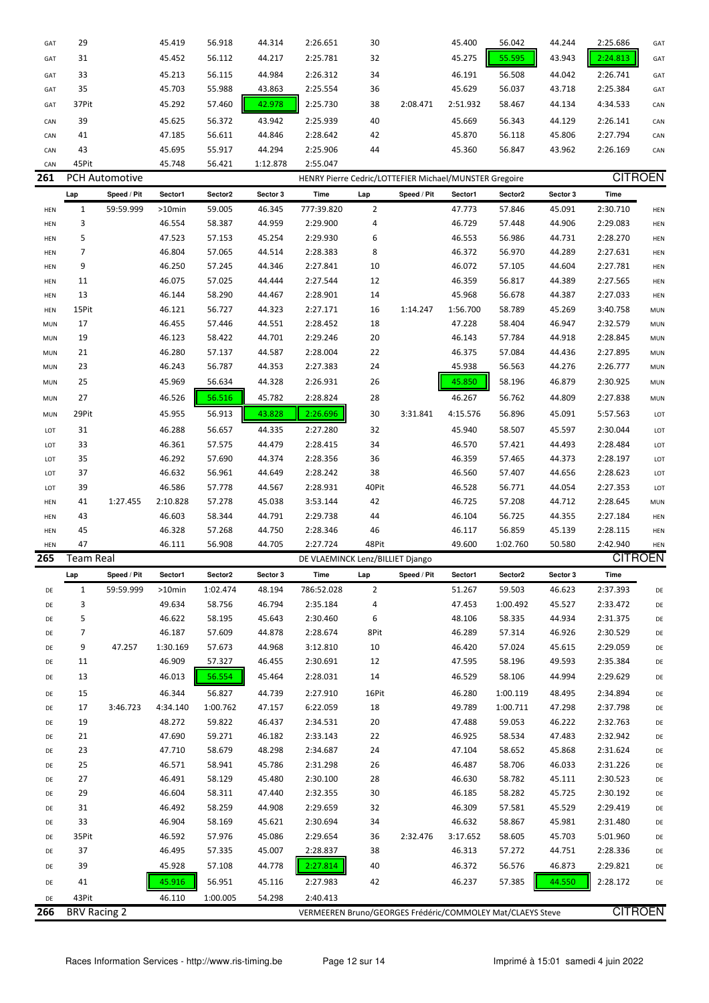| GAT        | 29               |                     | 45.419    | 56.918   | 44.314   | 2:26.651                                                   | 30             |             | 45.400   | 56.042   | 44.244   | 2:25.686       | GAT        |
|------------|------------------|---------------------|-----------|----------|----------|------------------------------------------------------------|----------------|-------------|----------|----------|----------|----------------|------------|
| GAT        | 31               |                     | 45.452    | 56.112   | 44.217   | 2:25.781                                                   | 32             |             | 45.275   | 55.595   | 43.943   | 2:24.813       | GAT        |
| GAT        | 33               |                     | 45.213    | 56.115   | 44.984   | 2:26.312                                                   | 34             |             | 46.191   | 56.508   | 44.042   | 2:26.741       | GAT        |
| GAT        | 35               |                     | 45.703    | 55.988   | 43.863   | 2:25.554                                                   | 36             |             | 45.629   | 56.037   | 43.718   | 2:25.384       | GAT        |
| GAT        | 37Pit            |                     | 45.292    | 57.460   | 42.978   | 2:25.730                                                   | 38             | 2:08.471    | 2:51.932 | 58.467   | 44.134   | 4:34.533       | CAN        |
| CAN        | 39               |                     | 45.625    | 56.372   | 43.942   | 2:25.939                                                   | 40             |             | 45.669   | 56.343   | 44.129   | 2:26.141       | CAN        |
| CAN        | 41               |                     | 47.185    | 56.611   | 44.846   | 2:28.642                                                   | 42             |             | 45.870   | 56.118   | 45.806   | 2:27.794       | CAN        |
| CAN        | 43               |                     | 45.695    | 55.917   | 44.294   | 2:25.906                                                   | 44             |             | 45.360   | 56.847   | 43.962   | 2:26.169       | CAN        |
| CAN        | 45Pit            |                     | 45.748    | 56.421   | 1:12.878 | 2:55.047                                                   |                |             |          |          |          |                |            |
| 261        |                  | PCH Automotive      |           |          |          | HENRY Pierre Cedric/LOTTEFIER Michael/MUNSTER Gregoire     |                |             |          |          |          | <b>CITROEN</b> |            |
|            | Lap              | Speed / Pit         | Sector1   | Sector2  | Sector 3 | Time                                                       | Lap            | Speed / Pit | Sector1  | Sector2  | Sector 3 | Time           |            |
|            |                  |                     |           |          |          | 777:39.820                                                 | $\overline{2}$ |             |          |          |          | 2:30.710       |            |
| HEN        | $\mathbf{1}$     | 59:59.999           | >10min    | 59.005   | 46.345   |                                                            |                |             | 47.773   | 57.846   | 45.091   |                | HEN        |
| HEN        | 3                |                     | 46.554    | 58.387   | 44.959   | 2:29.900                                                   | 4              |             | 46.729   | 57.448   | 44.906   | 2:29.083       | HEN        |
| HEN        | 5                |                     | 47.523    | 57.153   | 45.254   | 2:29.930                                                   | 6              |             | 46.553   | 56.986   | 44.731   | 2:28.270       | HEN        |
| HEN        | 7                |                     | 46.804    | 57.065   | 44.514   | 2:28.383                                                   | 8              |             | 46.372   | 56.970   | 44.289   | 2:27.631       | HEN        |
| HEN        | 9                |                     | 46.250    | 57.245   | 44.346   | 2:27.841                                                   | 10             |             | 46.072   | 57.105   | 44.604   | 2:27.781       | HEN        |
| HEN        | 11               |                     | 46.075    | 57.025   | 44.444   | 2:27.544                                                   | 12             |             | 46.359   | 56.817   | 44.389   | 2:27.565       | HEN        |
| HEN        | 13               |                     | 46.144    | 58.290   | 44.467   | 2:28.901                                                   | 14             |             | 45.968   | 56.678   | 44.387   | 2:27.033       | HEN        |
| HEN        | 15Pit            |                     | 46.121    | 56.727   | 44.323   | 2:27.171                                                   | 16             | 1:14.247    | 1:56.700 | 58.789   | 45.269   | 3:40.758       | <b>MUN</b> |
| <b>MUN</b> | 17               |                     | 46.455    | 57.446   | 44.551   | 2:28.452                                                   | 18             |             | 47.228   | 58.404   | 46.947   | 2:32.579       | <b>MUN</b> |
| <b>MUN</b> | 19               |                     | 46.123    | 58.422   | 44.701   | 2:29.246                                                   | 20             |             | 46.143   | 57.784   | 44.918   | 2:28.845       | <b>MUN</b> |
| <b>MUN</b> | 21               |                     | 46.280    | 57.137   | 44.587   | 2:28.004                                                   | 22             |             | 46.375   | 57.084   | 44.436   | 2:27.895       | <b>MUN</b> |
| <b>MUN</b> | 23               |                     | 46.243    | 56.787   | 44.353   | 2:27.383                                                   | 24             |             | 45.938   | 56.563   | 44.276   | 2:26.777       | <b>MUN</b> |
| <b>MUN</b> | 25               |                     | 45.969    | 56.634   | 44.328   | 2:26.931                                                   | 26             |             | 45.850   | 58.196   | 46.879   | 2:30.925       | <b>MUN</b> |
| <b>MUN</b> | 27               |                     | 46.526    | 56.516   | 45.782   | 2:28.824                                                   | 28             |             | 46.267   | 56.762   | 44.809   | 2:27.838       | <b>MUN</b> |
| <b>MUN</b> | 29Pit            |                     | 45.955    | 56.913   | 43.828   | 2:26.696                                                   | 30             | 3:31.841    | 4:15.576 | 56.896   | 45.091   | 5:57.563       | LOT        |
| LOT        | 31               |                     | 46.288    | 56.657   | 44.335   | 2:27.280                                                   | 32             |             | 45.940   | 58.507   | 45.597   | 2:30.044       | LOT        |
| LOT        | 33               |                     | 46.361    | 57.575   | 44.479   | 2:28.415                                                   | 34             |             | 46.570   | 57.421   | 44.493   | 2:28.484       | LOT        |
| LOT        | 35               |                     | 46.292    | 57.690   | 44.374   | 2:28.356                                                   | 36             |             | 46.359   | 57.465   | 44.373   | 2:28.197       | LOT        |
| LOT        | 37               |                     | 46.632    | 56.961   | 44.649   | 2:28.242                                                   | 38             |             | 46.560   | 57.407   | 44.656   | 2:28.623       | LOT        |
| LOT        | 39               |                     | 46.586    | 57.778   | 44.567   | 2:28.931                                                   | 40Pit          |             | 46.528   | 56.771   | 44.054   | 2:27.353       | LOT        |
| HEN        | 41               | 1:27.455            | 2:10.828  | 57.278   | 45.038   | 3:53.144                                                   | 42             |             | 46.725   | 57.208   | 44.712   | 2:28.645       | <b>MUN</b> |
| HEN        | 43               |                     | 46.603    | 58.344   | 44.791   | 2:29.738                                                   | 44             |             | 46.104   | 56.725   | 44.355   | 2:27.184       | HEN        |
| HEN        | 45               |                     | 46.328    | 57.268   | 44.750   | 2:28.346                                                   | 46             |             | 46.117   | 56.859   | 45.139   | 2:28.115       | HEN        |
| HEN        | 47               |                     | 46.111    | 56.908   | 44.705   | 2:27.724                                                   | 48Pit          |             | 49.600   | 1:02.760 | 50.580   | 2:42.940       | HEN        |
| 265        | <b>Team Real</b> |                     |           |          |          | DE VLAEMINCK Lenz/BILLIET Django                           |                |             |          |          |          | <b>CITROEN</b> |            |
|            | Lap              | Speed / Pit         | Sector1   | Sector2  | Sector 3 | Time                                                       | Lap            | Speed / Pit | Sector1  | Sector2  | Sector 3 | <b>Time</b>    |            |
| DE         | $\mathbf{1}$     | 59:59.999           | $>10$ min | 1:02.474 | 48.194   | 786:52.028                                                 | $\overline{2}$ |             | 51.267   | 59.503   | 46.623   | 2:37.393       | DE         |
| DE         | 3                |                     | 49.634    | 58.756   | 46.794   | 2:35.184                                                   | 4              |             | 47.453   | 1:00.492 | 45.527   | 2:33.472       | DE         |
| DE         | 5                |                     | 46.622    | 58.195   | 45.643   | 2:30.460                                                   | 6              |             | 48.106   | 58.335   | 44.934   | 2:31.375       | DE         |
| DE         | 7                |                     | 46.187    | 57.609   | 44.878   | 2:28.674                                                   | 8Pit           |             | 46.289   | 57.314   | 46.926   | 2:30.529       | DE         |
| DE         | 9                | 47.257              | 1:30.169  | 57.673   | 44.968   | 3:12.810                                                   | 10             |             | 46.420   | 57.024   | 45.615   | 2:29.059       | DE         |
| DE         | 11               |                     | 46.909    | 57.327   | 46.455   | 2:30.691                                                   | 12             |             | 47.595   | 58.196   | 49.593   | 2:35.384       | DE         |
| DE         | 13               |                     | 46.013    | 56.554   | 45.464   | 2:28.031                                                   | 14             |             | 46.529   | 58.106   | 44.994   | 2:29.629       | DE         |
| DE         | 15               |                     | 46.344    | 56.827   | 44.739   | 2:27.910                                                   | 16Pit          |             | 46.280   | 1:00.119 | 48.495   | 2:34.894       | DE         |
| DE         | 17               | 3:46.723            | 4:34.140  | 1:00.762 | 47.157   | 6:22.059                                                   | 18             |             | 49.789   | 1:00.711 | 47.298   | 2:37.798       | DE         |
| DE         | 19               |                     | 48.272    | 59.822   | 46.437   | 2:34.531                                                   | 20             |             | 47.488   | 59.053   | 46.222   | 2:32.763       | DE         |
| DE         | 21               |                     | 47.690    | 59.271   | 46.182   | 2:33.143                                                   | 22             |             | 46.925   | 58.534   | 47.483   | 2:32.942       | DE         |
| DE         | 23               |                     | 47.710    | 58.679   | 48.298   | 2:34.687                                                   | 24             |             | 47.104   | 58.652   | 45.868   | 2:31.624       | DE         |
| DE         | 25               |                     | 46.571    | 58.941   | 45.786   | 2:31.298                                                   | 26             |             | 46.487   | 58.706   | 46.033   | 2:31.226       | DE         |
| DE         | 27               |                     | 46.491    | 58.129   | 45.480   | 2:30.100                                                   | 28             |             | 46.630   | 58.782   | 45.111   | 2:30.523       | DE         |
| DE         | 29               |                     | 46.604    | 58.311   | 47.440   | 2:32.355                                                   | 30             |             | 46.185   | 58.282   | 45.725   | 2:30.192       | DE         |
| DE         | 31               |                     | 46.492    | 58.259   | 44.908   | 2:29.659                                                   | 32             |             | 46.309   | 57.581   | 45.529   | 2:29.419       | DE         |
| DE         | 33               |                     | 46.904    | 58.169   | 45.621   | 2:30.694                                                   | 34             |             | 46.632   | 58.867   | 45.981   | 2:31.480       | DE         |
| DE         | 35Pit            |                     | 46.592    | 57.976   | 45.086   | 2:29.654                                                   | 36             | 2:32.476    | 3:17.652 | 58.605   | 45.703   | 5:01.960       | DE         |
| DE         | 37               |                     | 46.495    | 57.335   | 45.007   | 2:28.837                                                   | 38             |             | 46.313   | 57.272   | 44.751   | 2:28.336       | DE         |
|            |                  |                     | 45.928    |          | 44.778   | 2:27.814                                                   | 40             |             |          |          |          |                |            |
| DE         | 39               |                     |           | 57.108   |          |                                                            |                |             | 46.372   | 56.576   | 46.873   | 2:29.821       | DE         |
| DE         | 41               |                     | 45.916    | 56.951   | 45.116   | 2:27.983                                                   | 42             |             | 46.237   | 57.385   | 44.550   | 2:28.172       | DE         |
| DE         | 43Pit            |                     | 46.110    | 1:00.005 | 54.298   | 2:40.413                                                   |                |             |          |          |          |                |            |
| 266        |                  | <b>BRV Racing 2</b> |           |          |          | VERMEEREN Bruno/GEORGES Frédéric/COMMOLEY Mat/CLAEYS Steve |                |             |          |          |          | <b>CITROEN</b> |            |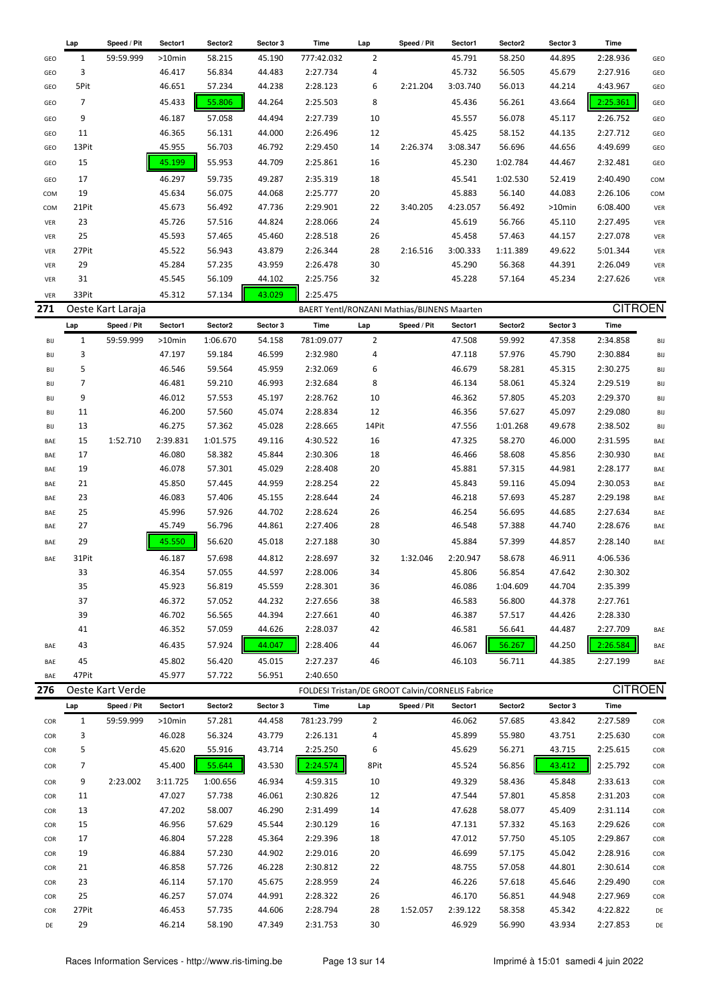|            | Lap                 | Speed / Pit              | Sector1              | Sector2          | Sector 3         | Time                                                         | Lap            | Speed / Pit | Sector1          | Sector2          | Sector 3         | Time                 |            |
|------------|---------------------|--------------------------|----------------------|------------------|------------------|--------------------------------------------------------------|----------------|-------------|------------------|------------------|------------------|----------------------|------------|
| GEO        | $\mathbf{1}$        | 59:59.999                | >10min               | 58.215           | 45.190           | 777:42.032                                                   | $\overline{2}$ |             | 45.791           | 58.250           | 44.895           | 2:28.936             | GEO        |
| GEO        | 3                   |                          | 46.417               | 56.834           | 44.483           | 2:27.734                                                     | 4              |             | 45.732           | 56.505           | 45.679           | 2:27.916             | GEO        |
| GEO        | 5Pit                |                          | 46.651               | 57.234           | 44.238           | 2:28.123                                                     | 6              | 2:21.204    | 3:03.740         | 56.013           | 44.214           | 4:43.967             | GEO        |
| GEO        | 7                   |                          | 45.433               | 55.806           | 44.264           | 2:25.503                                                     | 8              |             | 45.436           | 56.261           | 43.664           | 2:25.361             | GEO        |
| GEO        | 9                   |                          | 46.187               | 57.058           | 44.494           | 2:27.739                                                     | 10             |             | 45.557           | 56.078           | 45.117           | 2:26.752             | GEO        |
| GEO        | 11                  |                          | 46.365               | 56.131           | 44.000           | 2:26.496                                                     | 12             |             | 45.425           | 58.152           | 44.135           | 2:27.712             | GEO        |
| GEO        | 13Pit               |                          | 45.955               | 56.703           | 46.792           | 2:29.450                                                     | 14             | 2:26.374    | 3:08.347         | 56.696           | 44.656           | 4:49.699             | GEO        |
| GEO        | 15                  |                          | 45.199               | 55.953           | 44.709           | 2:25.861                                                     | 16             |             | 45.230           | 1:02.784         | 44.467           | 2:32.481             | GEO        |
| GEO        | 17                  |                          | 46.297               | 59.735           | 49.287           | 2:35.319                                                     | 18             |             | 45.541           | 1:02.530         | 52.419           | 2:40.490             | COM        |
| COM        | 19                  |                          | 45.634               | 56.075           | 44.068           | 2:25.777                                                     | 20             |             | 45.883           | 56.140           | 44.083           | 2:26.106             | COM        |
| COM        | 21Pit               |                          | 45.673               | 56.492           | 47.736           | 2:29.901                                                     | 22             | 3:40.205    | 4:23.057         | 56.492           | $>10$ min        | 6:08.400             | VER        |
| VER        | 23                  |                          | 45.726               | 57.516           | 44.824           | 2:28.066                                                     | 24             |             | 45.619           | 56.766           | 45.110           | 2:27.495             | VER        |
| VER        | 25                  |                          | 45.593               | 57.465           | 45.460           | 2:28.518                                                     | 26             |             | 45.458           | 57.463           | 44.157           | 2:27.078             | VER        |
| VER        | 27Pit               |                          | 45.522               | 56.943           | 43.879           | 2:26.344                                                     | 28             | 2:16.516    | 3:00.333         | 1:11.389         | 49.622           | 5:01.344             | VER        |
| VER        | 29                  |                          | 45.284               | 57.235           | 43.959           | 2:26.478                                                     | 30             |             | 45.290           | 56.368           | 44.391           | 2:26.049             | VER        |
| VER        | 31                  |                          | 45.545               | 56.109           | 44.102           | 2:25.756                                                     | 32             |             | 45.228           | 57.164           | 45.234           | 2:27.626             | VER        |
| VER        | 33Pit               |                          | 45.312               | 57.134           | 43.029           | 2:25.475                                                     |                |             |                  |                  |                  |                      |            |
| 271        |                     | Oeste Kart Laraja        |                      |                  |                  | BAERT Yentl/RONZANI Mathias/BIJNENS Maarten                  |                |             |                  |                  |                  | <b>CITROEN</b>       |            |
|            | Lap                 | Speed / Pit              | Sector1              | Sector2          | Sector 3         | Time                                                         | Lap            | Speed / Pit | Sector1          | Sector2          | Sector 3         | Time                 |            |
| BIJ        | 1                   | 59:59.999                | $>10$ min            | 1:06.670         | 54.158           | 781:09.077                                                   | $\overline{2}$ |             | 47.508           | 59.992           | 47.358           | 2:34.858             | BIJ        |
| BIJ        | 3                   |                          | 47.197               | 59.184           | 46.599           | 2:32.980                                                     | 4              |             | 47.118           | 57.976           | 45.790           | 2:30.884             | BIJ        |
| BIJ        | 5<br>$\overline{7}$ |                          | 46.546               | 59.564           | 45.959           | 2:32.069                                                     | 6              |             | 46.679           | 58.281           | 45.315           | 2:30.275             | BIJ        |
| BIJ<br>BIJ | 9                   |                          | 46.481<br>46.012     | 59.210<br>57.553 | 46.993<br>45.197 | 2:32.684<br>2:28.762                                         | 8<br>10        |             | 46.134<br>46.362 | 58.061<br>57.805 | 45.324<br>45.203 | 2:29.519<br>2:29.370 | BIJ<br>BIJ |
| BIJ        | 11                  |                          | 46.200               | 57.560           | 45.074           | 2:28.834                                                     | 12             |             | 46.356           | 57.627           | 45.097           | 2:29.080             | BIJ        |
| BIJ        | 13                  |                          | 46.275               | 57.362           | 45.028           | 2:28.665                                                     | 14Pit          |             | 47.556           | 1:01.268         | 49.678           | 2:38.502             | BIJ        |
| BAE        | 15                  | 1:52.710                 | 2:39.831             | 1:01.575         | 49.116           | 4:30.522                                                     | 16             |             | 47.325           | 58.270           | 46.000           | 2:31.595             | BAE        |
| BAE        | 17                  |                          | 46.080               | 58.382           | 45.844           | 2:30.306                                                     | 18             |             | 46.466           | 58.608           | 45.856           | 2:30.930             | BAE        |
| BAE        | 19                  |                          | 46.078               | 57.301           | 45.029           | 2:28.408                                                     | 20             |             | 45.881           | 57.315           | 44.981           | 2:28.177             | BAE        |
| BAE        | 21                  |                          | 45.850               | 57.445           | 44.959           | 2:28.254                                                     | 22             |             | 45.843           | 59.116           | 45.094           | 2:30.053             | BAE        |
| BAE        | 23                  |                          | 46.083               | 57.406           | 45.155           | 2:28.644                                                     | 24             |             | 46.218           | 57.693           | 45.287           | 2:29.198             | BAE        |
| BAE        | 25                  |                          | 45.996               | 57.926           | 44.702           | 2:28.624                                                     | 26             |             | 46.254           | 56.695           | 44.685           | 2:27.634             | BAE        |
| BAE        | 27                  |                          | 45.749               | 56.796           | 44.861           | 2:27.406                                                     | 28             |             | 46.548           | 57.388           | 44.740           | 2:28.676             | BAE        |
| BAE        | 29                  |                          | 45.550               | 56.620           | 45.018           | 2:27.188                                                     | 30             |             | 45.884           | 57.399           | 44.857           | 2:28.140             | BAE        |
| BAE        | 31Pit               |                          | 46.187               | 57.698           | 44.812           | 2:28.697                                                     | 32             | 1:32.046    | 2:20.947         | 58.678           | 46.911           | 4:06.536             |            |
|            | 33                  |                          | 46.354               | 57.055           | 44.597           | 2:28.006                                                     | 34             |             | 45.806           | 56.854           | 47.642           | 2:30.302             |            |
|            | 35                  |                          | 45.923               | 56.819           | 45.559           | 2:28.301                                                     | 36             |             | 46.086           | 1:04.609         | 44.704           | 2:35.399             |            |
|            | 37                  |                          | 46.372               | 57.052           | 44.232           | 2:27.656                                                     | 38             |             | 46.583           | 56.800           | 44.378           | 2:27.761             |            |
|            | 39                  |                          | 46.702               | 56.565           | 44.394           | 2:27.661                                                     | 40             |             | 46.387           | 57.517           | 44.426           | 2:28.330             |            |
|            | 41                  |                          | 46.352               | 57.059           | 44.626           | 2:28.037                                                     | 42             |             | 46.581           | 56.641           | 44.487           | 2:27.709             | BAE        |
| BAE        | 43                  |                          | 46.435               | 57.924           | 44.047           | 2:28.406                                                     | 44             |             | 46.067           | 56.267           | 44.250           | 2:26.584             | BAE        |
| BAE        | 45                  |                          | 45.802               | 56.420           | 45.015           | 2:27.237                                                     | 46             |             | 46.103           | 56.711           | 44.385           | 2:27.199             | BAE        |
| BAE<br>276 | 47Pit               | Oeste Kart Verde         | 45.977               | 57.722           | 56.951           | 2:40.650<br>FOLDESI Tristan/DE GROOT Calvin/CORNELIS Fabrice |                |             |                  |                  |                  | <b>CITROEN</b>       |            |
|            |                     |                          |                      | Sector2          | Sector 3         |                                                              |                |             | Sector1          | Sector2          | Sector 3         |                      |            |
|            | Lap<br>$\mathbf{1}$ | Speed / Pit<br>59:59.999 | Sector1<br>$>10$ min | 57.281           | 44.458           | Time<br>781:23.799                                           | Lap<br>2       | Speed / Pit | 46.062           | 57.685           | 43.842           | Time<br>2:27.589     | COR        |
| COR<br>COR | 3                   |                          | 46.028               | 56.324           | 43.779           | 2:26.131                                                     | 4              |             | 45.899           | 55.980           | 43.751           | 2:25.630             | COR        |
| COR        | 5                   |                          | 45.620               | 55.916           | 43.714           | 2:25.250                                                     | 6              |             | 45.629           | 56.271           | 43.715           | 2:25.615             | COR        |
| COR        | $\overline{7}$      |                          | 45.400               | 55.644           | 43.530           | 2:24.574                                                     | 8Pit           |             | 45.524           | 56.856           | 43.412           | 2:25.792             | COR        |
| COR        | 9                   | 2:23.002                 | 3:11.725             | 1:00.656         | 46.934           | 4:59.315                                                     | 10             |             | 49.329           | 58.436           | 45.848           | 2:33.613             | COR        |
| COR        | 11                  |                          | 47.027               | 57.738           | 46.061           | 2:30.826                                                     | 12             |             | 47.544           | 57.801           | 45.858           | 2:31.203             | COR        |
| COR        | 13                  |                          | 47.202               | 58.007           | 46.290           | 2:31.499                                                     | 14             |             | 47.628           | 58.077           | 45.409           | 2:31.114             | COR        |
| COR        | 15                  |                          | 46.956               | 57.629           | 45.544           | 2:30.129                                                     | 16             |             | 47.131           | 57.332           | 45.163           | 2:29.626             | COR        |
| COR        | 17                  |                          | 46.804               | 57.228           | 45.364           | 2:29.396                                                     | 18             |             | 47.012           | 57.750           | 45.105           | 2:29.867             | COR        |
| COR        | 19                  |                          | 46.884               | 57.230           | 44.902           | 2:29.016                                                     | 20             |             | 46.699           | 57.175           | 45.042           | 2:28.916             | COR        |
| COR        | 21                  |                          | 46.858               | 57.726           | 46.228           | 2:30.812                                                     | 22             |             | 48.755           | 57.058           | 44.801           | 2:30.614             | COR        |
| COR        | 23                  |                          | 46.114               | 57.170           | 45.675           | 2:28.959                                                     | 24             |             | 46.226           | 57.618           | 45.646           | 2:29.490             | COR        |
| COR        | 25                  |                          | 46.257               | 57.074           | 44.991           | 2:28.322                                                     | 26             |             | 46.170           | 56.851           | 44.948           | 2:27.969             | COR        |
| COR        | 27Pit               |                          | 46.453               | 57.735           | 44.606           | 2:28.794                                                     | 28             | 1:52.057    | 2:39.122         | 58.358           | 45.342           | 4:22.822             | DE         |
| DE         | 29                  |                          | 46.214               | 58.190           | 47.349           | 2:31.753                                                     | 30             |             | 46.929           | 56.990           | 43.934           | 2:27.853             | DE         |
|            |                     |                          |                      |                  |                  |                                                              |                |             |                  |                  |                  |                      |            |